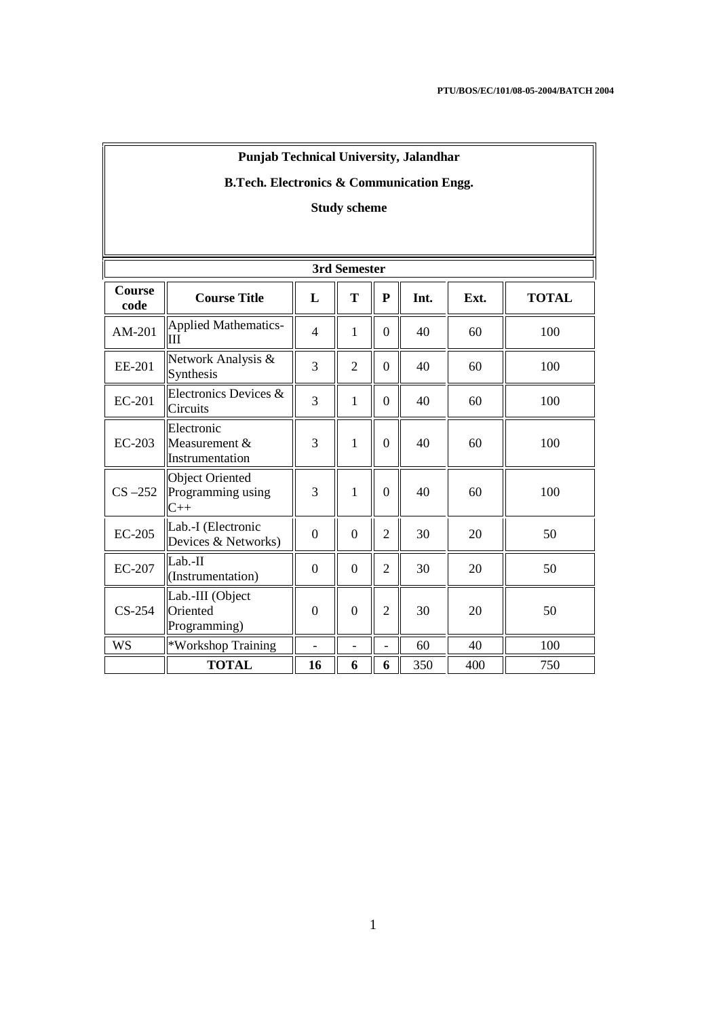| <b>Punjab Technical University, Jalandhar</b> |  |
|-----------------------------------------------|--|
|-----------------------------------------------|--|

# **B.Tech. Electronics & Communication Engg.**

# **Study scheme**

|                       | 3rd Semester                                         |                          |                          |                          |      |      |              |  |
|-----------------------|------------------------------------------------------|--------------------------|--------------------------|--------------------------|------|------|--------------|--|
| <b>Course</b><br>code | <b>Course Title</b>                                  | L                        | T                        | ${\bf P}$                | Int. | Ext. | <b>TOTAL</b> |  |
| $AM-201$              | <b>Applied Mathematics-</b><br>Ш                     | $\overline{4}$           | 1                        | $\boldsymbol{0}$         | 40   | 60   | 100          |  |
| EE-201                | Network Analysis &<br>Synthesis                      | 3                        | $\mathfrak{2}$           | $\boldsymbol{0}$         | 40   | 60   | 100          |  |
| EC-201                | Electronics Devices &<br>Circuits                    | $\overline{3}$           | 1                        | $\boldsymbol{0}$         | 40   | 60   | 100          |  |
| $EC-203$              | Electronic<br>Measurement $&$<br>Instrumentation     | 3                        | $\mathbf{1}$             | $\overline{0}$           | 40   | 60   | 100          |  |
| $CS -252$             | <b>Object Oriented</b><br>Programming using<br>$C++$ | 3                        | $\mathbf{1}$             | $\theta$                 | 40   | 60   | 100          |  |
| $EC-205$              | Lab.-I (Electronic<br>Devices & Networks)            | $\overline{0}$           | $\overline{0}$           | $\overline{2}$           | 30   | 20   | 50           |  |
| <b>EC-207</b>         | Lab.-II<br>(Instrumentation)                         | $\Omega$                 | $\Omega$                 | $\overline{2}$           | 30   | 20   | 50           |  |
| $CS-254$              | Lab.-III (Object<br>Oriented<br>Programming)         | $\overline{0}$           | $\overline{0}$           | $\overline{2}$           | 30   | 20   | 50           |  |
| WS                    | *Workshop Training                                   | $\overline{\phantom{0}}$ | $\overline{\phantom{a}}$ | $\overline{\phantom{a}}$ | 60   | 40   | 100          |  |
|                       | <b>TOTAL</b>                                         | 16                       | 6                        | 6                        | 350  | 400  | 750          |  |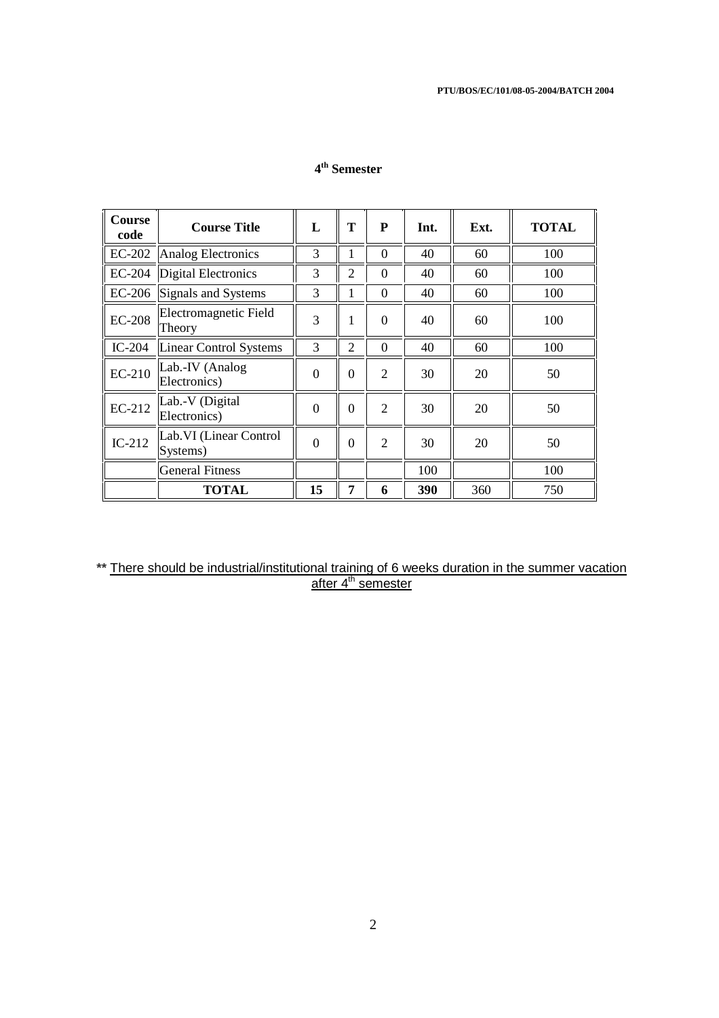## **4 th Semester**

| <b>Course</b><br>code | <b>Course Title</b>                 | L              | T              | P              | Int. | Ext. | <b>TOTAL</b> |
|-----------------------|-------------------------------------|----------------|----------------|----------------|------|------|--------------|
|                       | EC-202 Analog Electronics           | 3              |                | $\Omega$       | 40   | 60   | 100          |
|                       | EC-204  Digital Electronics         | 3              | $\overline{2}$ | $\theta$       | 40   | 60   | 100          |
|                       | EC-206 Signals and Systems          | 3              |                | $\theta$       | 40   | 60   | 100          |
| <b>EC-208</b>         | Electromagnetic Field<br>Theory     | 3              | 1              | $\Omega$       | 40   | 60   | 100          |
| $IC-204$              | Linear Control Systems              | 3              | $\overline{2}$ | $\Omega$       | 40   | 60   | 100          |
| $EC-210$              | Lab.-IV (Analog<br>Electronics)     | $\overline{0}$ | $\theta$       | $\overline{2}$ | 30   | 20   | 50           |
| EC-212                | Lab.-V (Digital<br>Electronics)     | $\theta$       | $\theta$       | $\overline{2}$ | 30   | 20   | 50           |
| $IC-212$              | Lab. VI (Linear Control<br>Systems) | $\theta$       | $\theta$       | $\overline{2}$ | 30   | 20   | 50           |
|                       | <b>General Fitness</b>              |                |                |                | 100  |      | 100          |
|                       | <b>TOTAL</b>                        | 15             | 7              | 6              | 390  | 360  | 750          |

### **\*\*** There should be industrial/institutional training of 6 weeks duration in the summer vacation after 4<sup>th</sup> semester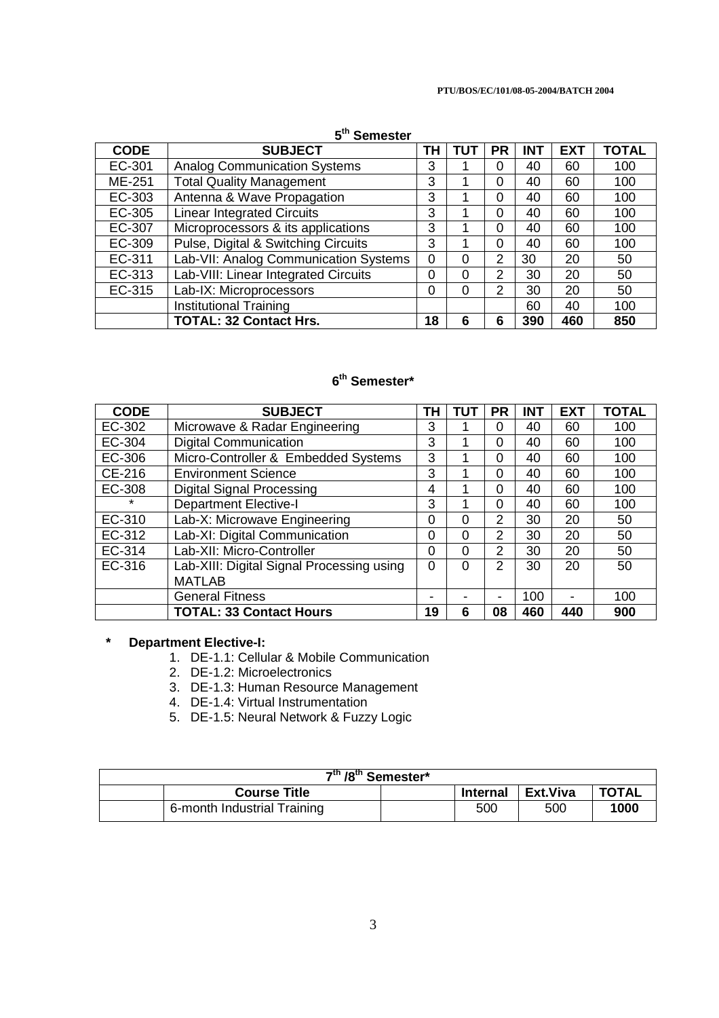#### **PTU/BOS/EC/101/08-05-2004/BATCH 2004**

## **5 th Semester**

| <b>CODE</b> | <b>SUBJECT</b>                        | ΤH       | TUT      | <b>PR</b>      | <b>INT</b> | <b>EXT</b> | <b>TOTAL</b> |
|-------------|---------------------------------------|----------|----------|----------------|------------|------------|--------------|
| EC-301      | <b>Analog Communication Systems</b>   | 3        |          | 0              | 40         | 60         | 100          |
| ME-251      | <b>Total Quality Management</b>       | 3        |          | 0              | 40         | 60         | 100          |
| EC-303      | Antenna & Wave Propagation            | 3        |          | $\Omega$       | 40         | 60         | 100          |
| EC-305      | <b>Linear Integrated Circuits</b>     | 3        |          | 0              | 40         | 60         | 100          |
| EC-307      | Microprocessors & its applications    | 3        |          | $\Omega$       | 40         | 60         | 100          |
| EC-309      | Pulse, Digital & Switching Circuits   | 3        |          | $\Omega$       | 40         | 60         | 100          |
| EC-311      | Lab-VII: Analog Communication Systems | $\Omega$ | 0        | $\overline{2}$ | 30         | 20         | 50           |
| EC-313      | Lab-VIII: Linear Integrated Circuits  | 0        | $\Omega$ | 2              | 30         | 20         | 50           |
| EC-315      | Lab-IX: Microprocessors               | $\Omega$ | $\Omega$ | $\overline{2}$ | 30         | 20         | 50           |
|             | <b>Institutional Training</b>         |          |          |                | 60         | 40         | 100          |
|             | <b>TOTAL: 32 Contact Hrs.</b>         | 18       | 6        | 6              | 390        | 460        | 850          |

## **6 th Semester\***

| <b>CODE</b> | <b>SUBJECT</b>                            | ΤН       | τυτ                      | PR                       | <b>INT</b> | <b>EXT</b>               | <b>TOTAL</b> |
|-------------|-------------------------------------------|----------|--------------------------|--------------------------|------------|--------------------------|--------------|
| EC-302      | Microwave & Radar Engineering             | 3        |                          | 0                        | 40         | 60                       | 100          |
| EC-304      | <b>Digital Communication</b>              | 3        |                          | $\Omega$                 | 40         | 60                       | 100          |
| EC-306      | Micro-Controller & Embedded Systems       | 3        |                          | $\Omega$                 | 40         | 60                       | 100          |
| CE-216      | <b>Environment Science</b>                | 3        |                          | 0                        | 40         | 60                       | 100          |
| EC-308      | <b>Digital Signal Processing</b>          | 4        |                          | $\Omega$                 | 40         | 60                       | 100          |
| $\star$     | <b>Department Elective-I</b>              | 3        |                          | $\Omega$                 | 40         | 60                       | 100          |
| EC-310      | Lab-X: Microwave Engineering              | $\Omega$ | $\Omega$                 | $\overline{2}$           | 30         | 20                       | 50           |
| EC-312      | Lab-XI: Digital Communication             | $\Omega$ | $\Omega$                 | $\overline{2}$           | 30         | 20                       | 50           |
| EC-314      | Lab-XII: Micro-Controller                 | $\Omega$ | $\Omega$                 | 2                        | 30         | 20                       | 50           |
| EC-316      | Lab-XIII: Digital Signal Processing using | $\Omega$ | $\Omega$                 | 2                        | 30         | 20                       | 50           |
|             | <b>MATLAB</b>                             |          |                          |                          |            |                          |              |
|             | <b>General Fitness</b>                    |          | $\overline{\phantom{0}}$ | $\overline{\phantom{0}}$ | 100        | $\overline{\phantom{0}}$ | 100          |
|             | <b>TOTAL: 33 Contact Hours</b>            | 19       | 6                        | 08                       | 460        | 440                      | 900          |

## **\* Department Elective-I:**

- 1. DE-1.1: Cellular & Mobile Communication
- 2. DE-1.2: Microelectronics
- 3. DE-1.3: Human Resource Management
- 4. DE-1.4: Virtual Instrumentation
- 5. DE-1.5: Neural Network & Fuzzy Logic

| 7 <sup>th</sup> /8 <sup>th</sup> Semester* |                             |  |                 |            |              |
|--------------------------------------------|-----------------------------|--|-----------------|------------|--------------|
|                                            | <b>Course Title</b>         |  | <b>Internal</b> | l Ext.Viva | <b>TOTAL</b> |
|                                            | 6-month Industrial Training |  | 500             | 500        | 1000         |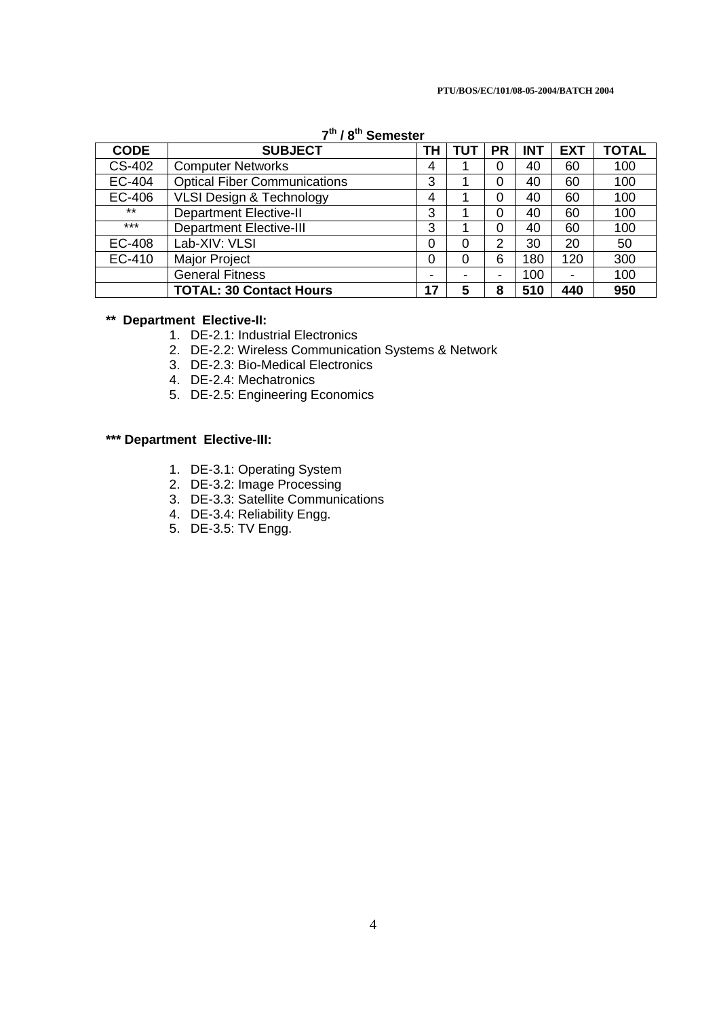|  | $7th$ / 8 <sup>th</sup> Semester |
|--|----------------------------------|
|--|----------------------------------|

| <b>CODE</b>   | <b>SUBJECT</b>                      | ΤН             | TUT | PR             | <b>INT</b> | <b>EXT</b>     | <b>TOTAL</b> |
|---------------|-------------------------------------|----------------|-----|----------------|------------|----------------|--------------|
| CS-402        | <b>Computer Networks</b>            | 4              |     | 0              | 40         | 60             | 100          |
| EC-404        | <b>Optical Fiber Communications</b> | 3              |     | 0              | 40         | 60             | 100          |
| EC-406        | <b>VLSI Design &amp; Technology</b> | 4              |     | 0              | 40         | 60             | 100          |
| $***$         | <b>Department Elective-II</b>       | 3              |     | 0              | 40         | 60             | 100          |
| $***$         | <b>Department Elective-III</b>      | 3              |     | $\Omega$       | 40         | 60             | 100          |
| <b>EC-408</b> | Lab-XIV: VLSI                       | 0              |     | 2              | 30         | 20             | 50           |
| EC-410        | Major Project                       | 0              |     | 6              | 180        | 120            | 300          |
|               | <b>General Fitness</b>              | $\blacksquare$ |     | $\blacksquare$ | 100        | $\blacksquare$ | 100          |
|               | <b>TOTAL: 30 Contact Hours</b>      | 17             | 5   | 8              | 510        | 440            | 950          |

## **\*\* Department Elective-II:**

- 1. DE-2.1: Industrial Electronics
- 2. DE-2.2: Wireless Communication Systems & Network
- 3. DE-2.3: Bio-Medical Electronics
- 4. DE-2.4: Mechatronics
- 5. DE-2.5: Engineering Economics

## **\*\*\* Department Elective-III:**

- 1. DE-3.1: Operating System
- 2. DE-3.2: Image Processing
- 3. DE-3.3: Satellite Communications
- 4. DE-3.4: Reliability Engg.
- 5. DE-3.5: TV Engg.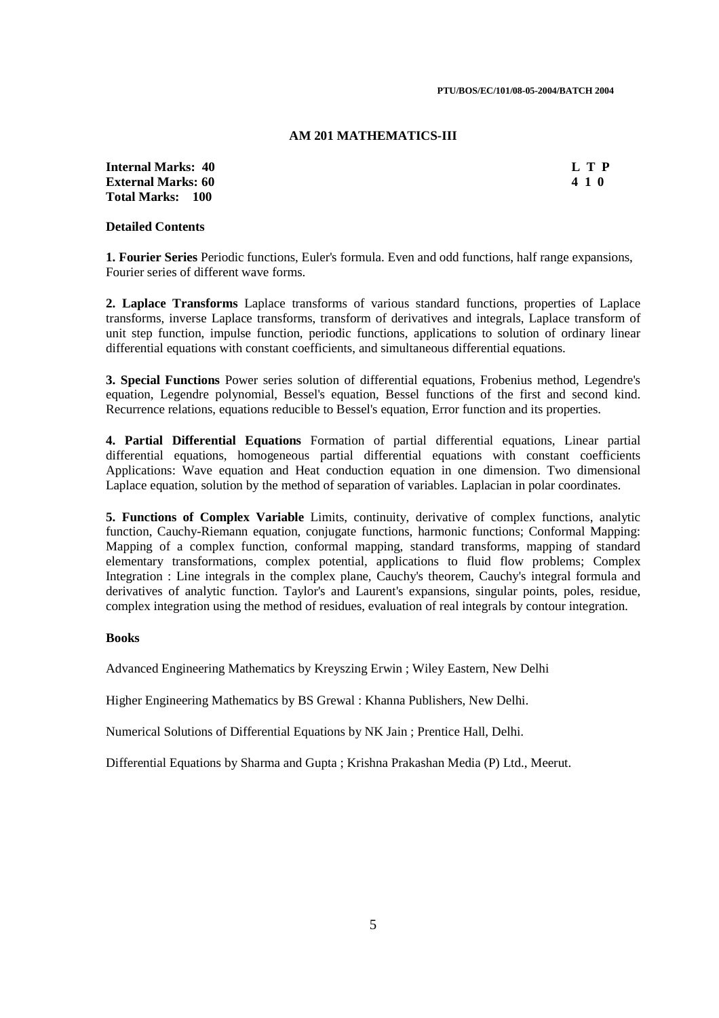#### **AM 201 MATHEMATICS-III**

**Internal Marks: 40 L T P External Marks: 60 Total Marks: 100**

#### **Detailed Contents**

**1. Fourier Series** Periodic functions, Euler's formula. Even and odd functions, half range expansions, Fourier series of different wave forms.

**2. Laplace Transforms** Laplace transforms of various standard functions, properties of Laplace transforms, inverse Laplace transforms, transform of derivatives and integrals, Laplace transform of unit step function, impulse function, periodic functions, applications to solution of ordinary linear differential equations with constant coefficients, and simultaneous differential equations.

**3. Special Functions** Power series solution of differential equations, Frobenius method, Legendre's equation, Legendre polynomial, Bessel's equation, Bessel functions of the first and second kind. Recurrence relations, equations reducible to Bessel's equation, Error function and its properties.

**4. Partial Differential Equations** Formation of partial differential equations, Linear partial differential equations, homogeneous partial differential equations with constant coefficients Applications: Wave equation and Heat conduction equation in one dimension. Two dimensional Laplace equation, solution by the method of separation of variables. Laplacian in polar coordinates.

**5. Functions of Complex Variable** Limits, continuity, derivative of complex functions, analytic function, Cauchy-Riemann equation, conjugate functions, harmonic functions; Conformal Mapping: Mapping of a complex function, conformal mapping, standard transforms, mapping of standard elementary transformations, complex potential, applications to fluid flow problems; Complex Integration : Line integrals in the complex plane, Cauchy's theorem, Cauchy's integral formula and derivatives of analytic function. Taylor's and Laurent's expansions, singular points, poles, residue, complex integration using the method of residues, evaluation of real integrals by contour integration.

#### **Books**

Advanced Engineering Mathematics by Kreyszing Erwin ; Wiley Eastern, New Delhi

Higher Engineering Mathematics by BS Grewal : Khanna Publishers, New Delhi.

Numerical Solutions of Differential Equations by NK Jain ; Prentice Hall, Delhi.

Differential Equations by Sharma and Gupta ; Krishna Prakashan Media (P) Ltd., Meerut.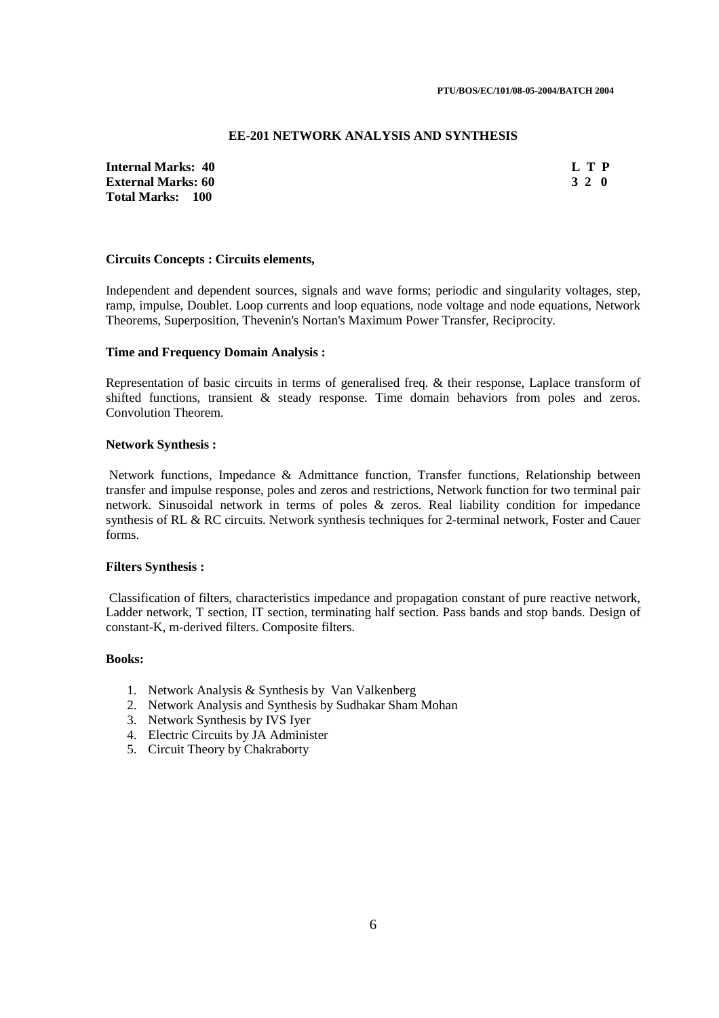#### **EE-201 NETWORK ANALYSIS AND SYNTHESIS**

**Internal Marks: 40 L T P External Marks: 60 Total Marks: 100**

### **Circuits Concepts : Circuits elements,**

Independent and dependent sources, signals and wave forms; periodic and singularity voltages, step, ramp, impulse, Doublet. Loop currents and loop equations, node voltage and node equations, Network Theorems, Superposition, Thevenin's Nortan's Maximum Power Transfer, Reciprocity.

#### **Time and Frequency Domain Analysis :**

Representation of basic circuits in terms of generalised freq. & their response, Laplace transform of shifted functions, transient & steady response. Time domain behaviors from poles and zeros. Convolution Theorem.

#### **Network Synthesis :**

 Network functions, Impedance & Admittance function, Transfer functions, Relationship between transfer and impulse response, poles and zeros and restrictions, Network function for two terminal pair network. Sinusoidal network in terms of poles & zeros. Real liability condition for impedance synthesis of RL & RC circuits. Network synthesis techniques for 2-terminal network, Foster and Cauer forms.

#### **Filters Synthesis :**

 Classification of filters, characteristics impedance and propagation constant of pure reactive network, Ladder network, T section, IT section, terminating half section. Pass bands and stop bands. Design of constant-K, m-derived filters. Composite filters.

### **Books:**

- 1. Network Analysis & Synthesis by Van Valkenberg
- 2. Network Analysis and Synthesis by Sudhakar Sham Mohan
- 3. Network Synthesis by IVS Iyer
- 4. Electric Circuits by JA Administer
- 5. Circuit Theory by Chakraborty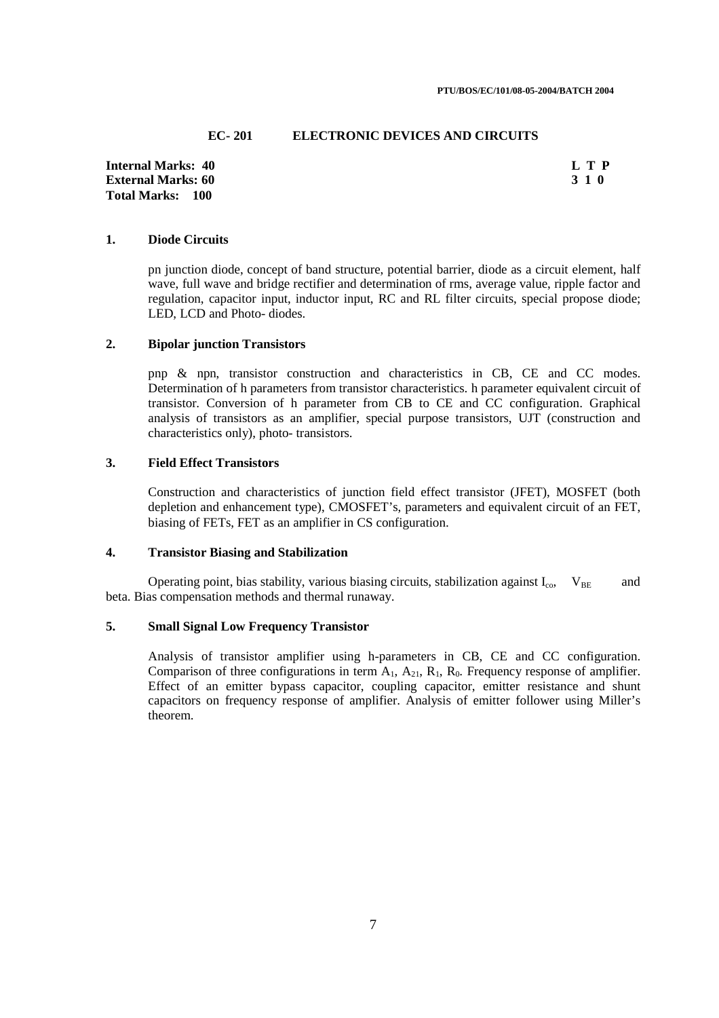#### **EC- 201 ELECTRONIC DEVICES AND CIRCUITS**

**Internal Marks: 40 L T P L T P L T P External Marks: 60** 3 1 0 **3 1 0 Total Marks: 100**

### **1. Diode Circuits**

pn junction diode, concept of band structure, potential barrier, diode as a circuit element, half wave, full wave and bridge rectifier and determination of rms, average value, ripple factor and regulation, capacitor input, inductor input, RC and RL filter circuits, special propose diode; LED, LCD and Photo- diodes.

### **2. Bipolar junction Transistors**

pnp & npn, transistor construction and characteristics in CB, CE and CC modes. Determination of h parameters from transistor characteristics. h parameter equivalent circuit of transistor. Conversion of h parameter from CB to CE and CC configuration. Graphical analysis of transistors as an amplifier, special purpose transistors, UJT (construction and characteristics only), photo- transistors.

### **3. Field Effect Transistors**

Construction and characteristics of junction field effect transistor (JFET), MOSFET (both depletion and enhancement type), CMOSFET's, parameters and equivalent circuit of an FET, biasing of FETs, FET as an amplifier in CS configuration.

## **4. Transistor Biasing and Stabilization**

Operating point, bias stability, various biasing circuits, stabilization against  $I_{co}$ ,  $V_{BE}$  and beta. Bias compensation methods and thermal runaway.

#### **5. Small Signal Low Frequency Transistor**

Analysis of transistor amplifier using h-parameters in CB, CE and CC configuration. Comparison of three configurations in term  $A_1$ ,  $A_2$ ,  $R_1$ ,  $R_0$ . Frequency response of amplifier. Effect of an emitter bypass capacitor, coupling capacitor, emitter resistance and shunt capacitors on frequency response of amplifier. Analysis of emitter follower using Miller's theorem.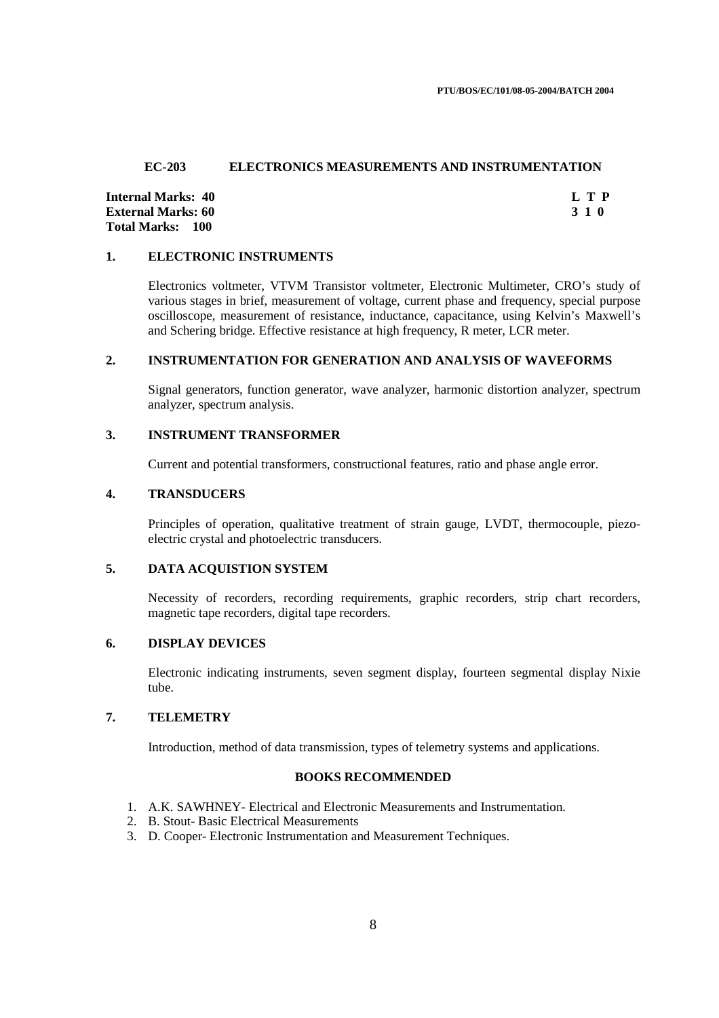#### **EC-203 ELECTRONICS MEASUREMENTS AND INSTRUMENTATION**

**Internal Marks: 40 L T P L T P External Marks: 60** 3 1 0 **3 1 0 3 1 0 3 1 0 3 1 0 3 1 0 3 1 0 3 1 0 3 1 0 4 <b>4 Total Marks: 100**

#### **1. ELECTRONIC INSTRUMENTS**

Electronics voltmeter, VTVM Transistor voltmeter, Electronic Multimeter, CRO's study of various stages in brief, measurement of voltage, current phase and frequency, special purpose oscilloscope, measurement of resistance, inductance, capacitance, using Kelvin's Maxwell's and Schering bridge. Effective resistance at high frequency, R meter, LCR meter.

### **2. INSTRUMENTATION FOR GENERATION AND ANALYSIS OF WAVEFORMS**

 Signal generators, function generator, wave analyzer, harmonic distortion analyzer, spectrum analyzer, spectrum analysis.

### **3. INSTRUMENT TRANSFORMER**

Current and potential transformers, constructional features, ratio and phase angle error.

### **4. TRANSDUCERS**

 Principles of operation, qualitative treatment of strain gauge, LVDT, thermocouple, piezoelectric crystal and photoelectric transducers.

### **5. DATA ACQUISTION SYSTEM**

 Necessity of recorders, recording requirements, graphic recorders, strip chart recorders, magnetic tape recorders, digital tape recorders.

## **6. DISPLAY DEVICES**

 Electronic indicating instruments, seven segment display, fourteen segmental display Nixie tube.

### **7. TELEMETRY**

Introduction, method of data transmission, types of telemetry systems and applications.

### **BOOKS RECOMMENDED**

- 1. A.K. SAWHNEY- Electrical and Electronic Measurements and Instrumentation.
- 2. B. Stout- Basic Electrical Measurements
- 3. D. Cooper- Electronic Instrumentation and Measurement Techniques.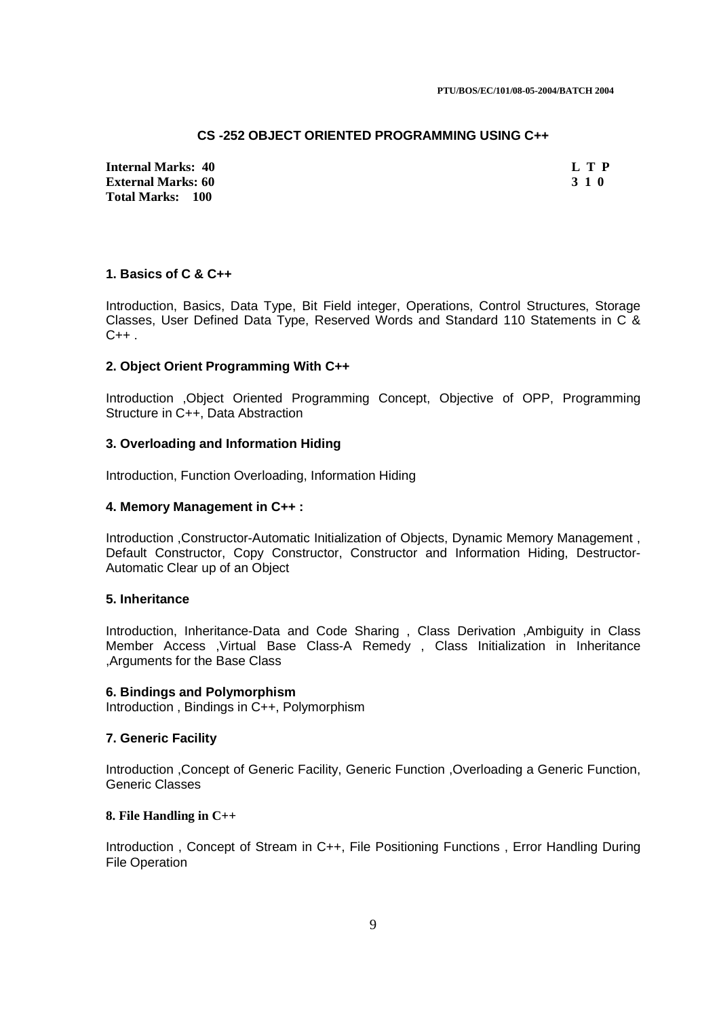### **CS -252 OBJECT ORIENTED PROGRAMMING USING C++**

**Internal Marks: 40 L T P External Marks: 60 Total Marks: 100**

### **1. Basics of C & C++**

Introduction, Basics, Data Type, Bit Field integer, Operations, Control Structures, Storage Classes, User Defined Data Type, Reserved Words and Standard 110 Statements in C &  $C++$ .

### **2. Object Orient Programming With C++**

Introduction ,Object Oriented Programming Concept, Objective of OPP, Programming Structure in C++, Data Abstraction

### **3. Overloading and Information Hiding**

Introduction, Function Overloading, Information Hiding

### **4. Memory Management in C++ :**

Introduction ,Constructor-Automatic Initialization of Objects, Dynamic Memory Management , Default Constructor, Copy Constructor, Constructor and Information Hiding, Destructor-Automatic Clear up of an Object

### **5. Inheritance**

Introduction, Inheritance-Data and Code Sharing , Class Derivation ,Ambiguity in Class Member Access ,Virtual Base Class-A Remedy , Class Initialization in Inheritance ,Arguments for the Base Class

#### **6. Bindings and Polymorphism**

Introduction , Bindings in C++, Polymorphism

### **7. Generic Facility**

Introduction ,Concept of Generic Facility, Generic Function ,Overloading a Generic Function, Generic Classes

### **8. File Handling in C++**

Introduction , Concept of Stream in C++, File Positioning Functions , Error Handling During File Operation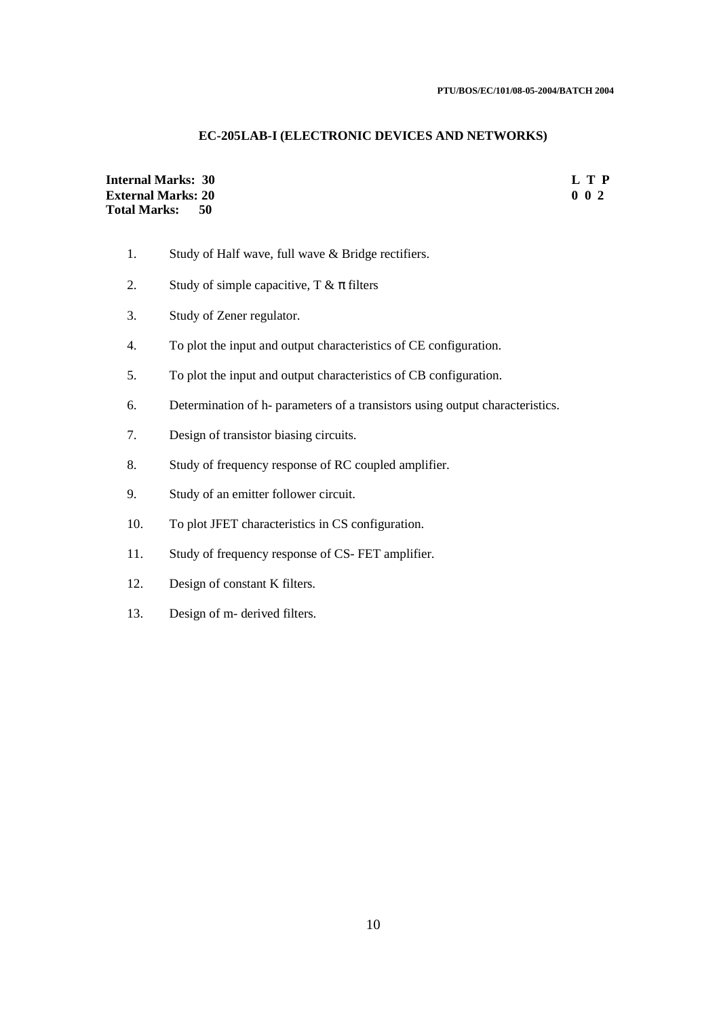### **EC-205 LAB-I (ELECTRONIC DEVICES AND NETWORKS)**

## **Internal Marks: 30 L T P**<br> **External Marks: 20** 0 0 2 **External Marks: 20 Total Marks: 50**

- 1. Study of Half wave, full wave & Bridge rectifiers.
- 2. Study of simple capacitive,  $T \& \pi$  filters
- 3. Study of Zener regulator.
- 4. To plot the input and output characteristics of CE configuration.
- 5. To plot the input and output characteristics of CB configuration.
- 6. Determination of h- parameters of a transistors using output characteristics.
- 7. Design of transistor biasing circuits.
- 8. Study of frequency response of RC coupled amplifier.
- 9. Study of an emitter follower circuit.
- 10. To plot JFET characteristics in CS configuration.
- 11. Study of frequency response of CS- FET amplifier.
- 12. Design of constant K filters.
- 13. Design of m- derived filters.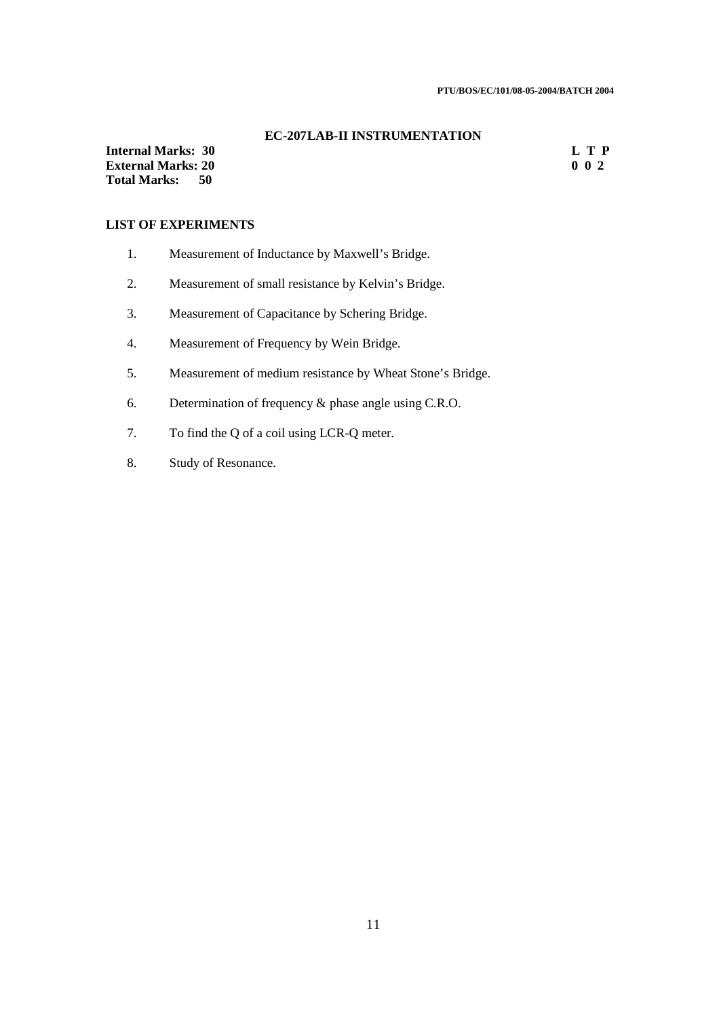#### **EC-207 LAB-II INSTRUMENTATION**

**Internal Marks: 30 L T P External Marks: 20 Total Marks: 50**

## **LIST OF EXPERIMENTS**

- 1. Measurement of Inductance by Maxwell's Bridge.
- 2. Measurement of small resistance by Kelvin's Bridge.
- 3. Measurement of Capacitance by Schering Bridge.
- 4. Measurement of Frequency by Wein Bridge.
- 5. Measurement of medium resistance by Wheat Stone's Bridge.
- 6. Determination of frequency & phase angle using C.R.O.
- 7. To find the Q of a coil using LCR-Q meter.
- 8. Study of Resonance.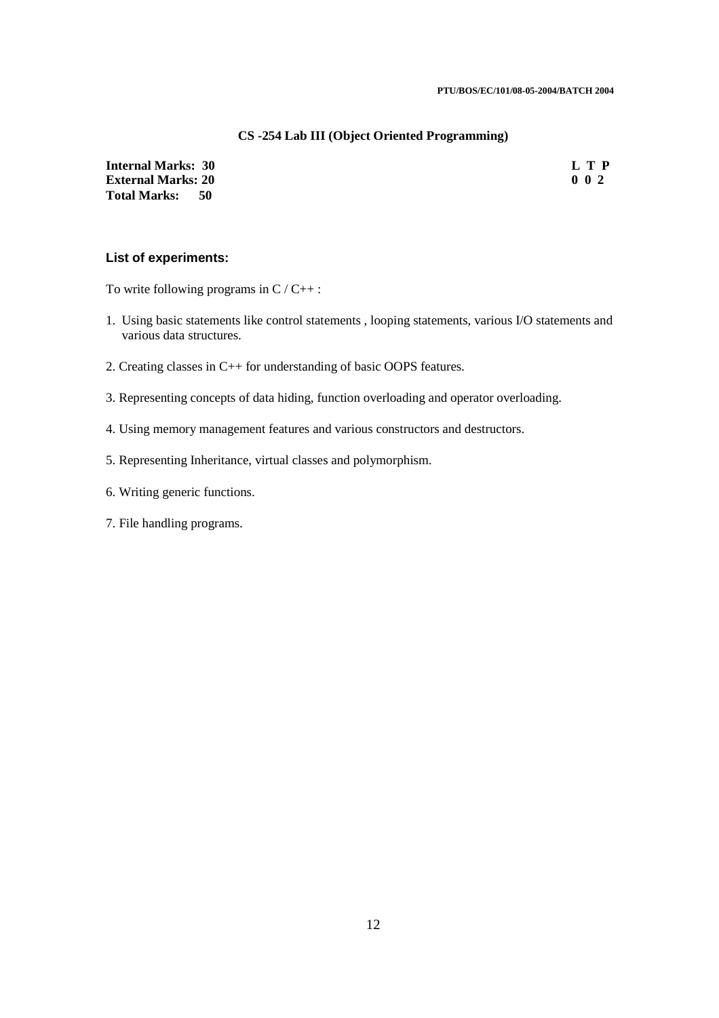#### **CS -254 Lab III (Object Oriented Programming)**

**Internal Marks: 30 L T P**<br>**External Marks: 20** 0 2 **External Marks: 20 Total Marks: 50**

### **List of experiments:**

To write following programs in  $C / C_{++}$ :

- 1. Using basic statements like control statements , looping statements, various I/O statements and various data structures.
- 2. Creating classes in C++ for understanding of basic OOPS features.
- 3. Representing concepts of data hiding, function overloading and operator overloading.
- 4. Using memory management features and various constructors and destructors.
- 5. Representing Inheritance, virtual classes and polymorphism.
- 6. Writing generic functions.
- 7. File handling programs.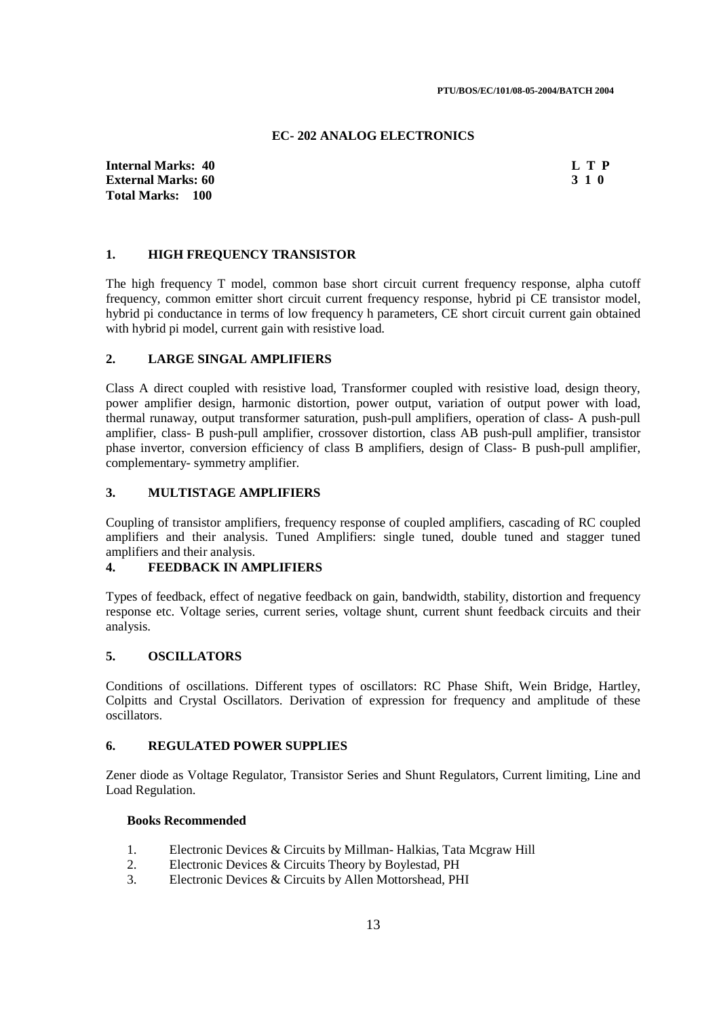#### **EC- 202 ANALOG ELECTRONICS**

**Internal Marks: 40 L T P L T P L T P External Marks: 60** 3 1 0 **3 1 0 3 1 0 3 1 0 3 1 0 3 1 0 3 1 0 3 1 0 3 1 0 4 <b>4 Total Marks: 100**

#### **1. HIGH FREQUENCY TRANSISTOR**

The high frequency T model, common base short circuit current frequency response, alpha cutoff frequency, common emitter short circuit current frequency response, hybrid pi CE transistor model, hybrid pi conductance in terms of low frequency h parameters, CE short circuit current gain obtained with hybrid pi model, current gain with resistive load.

### **2. LARGE SINGAL AMPLIFIERS**

Class A direct coupled with resistive load, Transformer coupled with resistive load, design theory, power amplifier design, harmonic distortion, power output, variation of output power with load, thermal runaway, output transformer saturation, push-pull amplifiers, operation of class- A push-pull amplifier, class- B push-pull amplifier, crossover distortion, class AB push-pull amplifier, transistor phase invertor, conversion efficiency of class B amplifiers, design of Class- B push-pull amplifier, complementary- symmetry amplifier.

#### **3. MULTISTAGE AMPLIFIERS**

Coupling of transistor amplifiers, frequency response of coupled amplifiers, cascading of RC coupled amplifiers and their analysis. Tuned Amplifiers: single tuned, double tuned and stagger tuned amplifiers and their analysis.

### **4. FEEDBACK IN AMPLIFIERS**

Types of feedback, effect of negative feedback on gain, bandwidth, stability, distortion and frequency response etc. Voltage series, current series, voltage shunt, current shunt feedback circuits and their analysis.

### **5. OSCILLATORS**

Conditions of oscillations. Different types of oscillators: RC Phase Shift, Wein Bridge, Hartley, Colpitts and Crystal Oscillators. Derivation of expression for frequency and amplitude of these oscillators.

#### **6. REGULATED POWER SUPPLIES**

Zener diode as Voltage Regulator, Transistor Series and Shunt Regulators, Current limiting, Line and Load Regulation.

#### **Books Recommended**

- 1. Electronic Devices & Circuits by Millman- Halkias, Tata Mcgraw Hill
- 2. Electronic Devices & Circuits Theory by Boylestad, PH
- 3. Electronic Devices & Circuits by Allen Mottorshead, PHI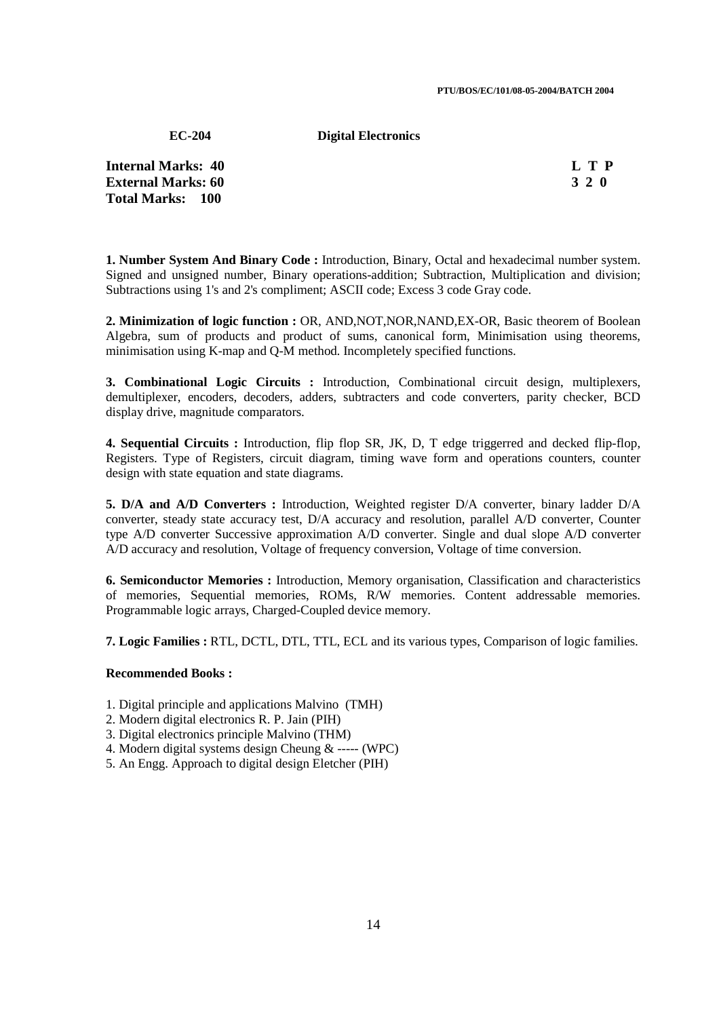#### **PTU/BOS/EC/101/08-05-2004/BATCH 2004**

**EC-204 Digital Electronics** 

**Internal Marks: 40 L T P I** L T P **External Marks: 60 3 2 0 Total Marks: 100**

**1. Number System And Binary Code :** Introduction, Binary, Octal and hexadecimal number system. Signed and unsigned number, Binary operations-addition; Subtraction, Multiplication and division; Subtractions using 1's and 2's compliment; ASCII code; Excess 3 code Gray code.

**2. Minimization of logic function :** OR, AND,NOT,NOR,NAND,EX-OR, Basic theorem of Boolean Algebra, sum of products and product of sums, canonical form, Minimisation using theorems, minimisation using K-map and Q-M method. Incompletely specified functions.

**3. Combinational Logic Circuits :** Introduction, Combinational circuit design, multiplexers, demultiplexer, encoders, decoders, adders, subtracters and code converters, parity checker, BCD display drive, magnitude comparators.

**4. Sequential Circuits :** Introduction, flip flop SR, JK, D, T edge triggerred and decked flip-flop, Registers. Type of Registers, circuit diagram, timing wave form and operations counters, counter design with state equation and state diagrams.

**5. D/A and A/D Converters :** Introduction, Weighted register D/A converter, binary ladder D/A converter, steady state accuracy test, D/A accuracy and resolution, parallel A/D converter, Counter type A/D converter Successive approximation A/D converter. Single and dual slope A/D converter A/D accuracy and resolution, Voltage of frequency conversion, Voltage of time conversion.

**6. Semiconductor Memories :** Introduction, Memory organisation, Classification and characteristics of memories, Sequential memories, ROMs, R/W memories. Content addressable memories. Programmable logic arrays, Charged-Coupled device memory.

**7. Logic Families :** RTL, DCTL, DTL, TTL, ECL and its various types, Comparison of logic families.

### **Recommended Books :**

- 1. Digital principle and applications Malvino (TMH)
- 2. Modern digital electronics R. P. Jain (PIH)
- 3. Digital electronics principle Malvino (THM)
- 4. Modern digital systems design Cheung & ----- (WPC)
- 5. An Engg. Approach to digital design Eletcher (PIH)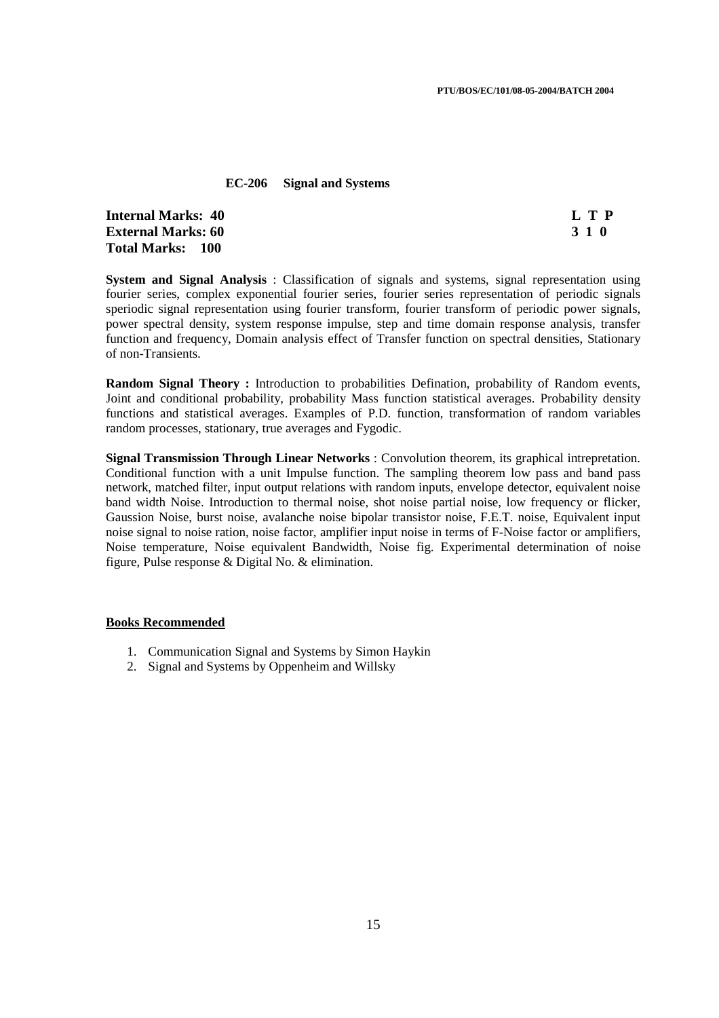#### **EC-206 Signal and Systems**

**Internal Marks: 40 L T P L T P External Marks: 60 3 1 0 Total Marks: 100**

**System and Signal Analysis** : Classification of signals and systems, signal representation using fourier series, complex exponential fourier series, fourier series representation of periodic signals speriodic signal representation using fourier transform, fourier transform of periodic power signals, power spectral density, system response impulse, step and time domain response analysis, transfer function and frequency, Domain analysis effect of Transfer function on spectral densities, Stationary of non-Transients.

**Random Signal Theory :** Introduction to probabilities Defination, probability of Random events, Joint and conditional probability, probability Mass function statistical averages. Probability density functions and statistical averages. Examples of P.D. function, transformation of random variables random processes, stationary, true averages and Fygodic.

**Signal Transmission Through Linear Networks** : Convolution theorem, its graphical intrepretation. Conditional function with a unit Impulse function. The sampling theorem low pass and band pass network, matched filter, input output relations with random inputs, envelope detector, equivalent noise band width Noise. Introduction to thermal noise, shot noise partial noise, low frequency or flicker, Gaussion Noise, burst noise, avalanche noise bipolar transistor noise, F.E.T. noise, Equivalent input noise signal to noise ration, noise factor, amplifier input noise in terms of F-Noise factor or amplifiers, Noise temperature, Noise equivalent Bandwidth, Noise fig. Experimental determination of noise figure, Pulse response & Digital No. & elimination.

### **Books Recommended**

- 1. Communication Signal and Systems by Simon Haykin
- 2. Signal and Systems by Oppenheim and Willsky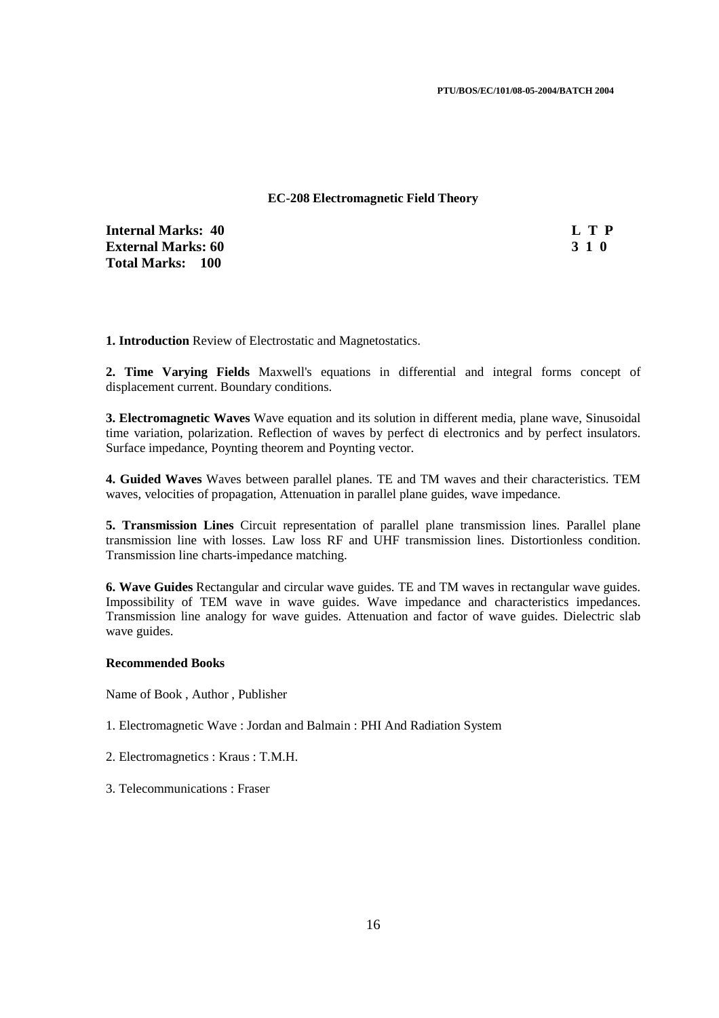### **EC-208 Electromagnetic Field Theory**

**Internal Marks: 40 L T P External Marks: 60 3 1 0 Total Marks: 100**

**1. Introduction** Review of Electrostatic and Magnetostatics.

**2. Time Varying Fields** Maxwell's equations in differential and integral forms concept of displacement current. Boundary conditions.

**3. Electromagnetic Waves** Wave equation and its solution in different media, plane wave, Sinusoidal time variation, polarization. Reflection of waves by perfect di electronics and by perfect insulators. Surface impedance, Poynting theorem and Poynting vector.

**4. Guided Waves** Waves between parallel planes. TE and TM waves and their characteristics. TEM waves, velocities of propagation, Attenuation in parallel plane guides, wave impedance.

**5. Transmission Lines** Circuit representation of parallel plane transmission lines. Parallel plane transmission line with losses. Law loss RF and UHF transmission lines. Distortionless condition. Transmission line charts-impedance matching.

**6. Wave Guides** Rectangular and circular wave guides. TE and TM waves in rectangular wave guides. Impossibility of TEM wave in wave guides. Wave impedance and characteristics impedances. Transmission line analogy for wave guides. Attenuation and factor of wave guides. Dielectric slab wave guides.

#### **Recommended Books**

Name of Book , Author , Publisher

- 1. Electromagnetic Wave : Jordan and Balmain : PHI And Radiation System
- 2. Electromagnetics : Kraus : T.M.H.
- 3. Telecommunications : Fraser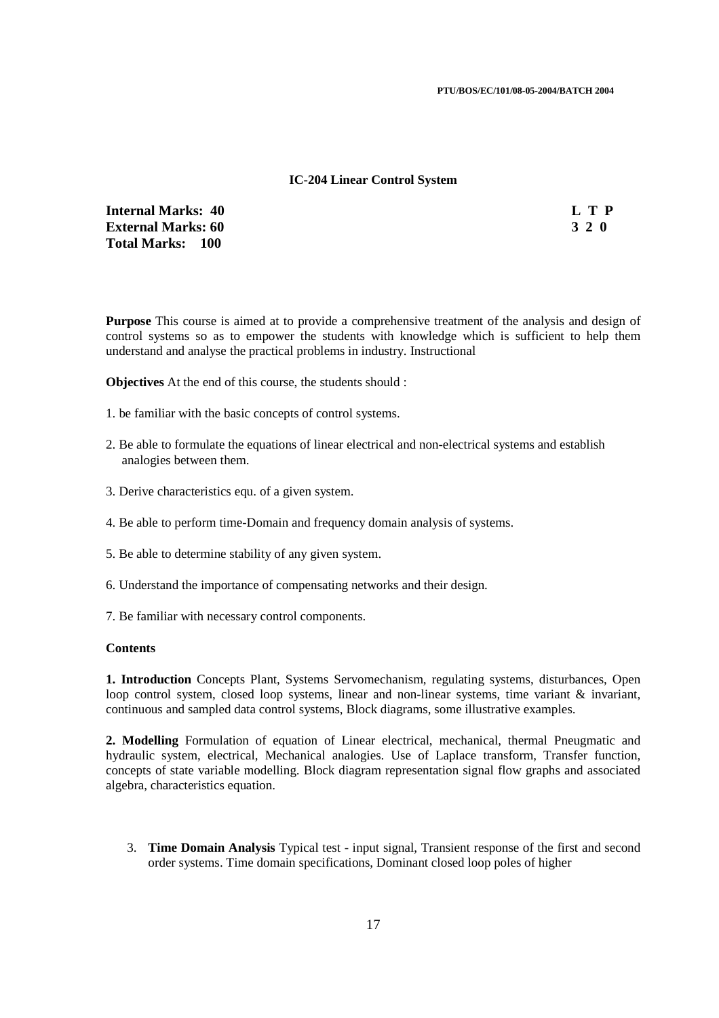### **IC-204 Linear Control System**

**Internal Marks: 40 L T P**<br> **External Marks: 60** 3 2 0 **External Marks: 60 Total Marks: 100**

**Purpose** This course is aimed at to provide a comprehensive treatment of the analysis and design of control systems so as to empower the students with knowledge which is sufficient to help them understand and analyse the practical problems in industry. Instructional

**Objectives** At the end of this course, the students should :

- 1. be familiar with the basic concepts of control systems.
- 2. Be able to formulate the equations of linear electrical and non-electrical systems and establish analogies between them.
- 3. Derive characteristics equ. of a given system.
- 4. Be able to perform time-Domain and frequency domain analysis of systems.
- 5. Be able to determine stability of any given system.
- 6. Understand the importance of compensating networks and their design.
- 7. Be familiar with necessary control components.

#### **Contents**

**1. Introduction** Concepts Plant, Systems Servomechanism, regulating systems, disturbances, Open loop control system, closed loop systems, linear and non-linear systems, time variant & invariant, continuous and sampled data control systems, Block diagrams, some illustrative examples.

**2. Modelling** Formulation of equation of Linear electrical, mechanical, thermal Pneugmatic and hydraulic system, electrical, Mechanical analogies. Use of Laplace transform, Transfer function, concepts of state variable modelling. Block diagram representation signal flow graphs and associated algebra, characteristics equation.

3. **Time Domain Analysis** Typical test - input signal, Transient response of the first and second order systems. Time domain specifications, Dominant closed loop poles of higher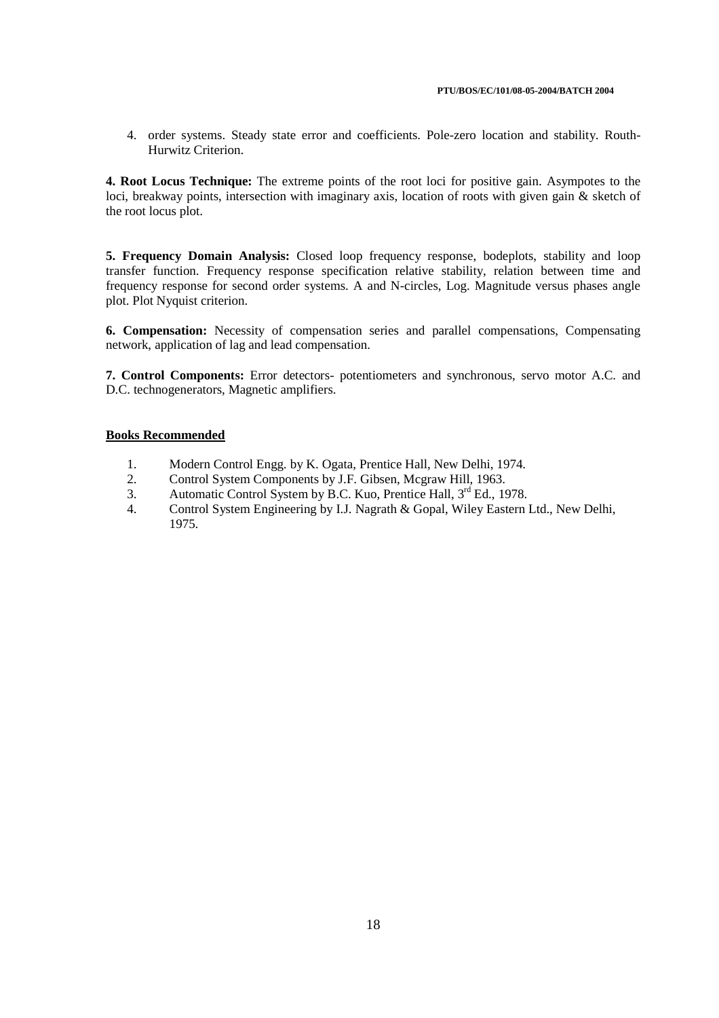4. order systems. Steady state error and coefficients. Pole-zero location and stability. Routh-Hurwitz Criterion.

**4. Root Locus Technique:** The extreme points of the root loci for positive gain. Asympotes to the loci, breakway points, intersection with imaginary axis, location of roots with given gain & sketch of the root locus plot.

**5. Frequency Domain Analysis:** Closed loop frequency response, bodeplots, stability and loop transfer function. Frequency response specification relative stability, relation between time and frequency response for second order systems. A and N-circles, Log. Magnitude versus phases angle plot. Plot Nyquist criterion.

**6. Compensation:** Necessity of compensation series and parallel compensations, Compensating network, application of lag and lead compensation.

**7. Control Components:** Error detectors- potentiometers and synchronous, servo motor A.C. and D.C. technogenerators, Magnetic amplifiers.

#### **Books Recommended**

- 1. Modern Control Engg. by K. Ogata, Prentice Hall, New Delhi, 1974.
- 2. Control System Components by J.F. Gibsen, Mcgraw Hill, 1963.
- 3. Automatic Control System by B.C. Kuo, Prentice Hall, 3<sup>rd</sup> Ed., 1978.
- 4. Control System Engineering by I.J. Nagrath & Gopal, Wiley Eastern Ltd., New Delhi, 1975.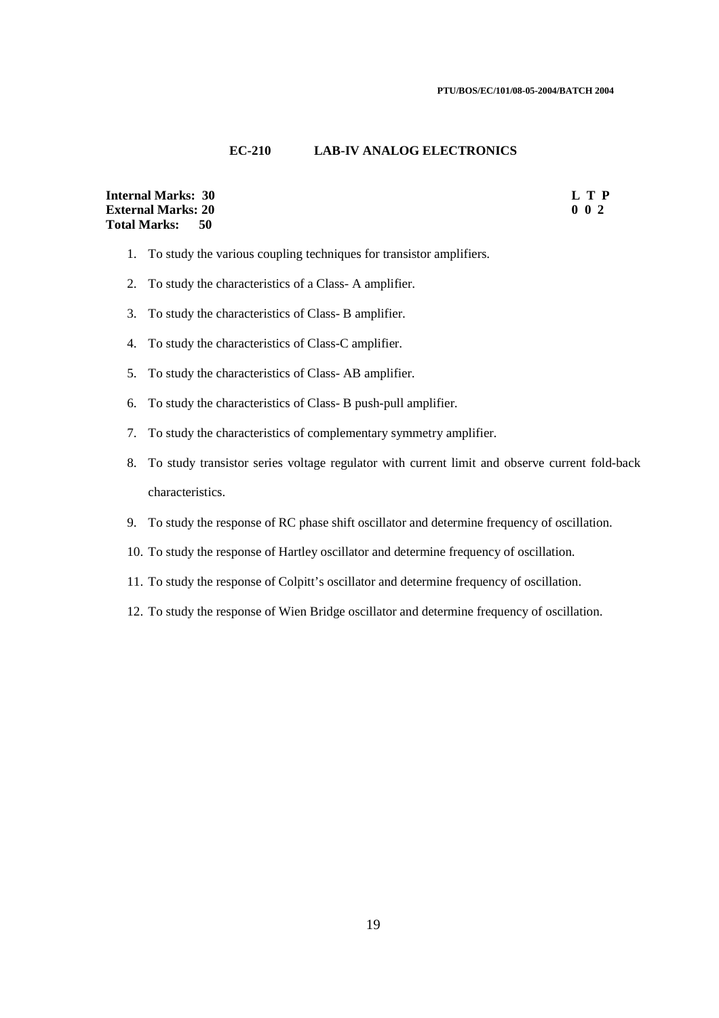### **EC-210 LAB-IV ANALOG ELECTRONICS**

### **Internal Marks: 30 L T P External Marks: 20** 0 0 2 **Total Marks: 50**

- 1. To study the various coupling techniques for transistor amplifiers.
- 2. To study the characteristics of a Class- A amplifier.
- 3. To study the characteristics of Class- B amplifier.
- 4. To study the characteristics of Class-C amplifier.
- 5. To study the characteristics of Class- AB amplifier.
- 6. To study the characteristics of Class- B push-pull amplifier.
- 7. To study the characteristics of complementary symmetry amplifier.
- 8. To study transistor series voltage regulator with current limit and observe current fold-back characteristics.
- 9. To study the response of RC phase shift oscillator and determine frequency of oscillation.
- 10. To study the response of Hartley oscillator and determine frequency of oscillation.
- 11. To study the response of Colpitt's oscillator and determine frequency of oscillation.
- 12. To study the response of Wien Bridge oscillator and determine frequency of oscillation.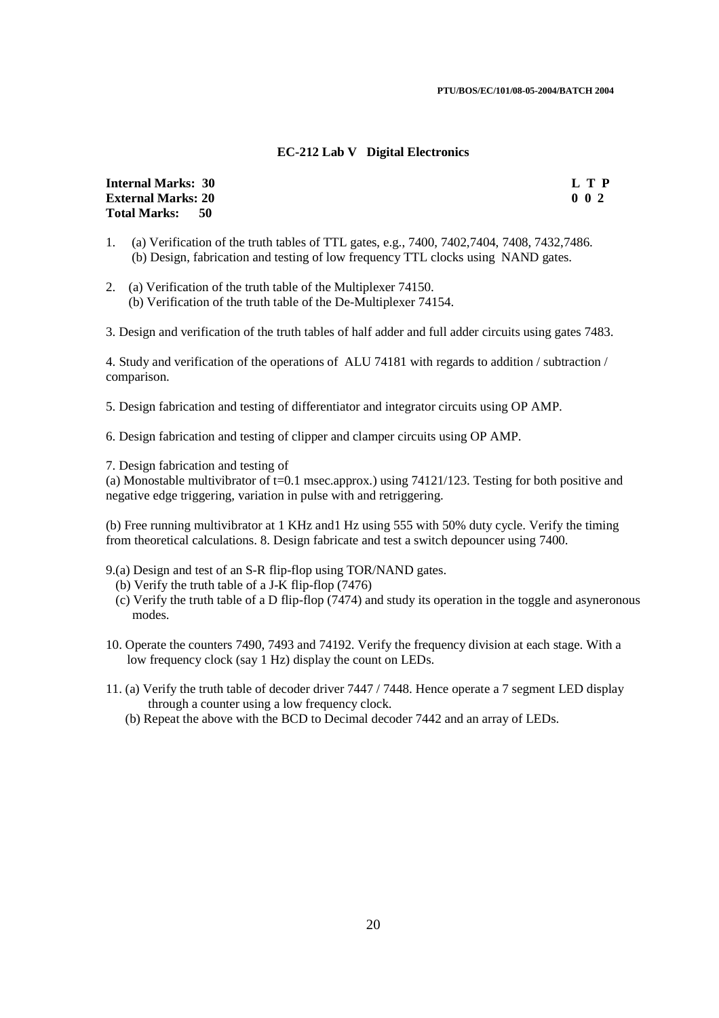### **EC-212 Lab V Digital Electronics**

**Internal Marks: 30 L T P I External Marks: 20 0 0 2 Total Marks: 50**

- 1. (a) Verification of the truth tables of TTL gates, e.g., 7400, 7402,7404, 7408, 7432,7486. (b) Design, fabrication and testing of low frequency TTL clocks using NAND gates.
- 2. (a) Verification of the truth table of the Multiplexer 74150. (b) Verification of the truth table of the De-Multiplexer 74154.

3. Design and verification of the truth tables of half adder and full adder circuits using gates 7483.

4. Study and verification of the operations of ALU 74181 with regards to addition / subtraction / comparison.

5. Design fabrication and testing of differentiator and integrator circuits using OP AMP.

6. Design fabrication and testing of clipper and clamper circuits using OP AMP.

7. Design fabrication and testing of

(a) Monostable multivibrator of  $t=0.1$  msec.approx.) using  $74121/123$ . Testing for both positive and negative edge triggering, variation in pulse with and retriggering.

(b) Free running multivibrator at 1 KHz and1 Hz using 555 with 50% duty cycle. Verify the timing from theoretical calculations. 8. Design fabricate and test a switch depouncer using 7400.

- 9.(a) Design and test of an S-R flip-flop using TOR/NAND gates.
	- (b) Verify the truth table of a J-K flip-flop (7476)
	- (c) Verify the truth table of a D flip-flop (7474) and study its operation in the toggle and asyneronous modes.
- 10. Operate the counters 7490, 7493 and 74192. Verify the frequency division at each stage. With a low frequency clock (say 1 Hz) display the count on LEDs.
- 11. (a) Verify the truth table of decoder driver 7447 / 7448. Hence operate a 7 segment LED display through a counter using a low frequency clock.
	- (b) Repeat the above with the BCD to Decimal decoder 7442 and an array of LEDs.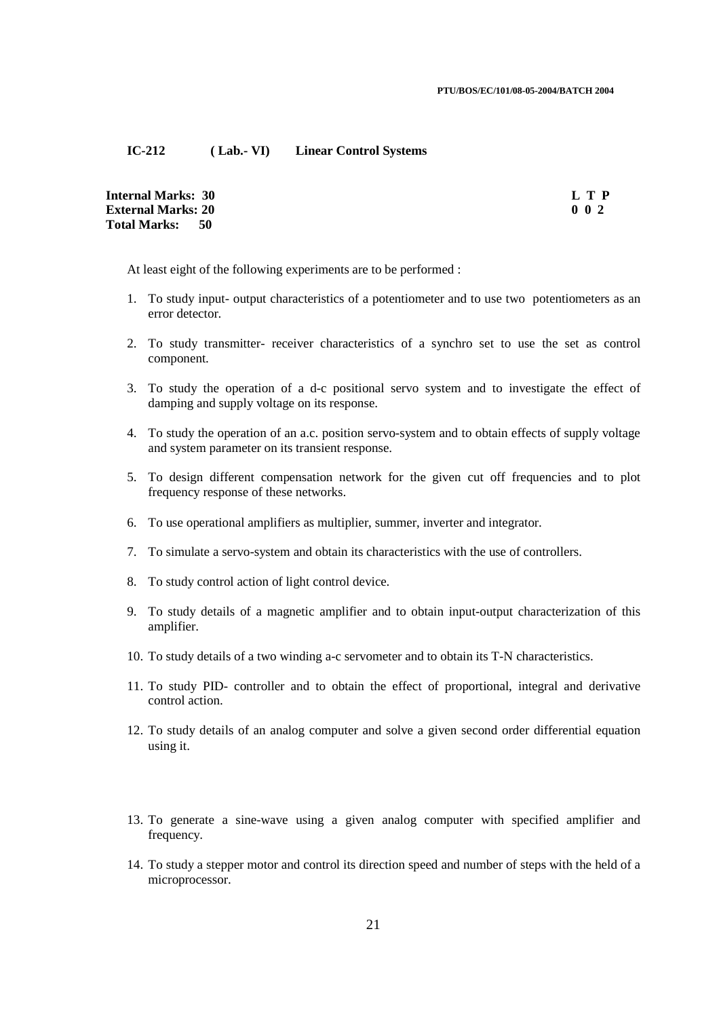### **IC-212 ( Lab.- VI) Linear Control Systems**

| Internal Marks:  30        | L T P            |
|----------------------------|------------------|
| <b>External Marks: 20</b>  | 0 <sub>0</sub> 2 |
| <b>Total Marks:</b><br>-50 |                  |

At least eight of the following experiments are to be performed :

- 1. To study input- output characteristics of a potentiometer and to use two potentiometers as an error detector.
- 2. To study transmitter- receiver characteristics of a synchro set to use the set as control component.
- 3. To study the operation of a d-c positional servo system and to investigate the effect of damping and supply voltage on its response.
- 4. To study the operation of an a.c. position servo-system and to obtain effects of supply voltage and system parameter on its transient response.
- 5. To design different compensation network for the given cut off frequencies and to plot frequency response of these networks.
- 6. To use operational amplifiers as multiplier, summer, inverter and integrator.
- 7. To simulate a servo-system and obtain its characteristics with the use of controllers.
- 8. To study control action of light control device.
- 9. To study details of a magnetic amplifier and to obtain input-output characterization of this amplifier.
- 10. To study details of a two winding a-c servometer and to obtain its T-N characteristics.
- 11. To study PID- controller and to obtain the effect of proportional, integral and derivative control action.
- 12. To study details of an analog computer and solve a given second order differential equation using it.
- 13. To generate a sine-wave using a given analog computer with specified amplifier and frequency.
- 14. To study a stepper motor and control its direction speed and number of steps with the held of a microprocessor.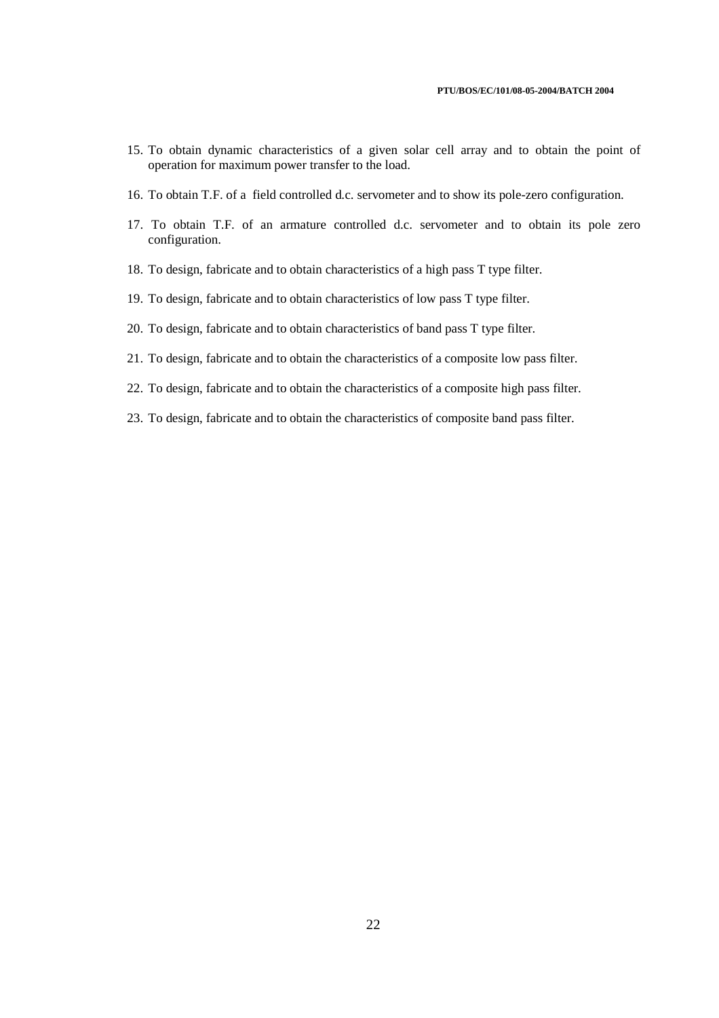- 15. To obtain dynamic characteristics of a given solar cell array and to obtain the point of operation for maximum power transfer to the load.
- 16. To obtain T.F. of a field controlled d.c. servometer and to show its pole-zero configuration.
- 17. To obtain T.F. of an armature controlled d.c. servometer and to obtain its pole zero configuration.
- 18. To design, fabricate and to obtain characteristics of a high pass T type filter.
- 19. To design, fabricate and to obtain characteristics of low pass T type filter.
- 20. To design, fabricate and to obtain characteristics of band pass T type filter.
- 21. To design, fabricate and to obtain the characteristics of a composite low pass filter.
- 22. To design, fabricate and to obtain the characteristics of a composite high pass filter.
- 23. To design, fabricate and to obtain the characteristics of composite band pass filter.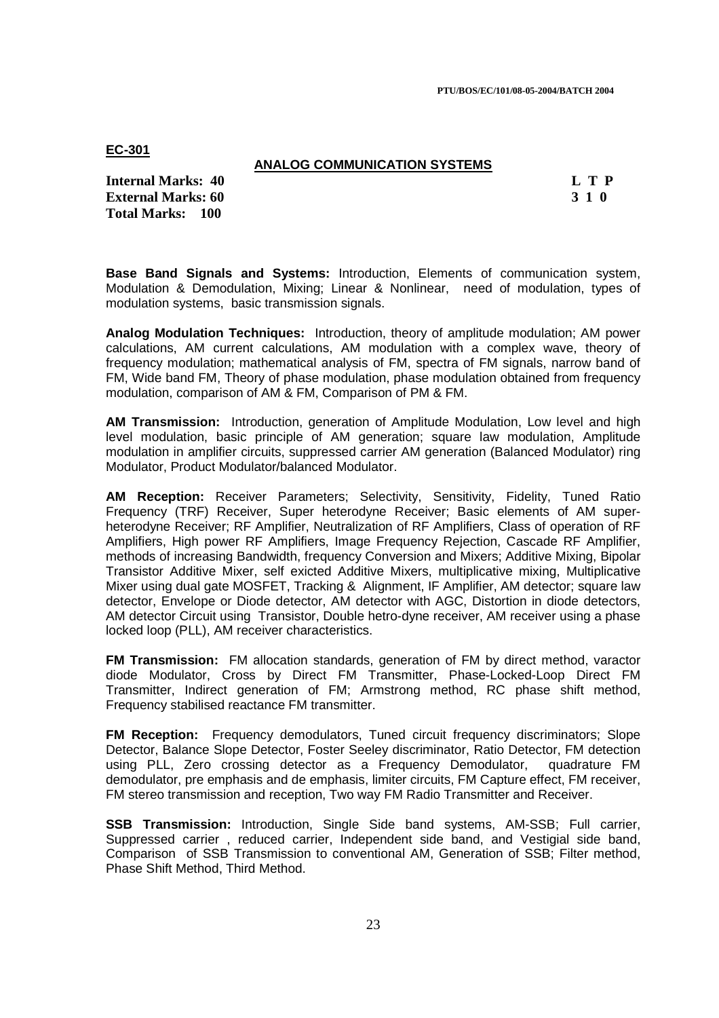**PTU/BOS/EC/101/08-05-2004/BATCH 2004** 

**EC-301** 

## **ANALOG COMMUNICATION SYSTEMS**

**Internal Marks: 40 L T P I** L T P **External Marks: 60 3 1 0 Total Marks: 100**

**Base Band Signals and Systems:** Introduction, Elements of communication system, Modulation & Demodulation, Mixing; Linear & Nonlinear, need of modulation, types of modulation systems, basic transmission signals.

**Analog Modulation Techniques:** Introduction, theory of amplitude modulation; AM power calculations, AM current calculations, AM modulation with a complex wave, theory of frequency modulation; mathematical analysis of FM, spectra of FM signals, narrow band of FM, Wide band FM, Theory of phase modulation, phase modulation obtained from frequency modulation, comparison of AM & FM, Comparison of PM & FM.

**AM Transmission:** Introduction, generation of Amplitude Modulation, Low level and high level modulation, basic principle of AM generation; square law modulation, Amplitude modulation in amplifier circuits, suppressed carrier AM generation (Balanced Modulator) ring Modulator, Product Modulator/balanced Modulator.

**AM Reception:** Receiver Parameters; Selectivity, Sensitivity, Fidelity, Tuned Ratio Frequency (TRF) Receiver, Super heterodyne Receiver; Basic elements of AM superheterodyne Receiver; RF Amplifier, Neutralization of RF Amplifiers, Class of operation of RF Amplifiers, High power RF Amplifiers, Image Frequency Rejection, Cascade RF Amplifier, methods of increasing Bandwidth, frequency Conversion and Mixers; Additive Mixing, Bipolar Transistor Additive Mixer, self exicted Additive Mixers, multiplicative mixing, Multiplicative Mixer using dual gate MOSFET, Tracking & Alignment, IF Amplifier, AM detector; square law detector, Envelope or Diode detector, AM detector with AGC, Distortion in diode detectors, AM detector Circuit using Transistor, Double hetro-dyne receiver, AM receiver using a phase locked loop (PLL), AM receiver characteristics.

**FM Transmission:** FM allocation standards, generation of FM by direct method, varactor diode Modulator, Cross by Direct FM Transmitter, Phase-Locked-Loop Direct FM Transmitter, Indirect generation of FM; Armstrong method, RC phase shift method, Frequency stabilised reactance FM transmitter.

**FM Reception:** Frequency demodulators, Tuned circuit frequency discriminators; Slope Detector, Balance Slope Detector, Foster Seeley discriminator, Ratio Detector, FM detection using PLL, Zero crossing detector as a Frequency Demodulator, quadrature FM demodulator, pre emphasis and de emphasis, limiter circuits, FM Capture effect, FM receiver, FM stereo transmission and reception, Two way FM Radio Transmitter and Receiver.

**SSB Transmission:** Introduction, Single Side band systems, AM-SSB; Full carrier, Suppressed carrier , reduced carrier, Independent side band, and Vestigial side band, Comparison of SSB Transmission to conventional AM, Generation of SSB; Filter method, Phase Shift Method, Third Method.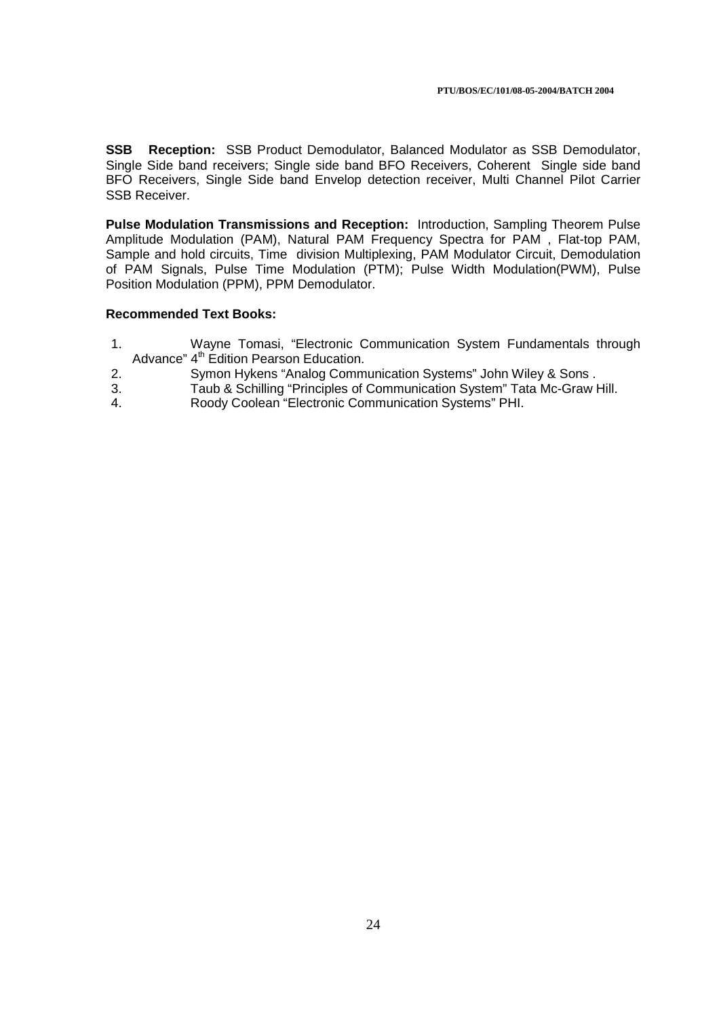**SSB Reception:** SSB Product Demodulator, Balanced Modulator as SSB Demodulator, Single Side band receivers; Single side band BFO Receivers, Coherent Single side band BFO Receivers, Single Side band Envelop detection receiver, Multi Channel Pilot Carrier SSB Receiver.

**Pulse Modulation Transmissions and Reception:** Introduction, Sampling Theorem Pulse Amplitude Modulation (PAM), Natural PAM Frequency Spectra for PAM , Flat-top PAM, Sample and hold circuits, Time division Multiplexing, PAM Modulator Circuit, Demodulation of PAM Signals, Pulse Time Modulation (PTM); Pulse Width Modulation(PWM), Pulse Position Modulation (PPM), PPM Demodulator.

- 1. Wayne Tomasi, "Electronic Communication System Fundamentals through Advance" 4<sup>th</sup> Edition Pearson Education.
- 2. Symon Hykens "Analog Communication Systems" John Wiley & Sons .
- 3. Taub & Schilling "Principles of Communication System" Tata Mc-Graw Hill.
- 4. Roody Coolean "Electronic Communication Systems" PHI.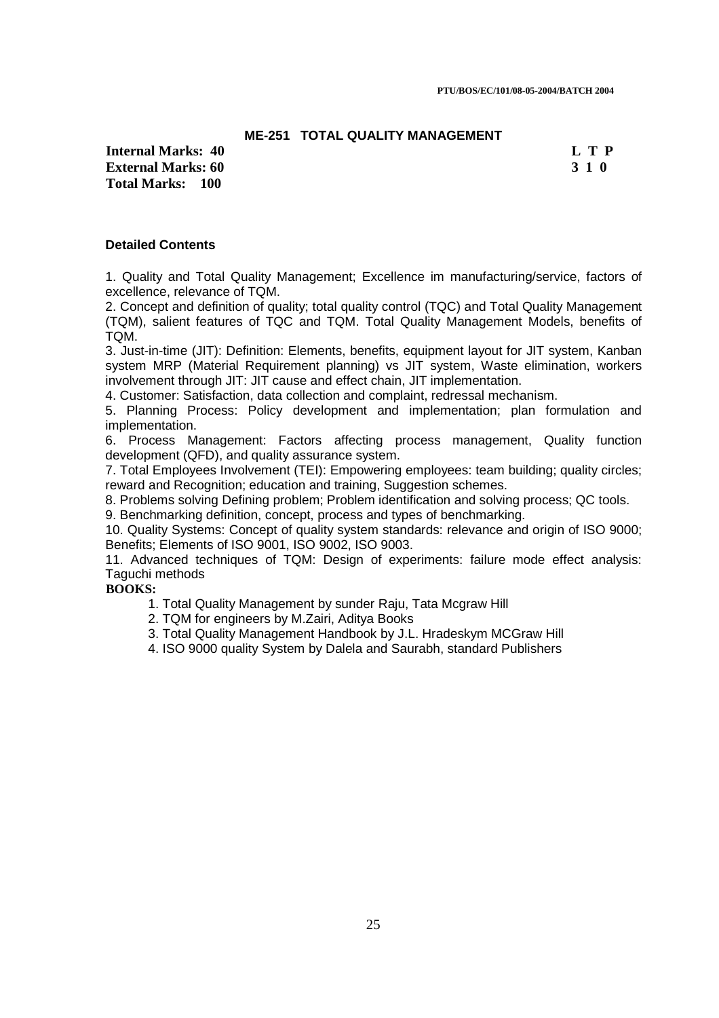### **ME-251 TOTAL QUALITY MANAGEMENT**

**Internal Marks: 40 L T P External Marks: 60 3 1 0 3 2 3 3 4 6 3 4 5 4 4 4 4 4 5 4 5 4 5 4 5 4 5 4 5 6 4 5 6 7 6 7 7 8 4 5 6 7 7 8 7 7 8 7 8 7 7 8 7 7 8 7 7 8 7 7 8 7 7 8 7 7 8 7 7 8 7 7 8 7 7 8 7 7 8 7 7 8 7 7 8 7 7 8 7 7 8 7 7 8 7 7 8 7 7 8 7 7 Total Marks: 100**

### **Detailed Contents**

1. Quality and Total Quality Management; Excellence im manufacturing/service, factors of excellence, relevance of TQM.

2. Concept and definition of quality; total quality control (TQC) and Total Quality Management (TQM), salient features of TQC and TQM. Total Quality Management Models, benefits of TQM.

3. Just-in-time (JIT): Definition: Elements, benefits, equipment layout for JIT system, Kanban system MRP (Material Requirement planning) vs JIT system, Waste elimination, workers involvement through JIT: JIT cause and effect chain, JIT implementation.

4. Customer: Satisfaction, data collection and complaint, redressal mechanism.

5. Planning Process: Policy development and implementation; plan formulation and implementation.

6. Process Management: Factors affecting process management, Quality function development (QFD), and quality assurance system.

7. Total Employees Involvement (TEI): Empowering employees: team building; quality circles; reward and Recognition; education and training, Suggestion schemes.

8. Problems solving Defining problem; Problem identification and solving process; QC tools.

9. Benchmarking definition, concept, process and types of benchmarking.

10. Quality Systems: Concept of quality system standards: relevance and origin of ISO 9000; Benefits; Elements of ISO 9001, ISO 9002, ISO 9003.

11. Advanced techniques of TQM: Design of experiments: failure mode effect analysis: Taguchi methods

### **BOOKS:**

- 1. Total Quality Management by sunder Raju, Tata Mcgraw Hill
- 2. TQM for engineers by M.Zairi, Aditya Books
- 3. Total Quality Management Handbook by J.L. Hradeskym MCGraw Hill

4. ISO 9000 quality System by Dalela and Saurabh, standard Publishers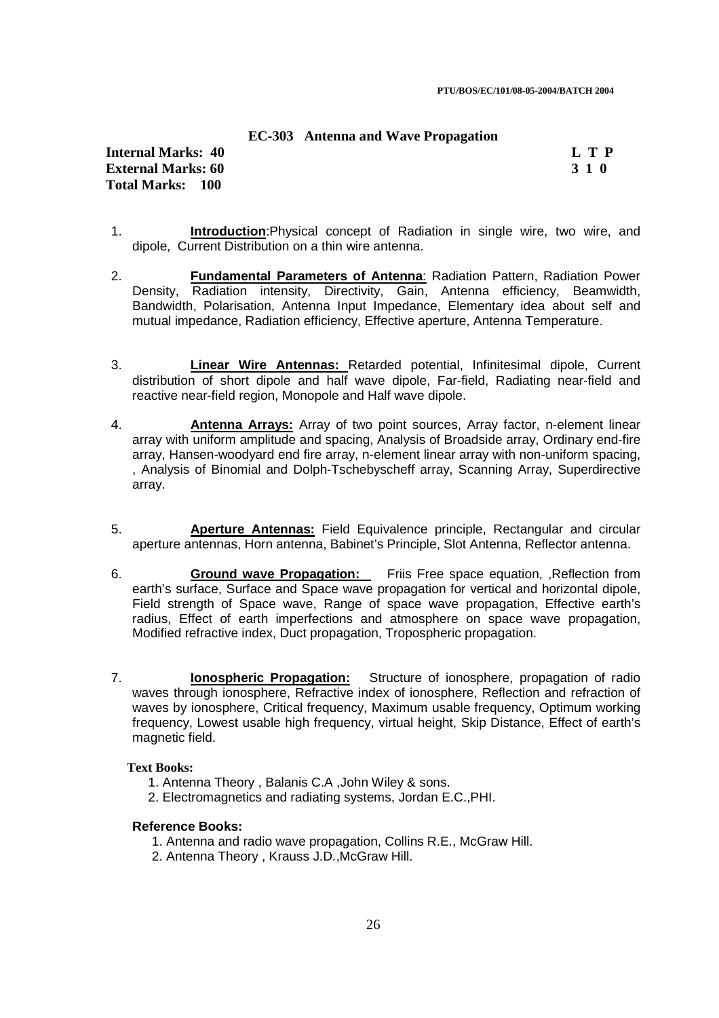### **EC-303 Antenna and Wave Propagation**

## **Internal Marks: 40 L T P External Marks: 60 3 1 0 Total Marks: 100**

- 1. **Introduction**:Physical concept of Radiation in single wire, two wire, and dipole, Current Distribution on a thin wire antenna.
- 2. **Fundamental Parameters of Antenna**: Radiation Pattern, Radiation Power Density, Radiation intensity, Directivity, Gain, Antenna efficiency, Beamwidth, Bandwidth, Polarisation, Antenna Input Impedance, Elementary idea about self and mutual impedance, Radiation efficiency, Effective aperture, Antenna Temperature.
- 3. **Linear Wire Antennas:** Retarded potential, Infinitesimal dipole, Current distribution of short dipole and half wave dipole, Far-field, Radiating near-field and reactive near-field region, Monopole and Half wave dipole.
- 4. **Antenna Arrays:** Array of two point sources, Array factor, n-element linear array with uniform amplitude and spacing, Analysis of Broadside array, Ordinary end-fire array, Hansen-woodyard end fire array, n-element linear array with non-uniform spacing, , Analysis of Binomial and Dolph-Tschebyscheff array, Scanning Array, Superdirective array.
- 5. **Aperture Antennas:** Field Equivalence principle, Rectangular and circular aperture antennas, Horn antenna, Babinet's Principle, Slot Antenna, Reflector antenna.
- 6. **Ground wave Propagation:** Friis Free space equation, ,Reflection from earth's surface, Surface and Space wave propagation for vertical and horizontal dipole, Field strength of Space wave, Range of space wave propagation, Effective earth's radius, Effect of earth imperfections and atmosphere on space wave propagation, Modified refractive index, Duct propagation, Tropospheric propagation.
- 7. **Ionospheric Propagation:** Structure of ionosphere, propagation of radio waves through ionosphere, Refractive index of ionosphere. Reflection and refraction of waves by ionosphere, Critical frequency, Maximum usable frequency, Optimum working frequency, Lowest usable high frequency, virtual height, Skip Distance, Effect of earth's magnetic field.

### **Text Books:**

- 1. Antenna Theory , Balanis C.A ,John Wiley & sons.
- 2. Electromagnetics and radiating systems, Jordan E.C.,PHI.

### **Reference Books:**

- 1. Antenna and radio wave propagation, Collins R.E., McGraw Hill.
- 2. Antenna Theory , Krauss J.D.,McGraw Hill.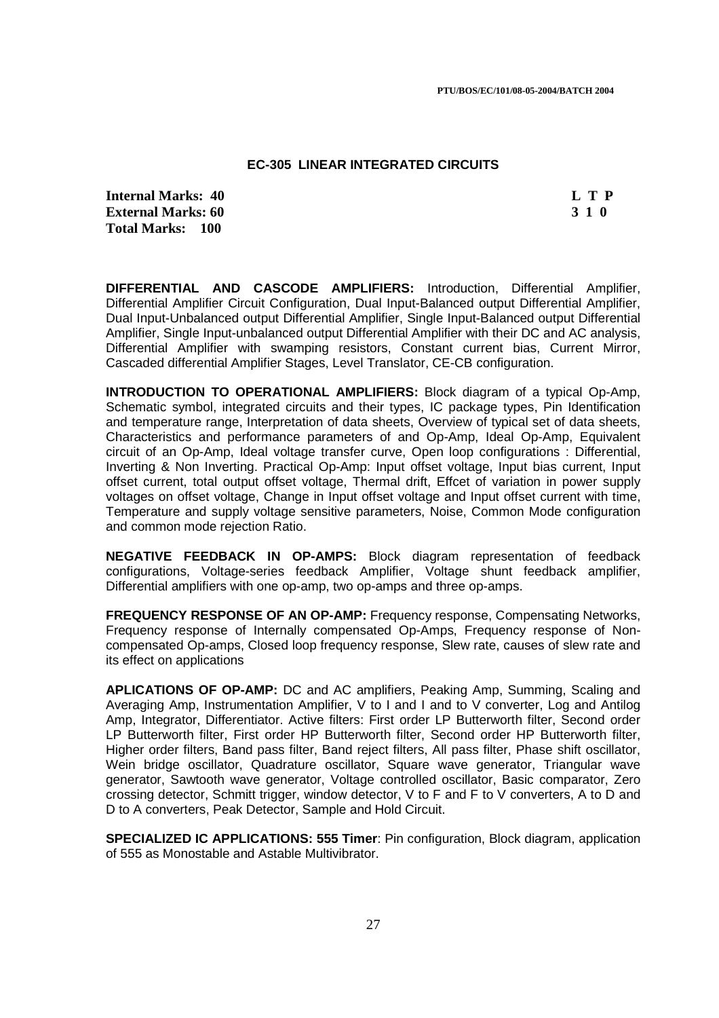### **EC-305 LINEAR INTEGRATED CIRCUITS**

**Internal Marks: 40 L T P External Marks: 60 3 1 0 3 2 3 3 4 6 3 4 5 6 7 3 4 6 3 4 7 6 7 7 8 7 4 7 7 8 7 7 8 7 7 8 7 7 8 7 7 8 7 7 8 7 8 7 7 8 7 7 8 7 7 8 7 7 8 7 7 8 7 7 8 7 7 8 7 7 8 7 7 8 7 7 8 7 7 8 7 7 8 7 7 8 7 7 8 7 7 8 7 7 8 7 7 8 7 7 8 7 Total Marks: 100**

**DIFFERENTIAL AND CASCODE AMPLIFIERS:** Introduction, Differential Amplifier, Differential Amplifier Circuit Configuration, Dual Input-Balanced output Differential Amplifier, Dual Input-Unbalanced output Differential Amplifier, Single Input-Balanced output Differential Amplifier, Single Input-unbalanced output Differential Amplifier with their DC and AC analysis, Differential Amplifier with swamping resistors, Constant current bias, Current Mirror, Cascaded differential Amplifier Stages, Level Translator, CE-CB configuration.

**INTRODUCTION TO OPERATIONAL AMPLIFIERS:** Block diagram of a typical Op-Amp, Schematic symbol, integrated circuits and their types, IC package types, Pin Identification and temperature range, Interpretation of data sheets, Overview of typical set of data sheets, Characteristics and performance parameters of and Op-Amp, Ideal Op-Amp, Equivalent circuit of an Op-Amp, Ideal voltage transfer curve, Open loop configurations : Differential, Inverting & Non Inverting. Practical Op-Amp: Input offset voltage, Input bias current, Input offset current, total output offset voltage, Thermal drift, Effcet of variation in power supply voltages on offset voltage, Change in Input offset voltage and Input offset current with time, Temperature and supply voltage sensitive parameters, Noise, Common Mode configuration and common mode rejection Ratio.

**NEGATIVE FEEDBACK IN OP-AMPS:** Block diagram representation of feedback configurations, Voltage-series feedback Amplifier, Voltage shunt feedback amplifier, Differential amplifiers with one op-amp, two op-amps and three op-amps.

**FREQUENCY RESPONSE OF AN OP-AMP:** Frequency response, Compensating Networks, Frequency response of Internally compensated Op-Amps, Frequency response of Noncompensated Op-amps, Closed loop frequency response, Slew rate, causes of slew rate and its effect on applications

**APLICATIONS OF OP-AMP:** DC and AC amplifiers, Peaking Amp, Summing, Scaling and Averaging Amp, Instrumentation Amplifier, V to I and I and to V converter, Log and Antilog Amp, Integrator, Differentiator. Active filters: First order LP Butterworth filter, Second order LP Butterworth filter, First order HP Butterworth filter, Second order HP Butterworth filter, Higher order filters, Band pass filter, Band reject filters, All pass filter, Phase shift oscillator, Wein bridge oscillator, Quadrature oscillator, Square wave generator, Triangular wave generator, Sawtooth wave generator, Voltage controlled oscillator, Basic comparator, Zero crossing detector, Schmitt trigger, window detector, V to F and F to V converters, A to D and D to A converters, Peak Detector, Sample and Hold Circuit.

**SPECIALIZED IC APPLICATIONS: 555 Timer**: Pin configuration, Block diagram, application of 555 as Monostable and Astable Multivibrator.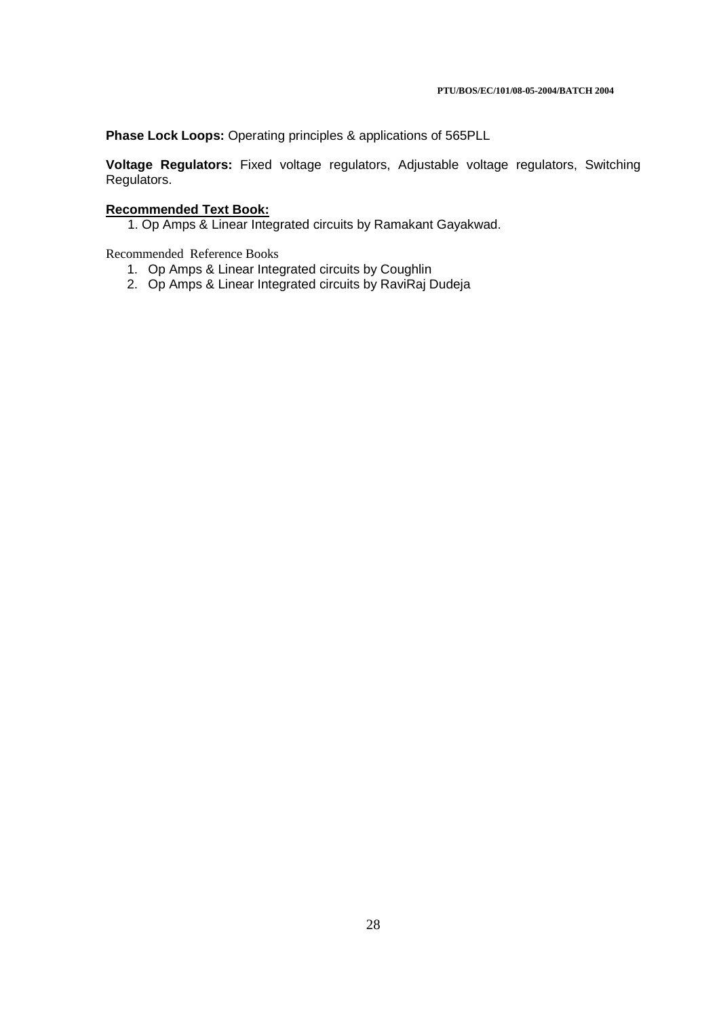**Phase Lock Loops:** Operating principles & applications of 565PLL

**Voltage Regulators:** Fixed voltage regulators, Adjustable voltage regulators, Switching Regulators.

# **Recommended Text Book:**

1. Op Amps & Linear Integrated circuits by Ramakant Gayakwad.

Recommended Reference Books

- 1. Op Amps & Linear Integrated circuits by Coughlin
- 2. Op Amps & Linear Integrated circuits by RaviRaj Dudeja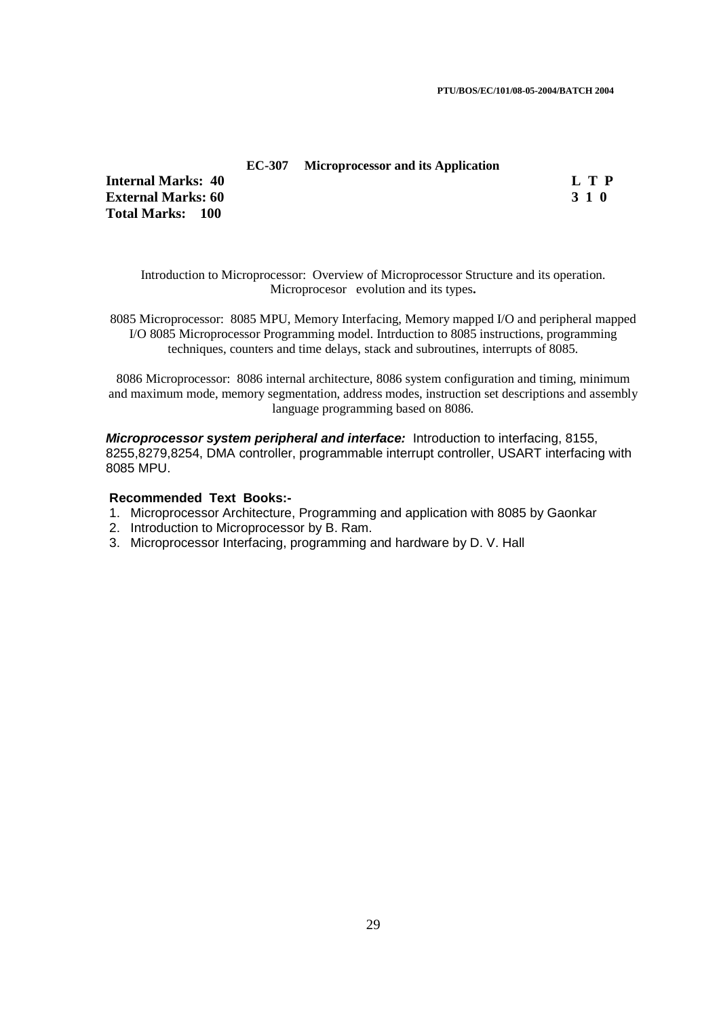**PTU/BOS/EC/101/08-05-2004/BATCH 2004** 

### **EC-307 Microprocessor and its Application**

**Internal Marks: 40 L T P I** L T P **External Marks: 60 3 1 0 Total Marks: 100**

Introduction to Microprocessor: Overview of Microprocessor Structure and its operation. Microprocesor evolution and its types**.** 

8085 Microprocessor: 8085 MPU, Memory Interfacing, Memory mapped I/O and peripheral mapped I/O 8085 Microprocessor Programming model. Intrduction to 8085 instructions, programming techniques, counters and time delays, stack and subroutines, interrupts of 8085.

8086 Microprocessor: 8086 internal architecture, 8086 system configuration and timing, minimum and maximum mode, memory segmentation, address modes, instruction set descriptions and assembly language programming based on 8086.

**Microprocessor system peripheral and interface:** Introduction to interfacing, 8155, 8255,8279,8254, DMA controller, programmable interrupt controller, USART interfacing with 8085 MPU.

- 1. Microprocessor Architecture, Programming and application with 8085 by Gaonkar
- 2. Introduction to Microprocessor by B. Ram.
- 3. Microprocessor Interfacing, programming and hardware by D. V. Hall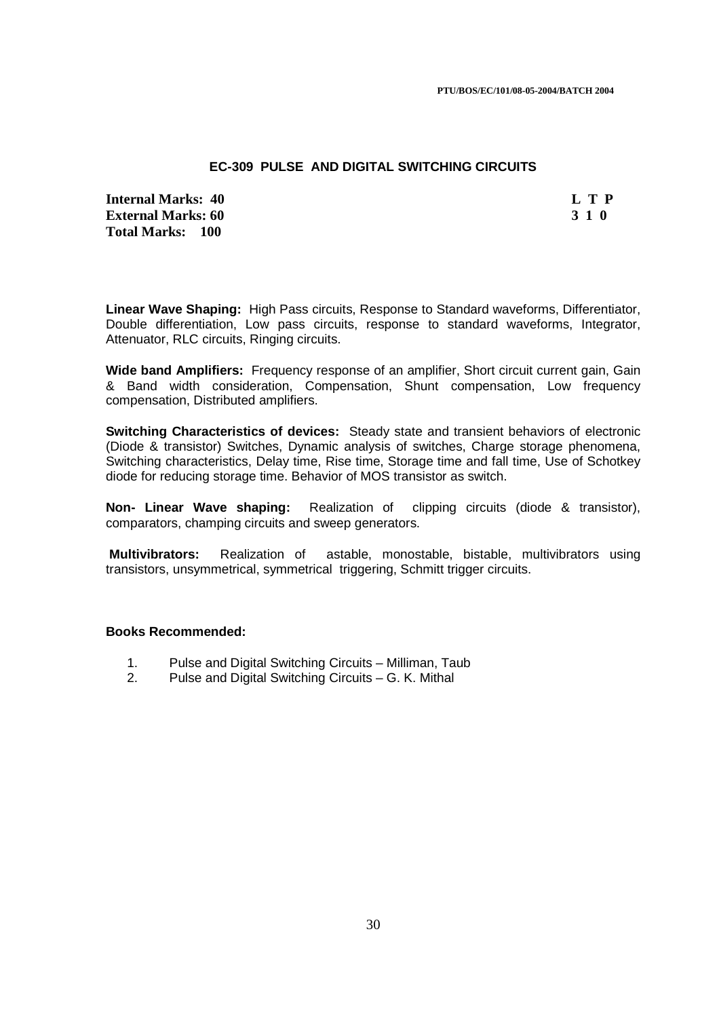### **EC-309 PULSE AND DIGITAL SWITCHING CIRCUITS**

**Internal Marks: 40 L T P L T P External Marks: 60 3 1 0 Total Marks: 100**

**Linear Wave Shaping:** High Pass circuits, Response to Standard waveforms, Differentiator, Double differentiation, Low pass circuits, response to standard waveforms, Integrator, Attenuator, RLC circuits, Ringing circuits.

**Wide band Amplifiers:** Frequency response of an amplifier, Short circuit current gain, Gain & Band width consideration, Compensation, Shunt compensation, Low frequency compensation, Distributed amplifiers.

**Switching Characteristics of devices:** Steady state and transient behaviors of electronic (Diode & transistor) Switches, Dynamic analysis of switches, Charge storage phenomena, Switching characteristics, Delay time, Rise time, Storage time and fall time, Use of Schotkey diode for reducing storage time. Behavior of MOS transistor as switch.

**Non- Linear Wave shaping:** Realization of clipping circuits (diode & transistor), comparators, champing circuits and sweep generators.

**Multivibrators:** Realization of astable, monostable, bistable, multivibrators using transistors, unsymmetrical, symmetrical triggering, Schmitt trigger circuits.

### **Books Recommended:**

- 1. Pulse and Digital Switching Circuits Milliman, Taub
- 2. Pulse and Digital Switching Circuits G. K. Mithal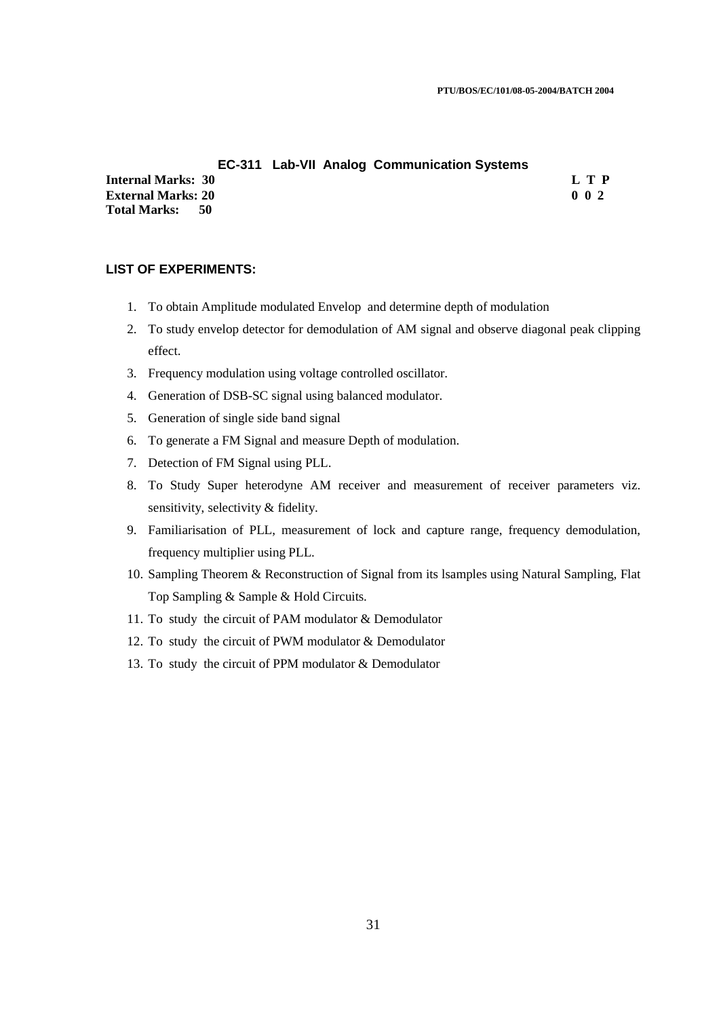### **EC-311 Lab-VII Analog Communication Systems**

**Internal Marks: 30 L T P L T P External Marks: 20 0 0 2 Total Marks: 50**

### **LIST OF EXPERIMENTS:**

- 1. To obtain Amplitude modulated Envelop and determine depth of modulation
- 2. To study envelop detector for demodulation of AM signal and observe diagonal peak clipping effect.
- 3. Frequency modulation using voltage controlled oscillator.
- 4. Generation of DSB-SC signal using balanced modulator.
- 5. Generation of single side band signal
- 6. To generate a FM Signal and measure Depth of modulation.
- 7. Detection of FM Signal using PLL.
- 8. To Study Super heterodyne AM receiver and measurement of receiver parameters viz. sensitivity, selectivity & fidelity.
- 9. Familiarisation of PLL, measurement of lock and capture range, frequency demodulation, frequency multiplier using PLL.
- 10. Sampling Theorem & Reconstruction of Signal from its lsamples using Natural Sampling, Flat Top Sampling & Sample & Hold Circuits.
- 11. To study the circuit of PAM modulator & Demodulator
- 12. To study the circuit of PWM modulator & Demodulator
- 13. To study the circuit of PPM modulator & Demodulator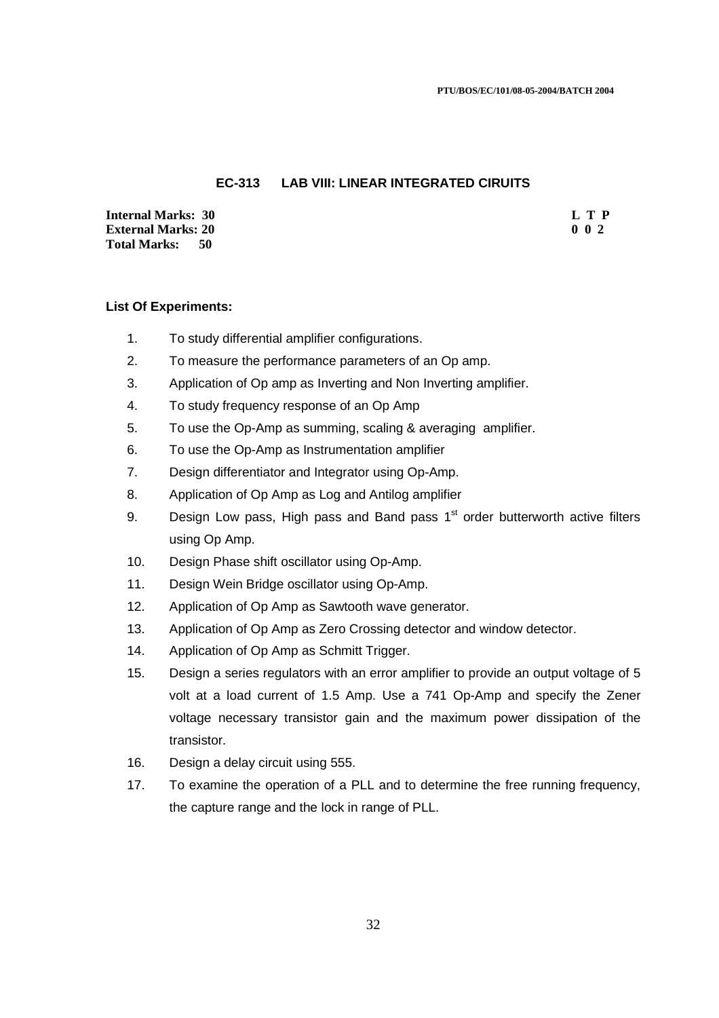### **EC-313 LAB VIII: LINEAR INTEGRATED CIRUITS**

**Internal Marks: 30 L T P L T P External Marks: 20 0 0 2 Total Marks: 50**

### **List Of Experiments:**

- 1. To study differential amplifier configurations.
- 2. To measure the performance parameters of an Op amp.
- 3. Application of Op amp as Inverting and Non Inverting amplifier.
- 4. To study frequency response of an Op Amp
- 5. To use the Op-Amp as summing, scaling & averaging amplifier.
- 6. To use the Op-Amp as Instrumentation amplifier
- 7. Design differentiator and Integrator using Op-Amp.
- 8. Application of Op Amp as Log and Antilog amplifier
- 9. Design Low pass, High pass and Band pass  $1<sup>st</sup>$  order butterworth active filters using Op Amp.
- 10. Design Phase shift oscillator using Op-Amp.
- 11. Design Wein Bridge oscillator using Op-Amp.
- 12. Application of Op Amp as Sawtooth wave generator.
- 13. Application of Op Amp as Zero Crossing detector and window detector.
- 14. Application of Op Amp as Schmitt Trigger.
- 15. Design a series regulators with an error amplifier to provide an output voltage of 5 volt at a load current of 1.5 Amp. Use a 741 Op-Amp and specify the Zener voltage necessary transistor gain and the maximum power dissipation of the transistor.
- 16. Design a delay circuit using 555.
- 17. To examine the operation of a PLL and to determine the free running frequency, the capture range and the lock in range of PLL.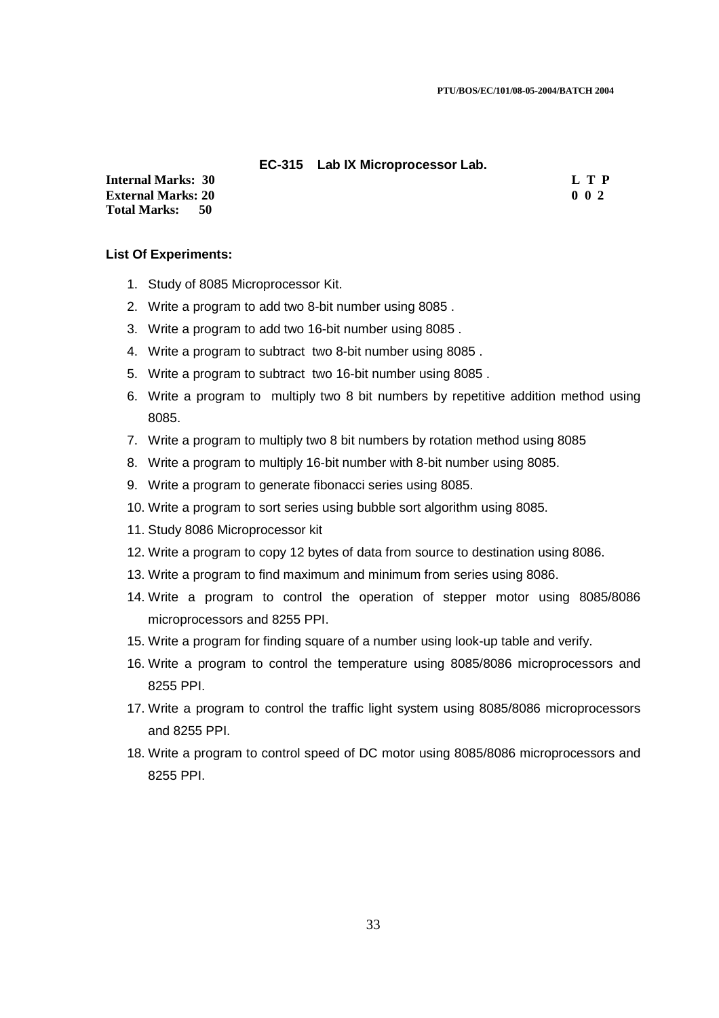### **EC-315 Lab IX Microprocessor Lab.**

**Internal Marks: 30 L T P L T P External Marks: 20 0 0 2 Total Marks: 50**

## **List Of Experiments:**

- 1. Study of 8085 Microprocessor Kit.
- 2. Write a program to add two 8-bit number using 8085 .
- 3. Write a program to add two 16-bit number using 8085 .
- 4. Write a program to subtract two 8-bit number using 8085 .
- 5. Write a program to subtract two 16-bit number using 8085 .
- 6. Write a program to multiply two 8 bit numbers by repetitive addition method using 8085.
- 7. Write a program to multiply two 8 bit numbers by rotation method using 8085
- 8. Write a program to multiply 16-bit number with 8-bit number using 8085.
- 9. Write a program to generate fibonacci series using 8085.
- 10. Write a program to sort series using bubble sort algorithm using 8085.
- 11. Study 8086 Microprocessor kit
- 12. Write a program to copy 12 bytes of data from source to destination using 8086.
- 13. Write a program to find maximum and minimum from series using 8086.
- 14. Write a program to control the operation of stepper motor using 8085/8086 microprocessors and 8255 PPI.
- 15. Write a program for finding square of a number using look-up table and verify.
- 16. Write a program to control the temperature using 8085/8086 microprocessors and 8255 PPI.
- 17. Write a program to control the traffic light system using 8085/8086 microprocessors and 8255 PPI.
- 18. Write a program to control speed of DC motor using 8085/8086 microprocessors and 8255 PPI.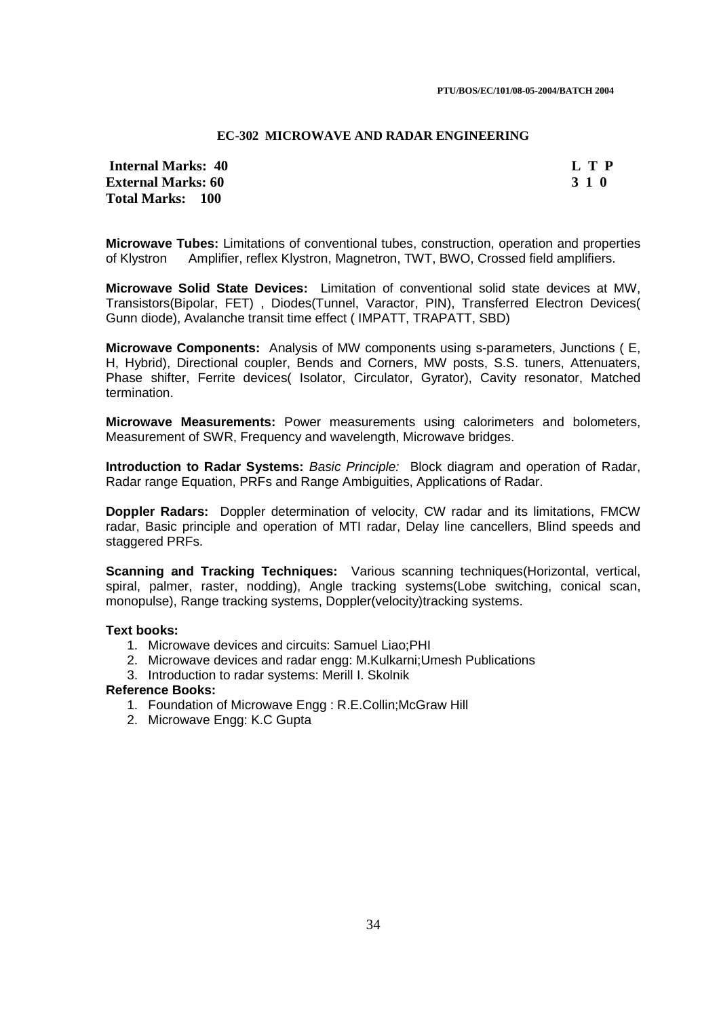#### **EC-302 MICROWAVE AND RADAR ENGINEERING**

## **Internal Marks: 40 L T P I** L T P **External Marks: 60 3 1 0 Total Marks: 100**

**Microwave Tubes:** Limitations of conventional tubes, construction, operation and properties of Klystron Amplifier, reflex Klystron, Magnetron, TWT, BWO, Crossed field amplifiers.

**Microwave Solid State Devices:** Limitation of conventional solid state devices at MW, Transistors(Bipolar, FET) , Diodes(Tunnel, Varactor, PIN), Transferred Electron Devices( Gunn diode), Avalanche transit time effect ( IMPATT, TRAPATT, SBD)

**Microwave Components:** Analysis of MW components using s-parameters, Junctions ( E, H, Hybrid), Directional coupler, Bends and Corners, MW posts, S.S. tuners, Attenuaters, Phase shifter, Ferrite devices( Isolator, Circulator, Gyrator), Cavity resonator, Matched termination.

**Microwave Measurements:** Power measurements using calorimeters and bolometers, Measurement of SWR, Frequency and wavelength, Microwave bridges.

**Introduction to Radar Systems:** Basic Principle: Block diagram and operation of Radar, Radar range Equation, PRFs and Range Ambiguities, Applications of Radar.

**Doppler Radars:** Doppler determination of velocity, CW radar and its limitations, FMCW radar, Basic principle and operation of MTI radar, Delay line cancellers, Blind speeds and staggered PRFs.

**Scanning and Tracking Techniques:** Various scanning techniques(Horizontal, vertical, spiral, palmer, raster, nodding), Angle tracking systems(Lobe switching, conical scan, monopulse), Range tracking systems, Doppler(velocity)tracking systems.

### **Text books:**

- 1. Microwave devices and circuits: Samuel Liao;PHI
- 2. Microwave devices and radar engg: M.Kulkarni;Umesh Publications
- 3. Introduction to radar systems: Merill I. Skolnik

## **Reference Books:**

- 1. Foundation of Microwave Engg : R.E.Collin;McGraw Hill
- 2. Microwave Engg: K.C Gupta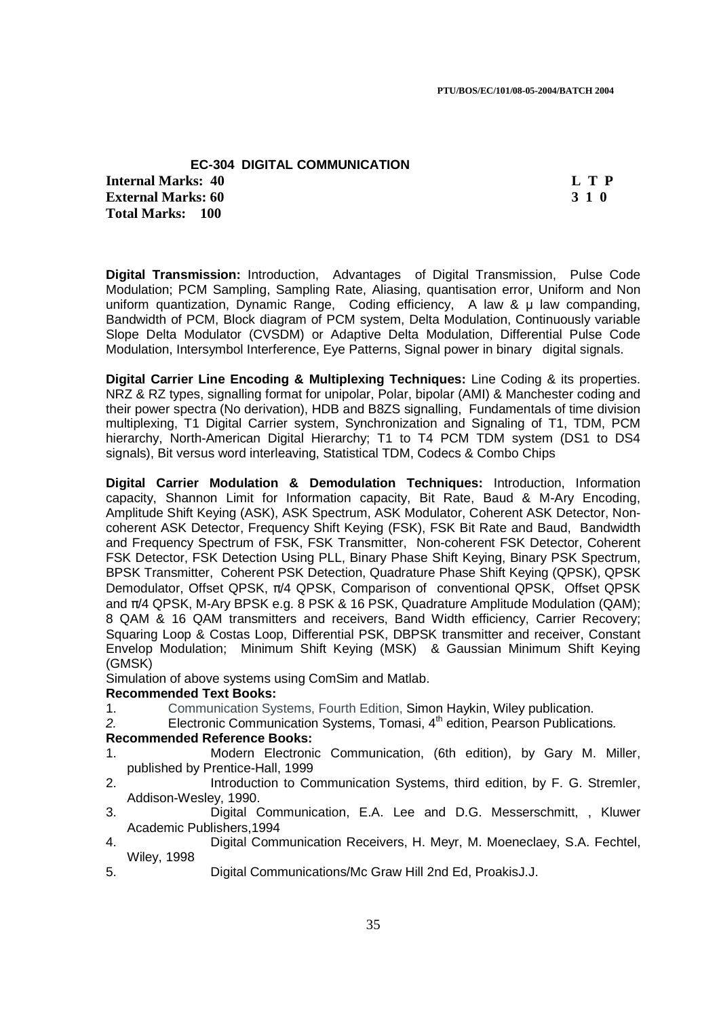## **EC-304 DIGITAL COMMUNICATION Internal Marks: 40 L T P L T P External Marks: 60 3 1 0 Total Marks: 100**

**Digital Transmission:** Introduction, Advantages of Digital Transmission, Pulse Code Modulation; PCM Sampling, Sampling Rate, Aliasing, quantisation error, Uniform and Non uniform quantization, Dynamic Range, Coding efficiency, A law & µ law companding, Bandwidth of PCM, Block diagram of PCM system, Delta Modulation, Continuously variable Slope Delta Modulator (CVSDM) or Adaptive Delta Modulation, Differential Pulse Code Modulation, Intersymbol Interference, Eye Patterns, Signal power in binary digital signals.

**Digital Carrier Line Encoding & Multiplexing Techniques:** Line Coding & its properties. NRZ & RZ types, signalling format for unipolar, Polar, bipolar (AMI) & Manchester coding and their power spectra (No derivation), HDB and B8ZS signalling, Fundamentals of time division multiplexing, T1 Digital Carrier system, Synchronization and Signaling of T1, TDM, PCM hierarchy, North-American Digital Hierarchy; T1 to T4 PCM TDM system (DS1 to DS4 signals), Bit versus word interleaving, Statistical TDM, Codecs & Combo Chips

**Digital Carrier Modulation & Demodulation Techniques:** Introduction, Information capacity, Shannon Limit for Information capacity, Bit Rate, Baud & M-Ary Encoding, Amplitude Shift Keying (ASK), ASK Spectrum, ASK Modulator, Coherent ASK Detector, Noncoherent ASK Detector, Frequency Shift Keying (FSK), FSK Bit Rate and Baud, Bandwidth and Frequency Spectrum of FSK, FSK Transmitter, Non-coherent FSK Detector, Coherent FSK Detector, FSK Detection Using PLL, Binary Phase Shift Keying, Binary PSK Spectrum, BPSK Transmitter, Coherent PSK Detection, Quadrature Phase Shift Keying (QPSK), QPSK Demodulator, Offset QPSK, π/4 QPSK, Comparison of conventional QPSK, Offset QPSK and  $\pi/4$  QPSK, M-Ary BPSK e.g. 8 PSK & 16 PSK, Quadrature Amplitude Modulation (QAM); 8 QAM & 16 QAM transmitters and receivers, Band Width efficiency, Carrier Recovery; Squaring Loop & Costas Loop, Differential PSK, DBPSK transmitter and receiver, Constant Envelop Modulation; Minimum Shift Keying (MSK) & Gaussian Minimum Shift Keying (GMSK)

Simulation of above systems using ComSim and Matlab.

### **Recommended Text Books:**

- 1. Communication Systems, Fourth Edition, Simon Haykin, Wiley publication.
- 2. **Electronic Communication Systems, Tomasi,**  $4<sup>th</sup>$  **edition, Pearson Publications.**

## **Recommended Reference Books:**

- 1. Modern Electronic Communication, (6th edition), by Gary M. Miller, published by Prentice-Hall, 1999
- 2. Introduction to Communication Systems, third edition, by F. G. Stremler, Addison-Wesley, 1990.
- 3. Digital Communication, E.A. Lee and D.G. Messerschmitt, , Kluwer Academic Publishers,1994
- 4. Digital Communication Receivers, H. Meyr, M. Moeneclaey, S.A. Fechtel, Wiley, 1998
- 5. Digital Communications/Mc Graw Hill 2nd Ed, ProakisJ.J.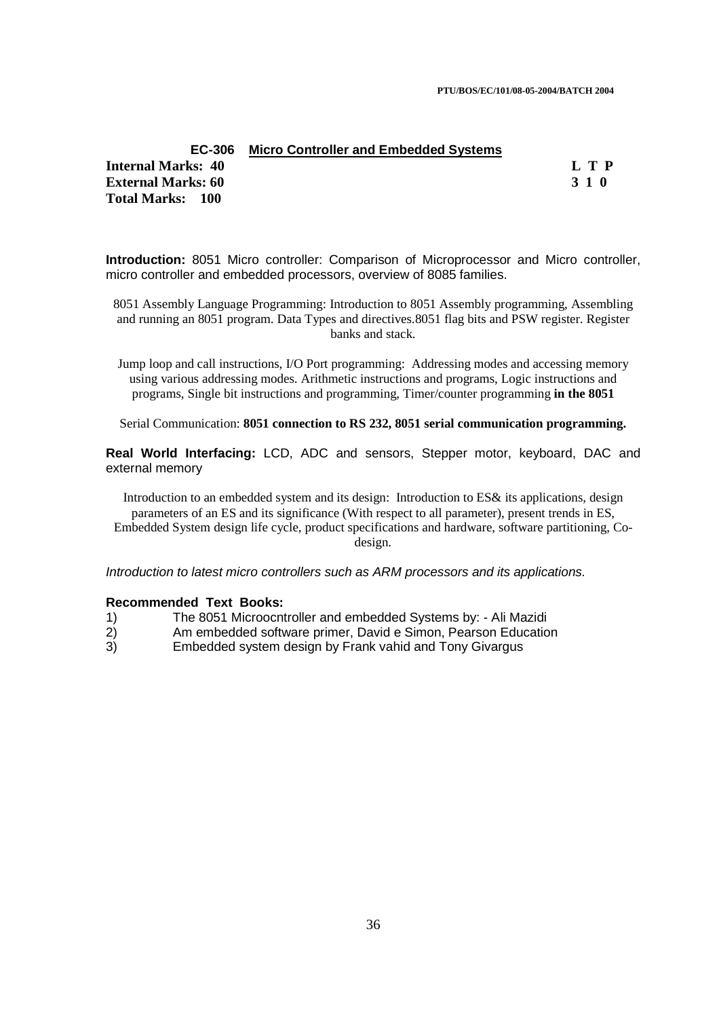**PTU/BOS/EC/101/08-05-2004/BATCH 2004** 

### **EC-306 Micro Controller and Embedded Systems**

**Internal Marks: 40 L T P I** L T P **External Marks: 60 3 1 0 Total Marks: 100**

**Introduction:** 8051 Micro controller: Comparison of Microprocessor and Micro controller, micro controller and embedded processors, overview of 8085 families.

8051 Assembly Language Programming: Introduction to 8051 Assembly programming, Assembling and running an 8051 program. Data Types and directives.8051 flag bits and PSW register. Register banks and stack.

Jump loop and call instructions, I/O Port programming: Addressing modes and accessing memory using various addressing modes. Arithmetic instructions and programs, Logic instructions and programs, Single bit instructions and programming, Timer/counter programming **in the 8051** 

Serial Communication: **8051 connection to RS 232, 8051 serial communication programming.** 

**Real World Interfacing:** LCD, ADC and sensors, Stepper motor, keyboard, DAC and external memory

Introduction to an embedded system and its design:Introduction to ES& its applications, design parameters of an ES and its significance (With respect to all parameter), present trends in ES, Embedded System design life cycle, product specifications and hardware, software partitioning, Codesign.

Introduction to latest micro controllers such as ARM processors and its applications.

- 1) The 8051 Microocntroller and embedded Systems by: Ali Mazidi
- 2) Am embedded software primer, David e Simon, Pearson Education
- 3) Embedded system design by Frank vahid and Tony Givargus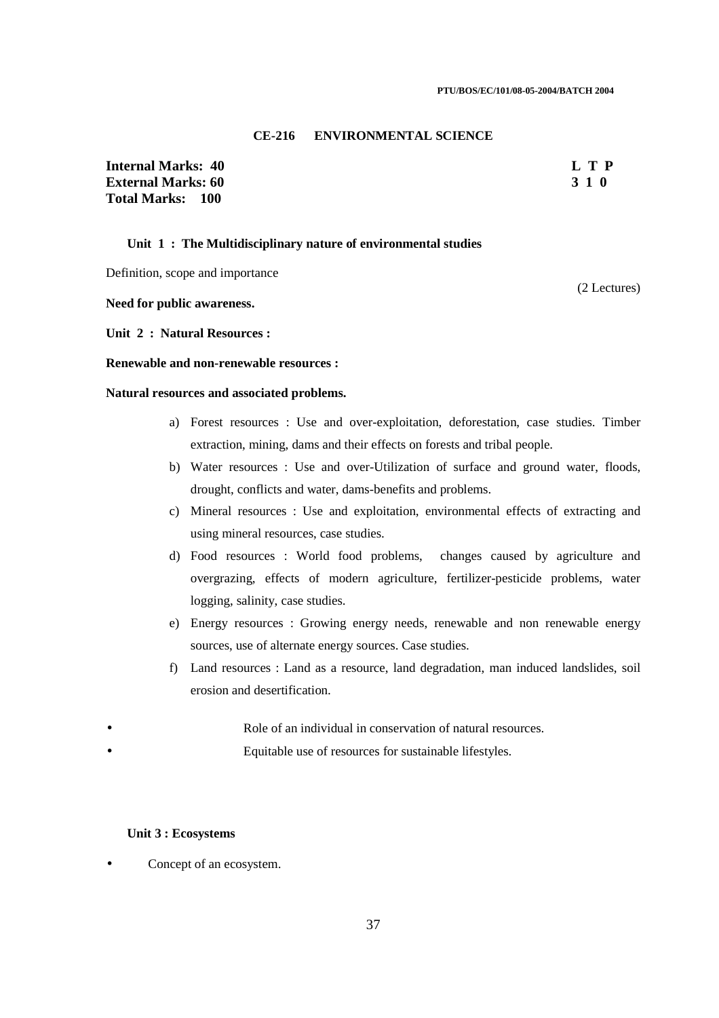#### **CE-216 ENVIRONMENTAL SCIENCE**

**Internal Marks: 40 L T P External Marks: 60 3 1 0 Total Marks: 100**

(2 Lectures)

### **Unit 1 : The Multidisciplinary nature of environmental studies**

Definition, scope and importance

**Need for public awareness.** 

**Unit 2 : Natural Resources :** 

### **Renewable and non-renewable resources :**

#### **Natural resources and associated problems.**

- a) Forest resources : Use and over-exploitation, deforestation, case studies. Timber extraction, mining, dams and their effects on forests and tribal people.
- b) Water resources : Use and over-Utilization of surface and ground water, floods, drought, conflicts and water, dams-benefits and problems.
- c) Mineral resources : Use and exploitation, environmental effects of extracting and using mineral resources, case studies.
- d) Food resources : World food problems, changes caused by agriculture and overgrazing, effects of modern agriculture, fertilizer-pesticide problems, water logging, salinity, case studies.
- e) Energy resources : Growing energy needs, renewable and non renewable energy sources, use of alternate energy sources. Case studies.
- f) Land resources : Land as a resource, land degradation, man induced landslides, soil erosion and desertification.
- Role of an individual in conservation of natural resources.
- Equitable use of resources for sustainable lifestyles.

#### **Unit 3 : Ecosystems**

• Concept of an ecosystem.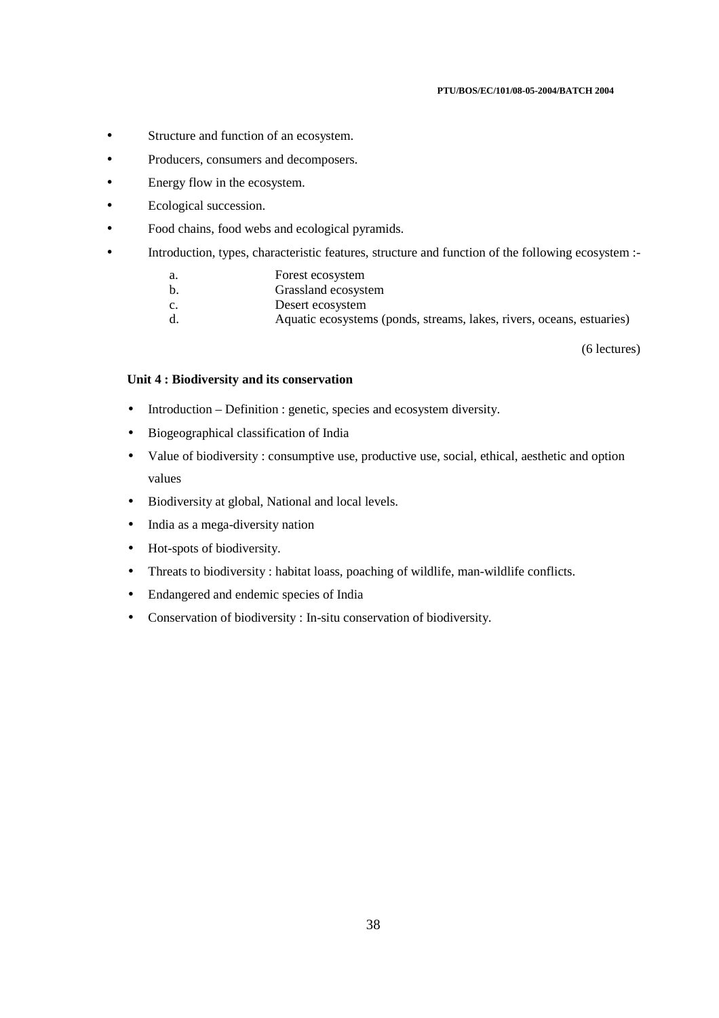#### **PTU/BOS/EC/101/08-05-2004/BATCH 2004**

- Structure and function of an ecosystem.
- Producers, consumers and decomposers.
- Energy flow in the ecosystem.
- Ecological succession.
- Food chains, food webs and ecological pyramids.
- Introduction, types, characteristic features, structure and function of the following ecosystem :
	- a. Forest ecosystem
	- b. Grassland ecosystem
	- c. Desert ecosystem
	- d. Aquatic ecosystems (ponds, streams, lakes, rivers, oceans, estuaries)

(6 lectures)

### **Unit 4 : Biodiversity and its conservation**

- Introduction Definition : genetic, species and ecosystem diversity.
- Biogeographical classification of India
- Value of biodiversity : consumptive use, productive use, social, ethical, aesthetic and option values
- Biodiversity at global, National and local levels.
- India as a mega-diversity nation
- Hot-spots of biodiversity.
- Threats to biodiversity : habitat loass, poaching of wildlife, man-wildlife conflicts.
- Endangered and endemic species of India
- Conservation of biodiversity : In-situ conservation of biodiversity.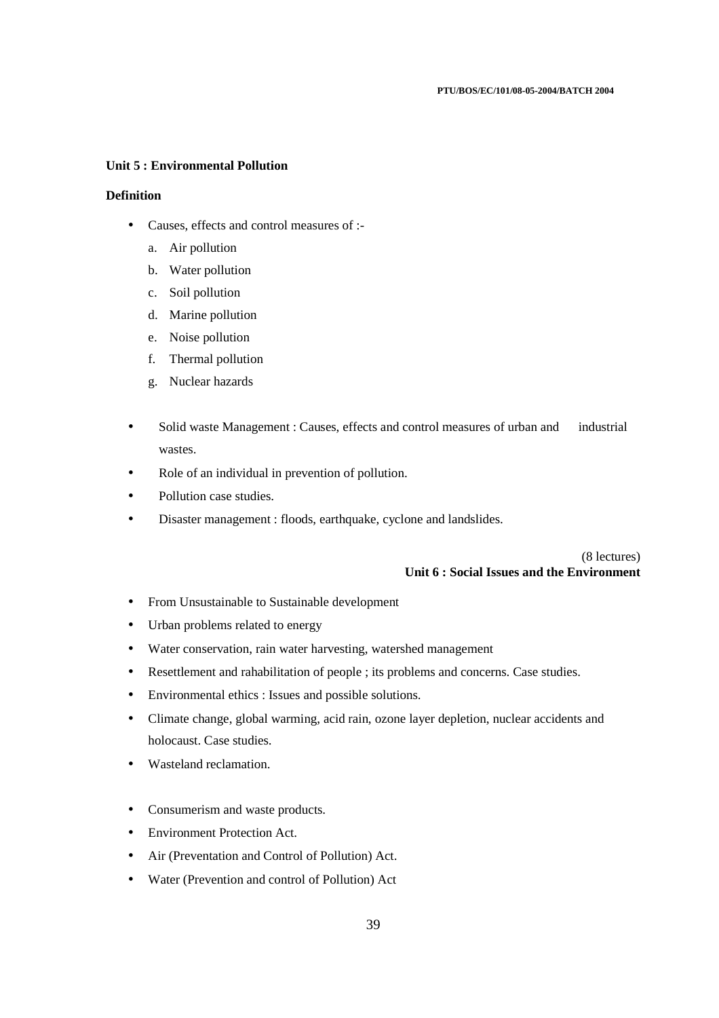### **Unit 5 : Environmental Pollution**

### **Definition**

- Causes, effects and control measures of :
	- a. Air pollution
	- b. Water pollution
	- c. Soil pollution
	- d. Marine pollution
	- e. Noise pollution
	- f. Thermal pollution
	- g. Nuclear hazards
- Solid waste Management : Causes, effects and control measures of urban and industrial wastes.
- Role of an individual in prevention of pollution.
- Pollution case studies.
- Disaster management : floods, earthquake, cyclone and landslides.

(8 lectures) **Unit 6 : Social Issues and the Environment** 

- From Unsustainable to Sustainable development
- Urban problems related to energy
- Water conservation, rain water harvesting, watershed management
- Resettlement and rahabilitation of people ; its problems and concerns. Case studies.
- Environmental ethics : Issues and possible solutions.
- Climate change, global warming, acid rain, ozone layer depletion, nuclear accidents and holocaust. Case studies.
- Wasteland reclamation.
- Consumerism and waste products.
- Environment Protection Act.
- Air (Preventation and Control of Pollution) Act.
- Water (Prevention and control of Pollution) Act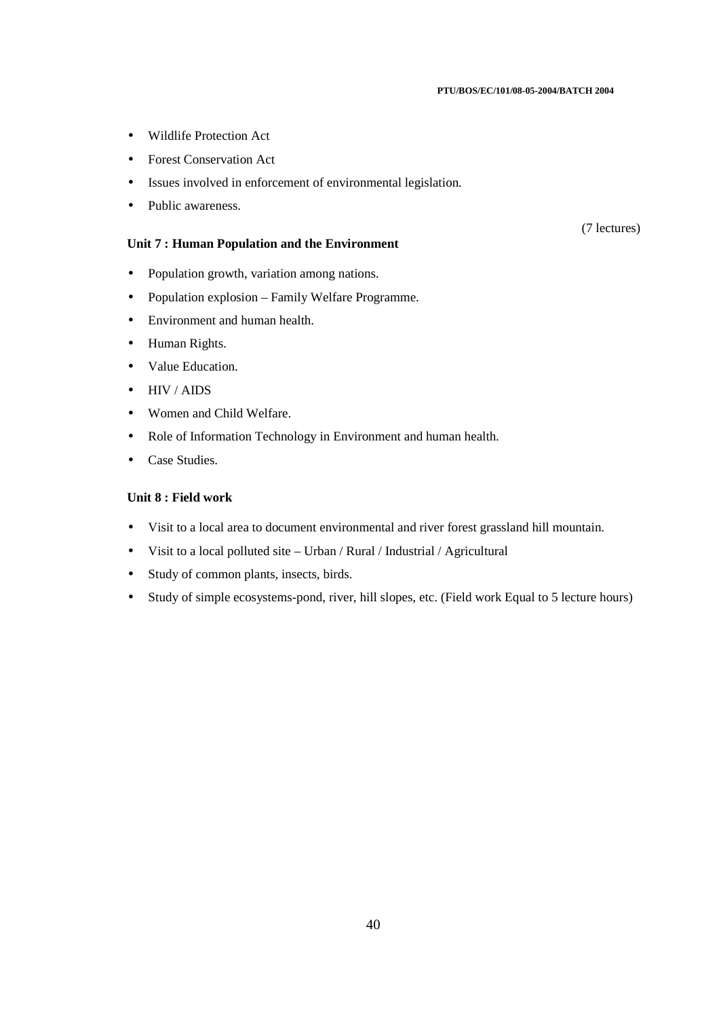#### **PTU/BOS/EC/101/08-05-2004/BATCH 2004**

- Wildlife Protection Act
- Forest Conservation Act
- Issues involved in enforcement of environmental legislation.
- Public awareness.

### **Unit 7 : Human Population and the Environment**

(7 lectures)

- Population growth, variation among nations.
- Population explosion Family Welfare Programme.
- Environment and human health.
- Human Rights.
- Value Education.
- HIV / AIDS
- Women and Child Welfare.
- Role of Information Technology in Environment and human health.
- Case Studies.

## **Unit 8 : Field work**

- Visit to a local area to document environmental and river forest grassland hill mountain.
- Visit to a local polluted site Urban / Rural / Industrial / Agricultural
- Study of common plants, insects, birds.
- Study of simple ecosystems-pond, river, hill slopes, etc. (Field work Equal to 5 lecture hours)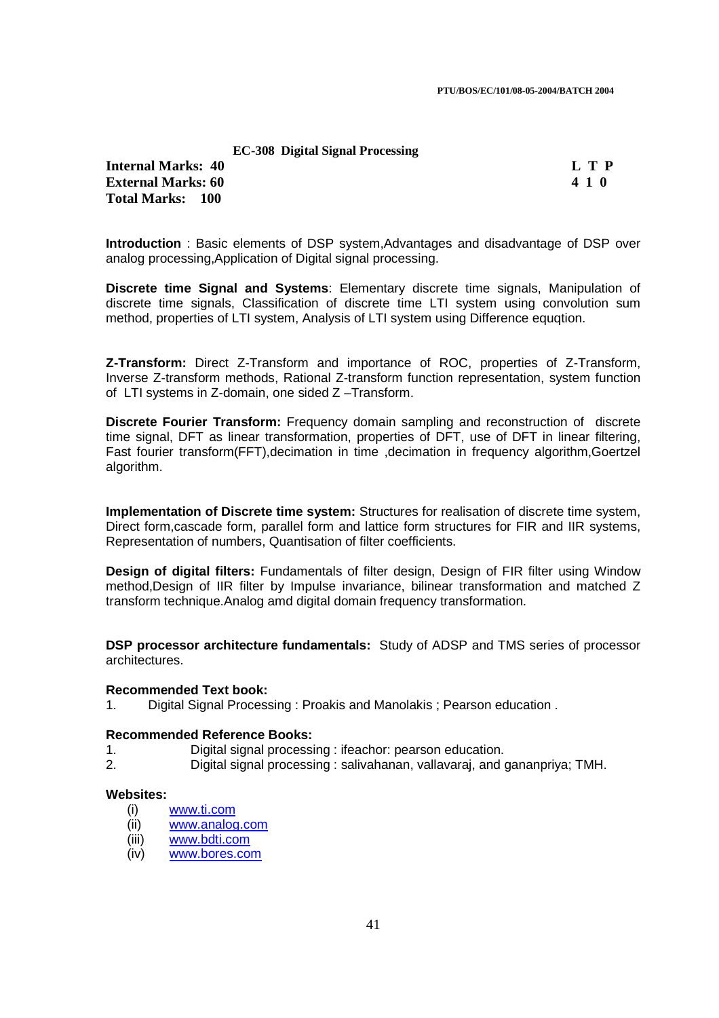### **EC-308 Digital Signal Processing**

**Internal Marks: 40 L T P I** L T P **External Marks: 60 4 1 0**  $\overline{a}$  **4 1 0**  $\overline{a}$  **4 1 0**  $\overline{a}$ **Total Marks: 100**

**Introduction** : Basic elements of DSP system,Advantages and disadvantage of DSP over analog processing,Application of Digital signal processing.

**Discrete time Signal and Systems**: Elementary discrete time signals, Manipulation of discrete time signals, Classification of discrete time LTI system using convolution sum method, properties of LTI system, Analysis of LTI system using Difference equqtion.

**Z-Transform:** Direct Z-Transform and importance of ROC, properties of Z-Transform, Inverse Z-transform methods, Rational Z-transform function representation, system function of LTI systems in Z-domain, one sided Z –Transform.

**Discrete Fourier Transform:** Frequency domain sampling and reconstruction of discrete time signal, DFT as linear transformation, properties of DFT, use of DFT in linear filtering, Fast fourier transform(FFT),decimation in time ,decimation in frequency algorithm,Goertzel algorithm.

**Implementation of Discrete time system:** Structures for realisation of discrete time system, Direct form,cascade form, parallel form and lattice form structures for FIR and IIR systems, Representation of numbers, Quantisation of filter coefficients.

**Design of digital filters:** Fundamentals of filter design, Design of FIR filter using Window method,Design of IIR filter by Impulse invariance, bilinear transformation and matched Z transform technique.Analog amd digital domain frequency transformation.

**DSP processor architecture fundamentals:** Study of ADSP and TMS series of processor architectures.

### **Recommended Text book:**

1. Digital Signal Processing : Proakis and Manolakis ; Pearson education .

### **Recommended Reference Books:**

- 1. Digital signal processing : ifeachor: pearson education.
- 2. Digital signal processing : salivahanan, vallavaraj, and gananpriya; TMH.

### **Websites:**

- (i) www.ti.com
- (ii) www.analog.com
- (iii) www.bdti.com
- (iv) www.bores.com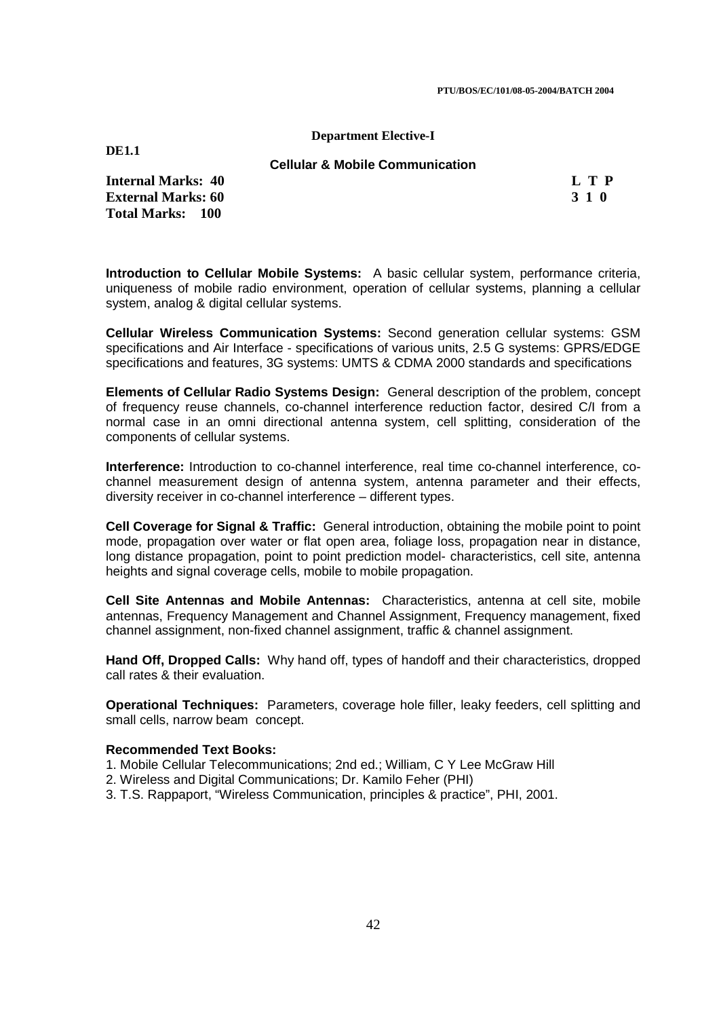#### **Department Elective-I**

**DE1.1** 

**Cellular & Mobile Communication** 

**Internal Marks: 40 L T P I** L T P **External Marks: 60 3 1 0 Total Marks: 100**

**Introduction to Cellular Mobile Systems:** A basic cellular system, performance criteria, uniqueness of mobile radio environment, operation of cellular systems, planning a cellular system, analog & digital cellular systems.

**Cellular Wireless Communication Systems:** Second generation cellular systems: GSM specifications and Air Interface - specifications of various units, 2.5 G systems: GPRS/EDGE specifications and features, 3G systems: UMTS & CDMA 2000 standards and specifications

**Elements of Cellular Radio Systems Design:** General description of the problem, concept of frequency reuse channels, co-channel interference reduction factor, desired C/I from a normal case in an omni directional antenna system, cell splitting, consideration of the components of cellular systems.

**Interference:** Introduction to co-channel interference, real time co-channel interference, cochannel measurement design of antenna system, antenna parameter and their effects, diversity receiver in co-channel interference – different types.

**Cell Coverage for Signal & Traffic:** General introduction, obtaining the mobile point to point mode, propagation over water or flat open area, foliage loss, propagation near in distance, long distance propagation, point to point prediction model- characteristics, cell site, antenna heights and signal coverage cells, mobile to mobile propagation.

**Cell Site Antennas and Mobile Antennas:** Characteristics, antenna at cell site, mobile antennas, Frequency Management and Channel Assignment, Frequency management, fixed channel assignment, non-fixed channel assignment, traffic & channel assignment.

**Hand Off, Dropped Calls:** Why hand off, types of handoff and their characteristics, dropped call rates & their evaluation.

**Operational Techniques:** Parameters, coverage hole filler, leaky feeders, cell splitting and small cells, narrow beam concept.

### **Recommended Text Books:**

1. Mobile Cellular Telecommunications; 2nd ed.; William, C Y Lee McGraw Hill

- 2. Wireless and Digital Communications; Dr. Kamilo Feher (PHI)
- 3. T.S. Rappaport, "Wireless Communication, principles & practice", PHI, 2001.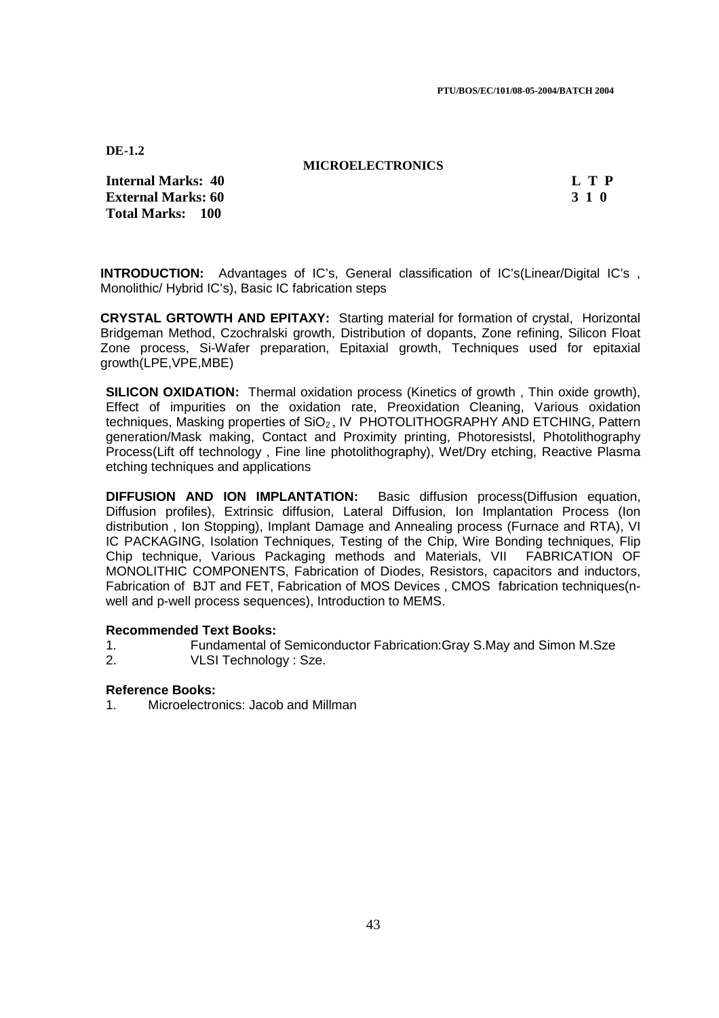#### **MICROELECTRONICS**

**Internal Marks: 40 L T P I** L T P **External Marks: 60 3 1 0 Total Marks: 100**

**INTRODUCTION:** Advantages of IC's, General classification of IC's(Linear/Digital IC's, Monolithic/ Hybrid IC's), Basic IC fabrication steps

**CRYSTAL GRTOWTH AND EPITAXY:** Starting material for formation of crystal, Horizontal Bridgeman Method, Czochralski growth, Distribution of dopants, Zone refining, Silicon Float Zone process, Si-Wafer preparation, Epitaxial growth, Techniques used for epitaxial growth(LPE,VPE,MBE)

**SILICON OXIDATION:** Thermal oxidation process (Kinetics of growth, Thin oxide growth), Effect of impurities on the oxidation rate, Preoxidation Cleaning, Various oxidation techniques, Masking properties of  $SiO<sub>2</sub>$ , IV PHOTOLITHOGRAPHY AND ETCHING, Pattern generation/Mask making, Contact and Proximity printing, Photoresistsl, Photolithography Process(Lift off technology , Fine line photolithography), Wet/Dry etching, Reactive Plasma etching techniques and applications

**DIFFUSION AND ION IMPLANTATION:** Basic diffusion process(Diffusion equation, Diffusion profiles), Extrinsic diffusion, Lateral Diffusion, Ion Implantation Process (Ion distribution , Ion Stopping), Implant Damage and Annealing process (Furnace and RTA), VI IC PACKAGING, Isolation Techniques, Testing of the Chip, Wire Bonding techniques, Flip Chip technique, Various Packaging methods and Materials, VII FABRICATION OF MONOLITHIC COMPONENTS, Fabrication of Diodes, Resistors, capacitors and inductors, Fabrication of BJT and FET, Fabrication of MOS Devices , CMOS fabrication techniques(nwell and p-well process sequences), Introduction to MEMS.

#### **Recommended Text Books:**

- 1. Fundamental of Semiconductor Fabrication:Gray S.May and Simon M.Sze
- 2. VLSI Technology : Sze.

### **Reference Books:**

1. Microelectronics: Jacob and Millman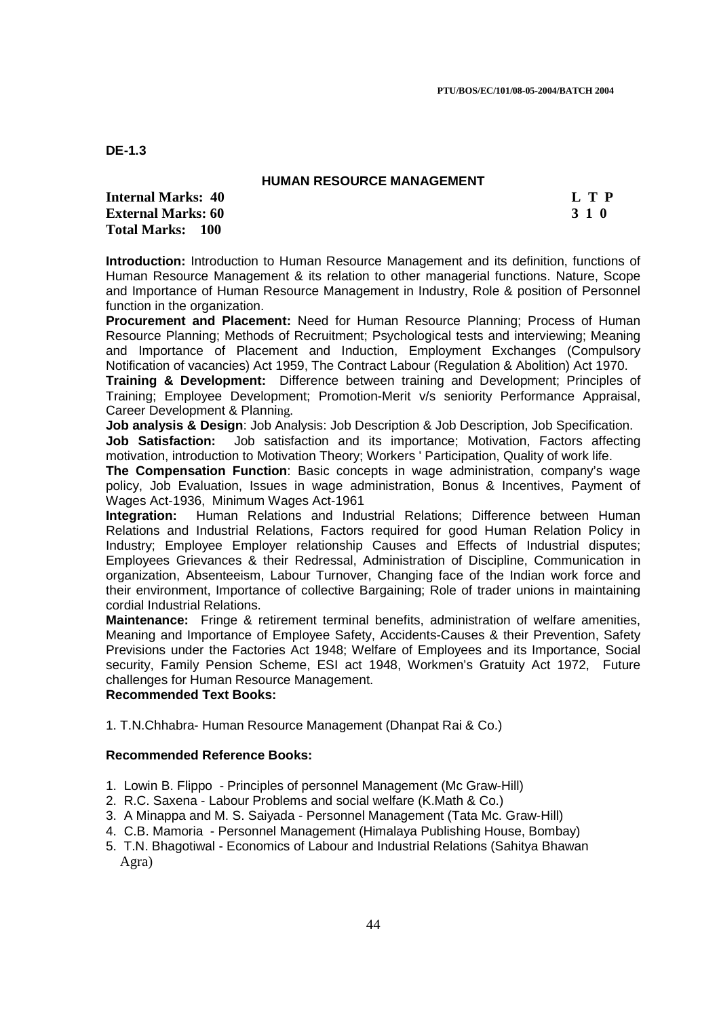### **HUMAN RESOURCE MANAGEMENT**

**Internal Marks: 40 L T P I** L T P **External Marks: 60 3 1 0 Total Marks: 100**

**Introduction:** Introduction to Human Resource Management and its definition, functions of Human Resource Management & its relation to other managerial functions. Nature, Scope and Importance of Human Resource Management in Industry, Role & position of Personnel function in the organization.

**Procurement and Placement:** Need for Human Resource Planning; Process of Human Resource Planning; Methods of Recruitment; Psychological tests and interviewing; Meaning and Importance of Placement and Induction, Employment Exchanges (Compulsory Notification of vacancies) Act 1959, The Contract Labour (Regulation & Abolition) Act 1970.

**Training & Development:** Difference between training and Development; Principles of Training; Employee Development; Promotion-Merit v/s seniority Performance Appraisal, Career Development & Planning.

**Job analysis & Design:** Job Analysis: Job Description & Job Description, Job Specification. **Job Satisfaction:** Job satisfaction and its importance; Motivation, Factors affecting motivation, introduction to Motivation Theory; Workers ' Participation, Quality of work life.

**The Compensation Function**: Basic concepts in wage administration, company's wage policy, Job Evaluation, Issues in wage administration, Bonus & Incentives, Payment of Wages Act-1936, Minimum Wages Act-1961

**Integration:** Human Relations and Industrial Relations; Difference between Human Relations and Industrial Relations, Factors required for good Human Relation Policy in Industry; Employee Employer relationship Causes and Effects of Industrial disputes; Employees Grievances & their Redressal, Administration of Discipline, Communication in organization, Absenteeism, Labour Turnover, Changing face of the Indian work force and their environment, Importance of collective Bargaining; Role of trader unions in maintaining cordial Industrial Relations.

**Maintenance:** Fringe & retirement terminal benefits, administration of welfare amenities, Meaning and Importance of Employee Safety, Accidents-Causes & their Prevention, Safety Previsions under the Factories Act 1948; Welfare of Employees and its Importance, Social security, Family Pension Scheme, ESI act 1948, Workmen's Gratuity Act 1972, Future challenges for Human Resource Management.

### **Recommended Text Books:**

1. T.N.Chhabra- Human Resource Management (Dhanpat Rai & Co.)

## **Recommended Reference Books:**

- 1. Lowin B. Flippo Principles of personnel Management (Mc Graw-Hill)
- 2. R.C. Saxena Labour Problems and social welfare (K.Math & Co.)
- 3. A Minappa and M. S. Saiyada Personnel Management (Tata Mc. Graw-Hill)
- 4. C.B. Mamoria Personnel Management (Himalaya Publishing House, Bombay)
- 5. T.N. Bhagotiwal Economics of Labour and Industrial Relations (Sahitya Bhawan Agra)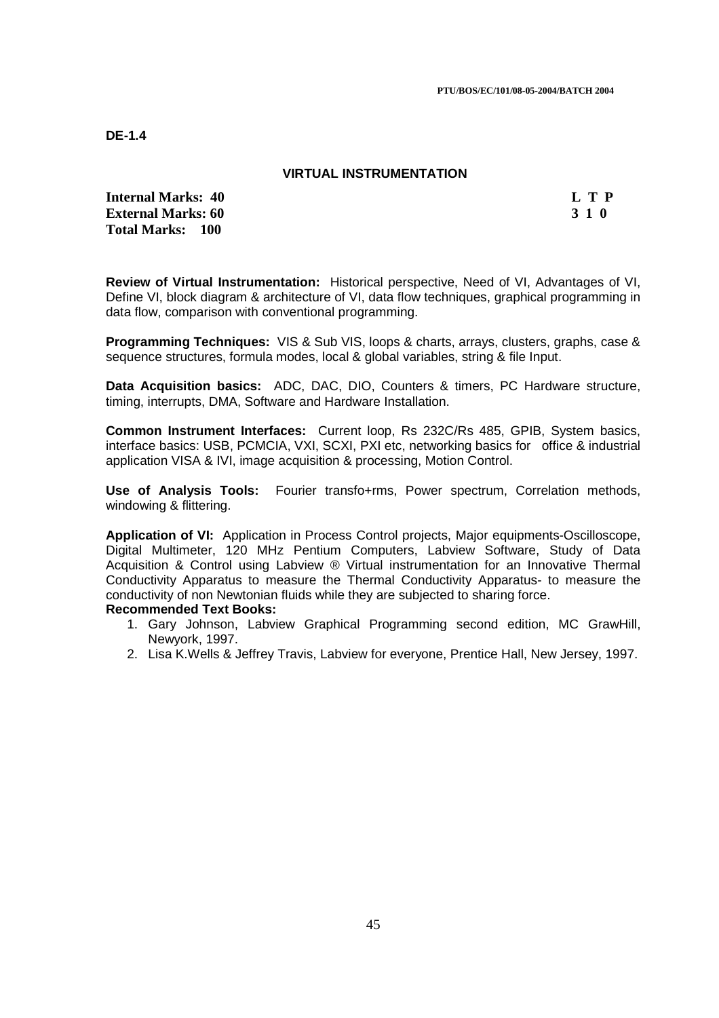## **VIRTUAL INSTRUMENTATION**

**Internal Marks: 40 L T P L T P External Marks: 60 3 1 0 Total Marks: 100**

**Review of Virtual Instrumentation:** Historical perspective, Need of VI, Advantages of VI, Define VI, block diagram & architecture of VI, data flow techniques, graphical programming in data flow, comparison with conventional programming.

**Programming Techniques:** VIS & Sub VIS, loops & charts, arrays, clusters, graphs, case & sequence structures, formula modes, local & global variables, string & file Input.

**Data Acquisition basics:** ADC, DAC, DIO, Counters & timers, PC Hardware structure, timing, interrupts, DMA, Software and Hardware Installation.

**Common Instrument Interfaces:** Current loop, Rs 232C/Rs 485, GPIB, System basics, interface basics: USB, PCMCIA, VXI, SCXI, PXI etc, networking basics for office & industrial application VISA & IVI, image acquisition & processing, Motion Control.

**Use of Analysis Tools:** Fourier transfo+rms, Power spectrum, Correlation methods, windowing & flittering.

**Application of VI:** Application in Process Control projects, Major equipments-Oscilloscope, Digital Multimeter, 120 MHz Pentium Computers, Labview Software, Study of Data Acquisition & Control using Labview ® Virtual instrumentation for an Innovative Thermal Conductivity Apparatus to measure the Thermal Conductivity Apparatus- to measure the conductivity of non Newtonian fluids while they are subjected to sharing force.

- 1. Gary Johnson, Labview Graphical Programming second edition, MC GrawHill, Newyork, 1997.
- 2. Lisa K.Wells & Jeffrey Travis, Labview for everyone, Prentice Hall, New Jersey, 1997.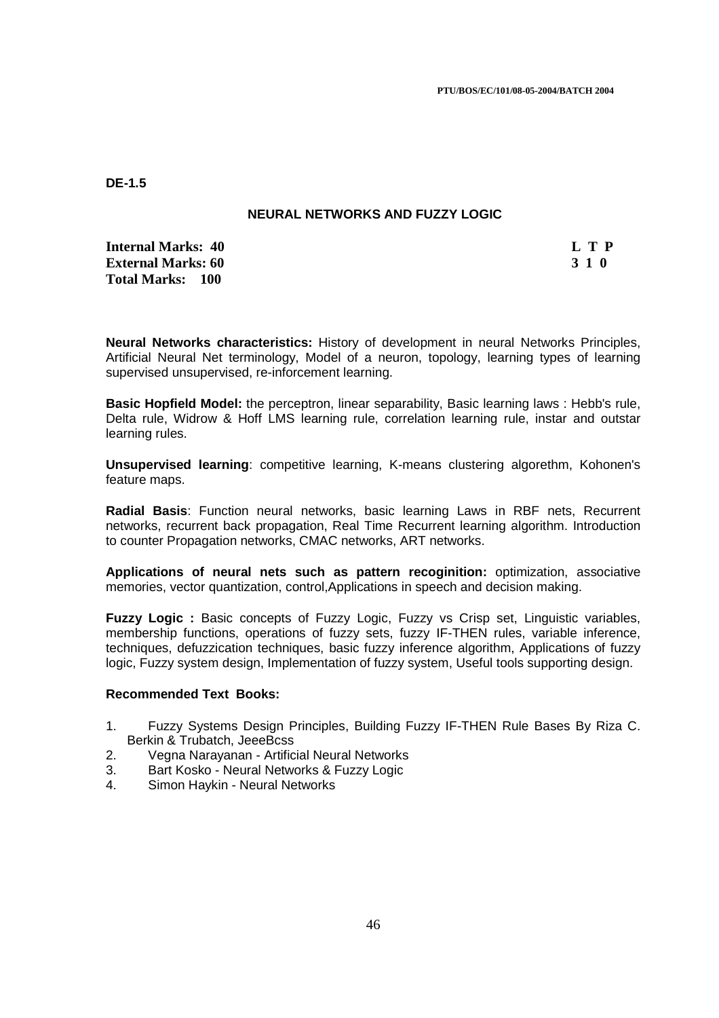## **NEURAL NETWORKS AND FUZZY LOGIC**

**Internal Marks: 40 L T P I** L T P **External Marks: 60 3 1 0 3 2 3 3 4 6 3 4 5 4 4 4 4 4 5 4 7 4 5 4 5 4 5 4 7 6 4 7 6 4 5 6 7 7 8 7 7 8 7 7 8 7 7 8 7 7 8 7 7 8 7 7 8 7 7 8 7 7 8 7 7 8 7 7 8 7 7 8 7 7 8 7 7 8 7 7 8 7 7 8 7 7 8 7 7 8 7 7 8 7 7 8 7 7 8 7 7 8 Total Marks: 100**

**Neural Networks characteristics:** History of development in neural Networks Principles, Artificial Neural Net terminology, Model of a neuron, topology, learning types of learning supervised unsupervised, re-inforcement learning.

**Basic Hopfield Model:** the perceptron, linear separability, Basic learning laws : Hebb's rule, Delta rule, Widrow & Hoff LMS learning rule, correlation learning rule, instar and outstar learning rules.

**Unsupervised learning**: competitive learning, K-means clustering algorethm, Kohonen's feature maps.

**Radial Basis**: Function neural networks, basic learning Laws in RBF nets, Recurrent networks, recurrent back propagation, Real Time Recurrent learning algorithm. Introduction to counter Propagation networks, CMAC networks, ART networks.

**Applications of neural nets such as pattern recoginition:** optimization, associative memories, vector quantization, control,Applications in speech and decision making.

**Fuzzy Logic :** Basic concepts of Fuzzy Logic, Fuzzy vs Crisp set, Linguistic variables, membership functions, operations of fuzzy sets, fuzzy IF-THEN rules, variable inference, techniques, defuzzication techniques, basic fuzzy inference algorithm, Applications of fuzzy logic, Fuzzy system design, Implementation of fuzzy system, Useful tools supporting design.

- 1. Fuzzy Systems Design Principles, Building Fuzzy IF-THEN Rule Bases By Riza C. Berkin & Trubatch, JeeeBcss
- 2. Vegna Narayanan Artificial Neural Networks
- 3. Bart Kosko Neural Networks & Fuzzy Logic
- 4. Simon Haykin Neural Networks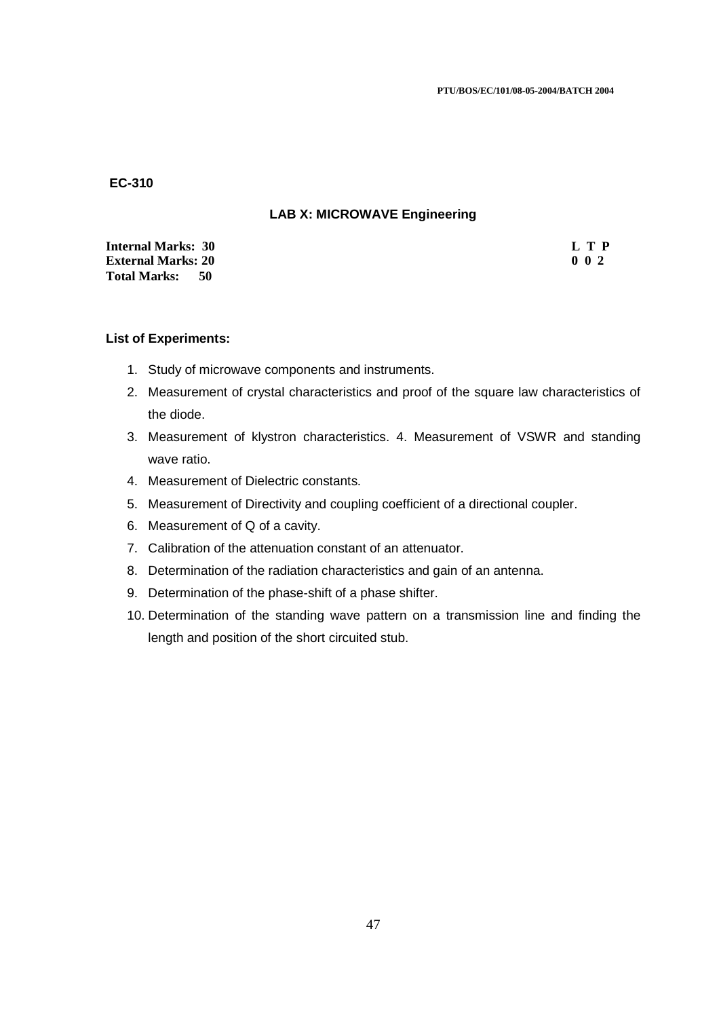### **LAB X: MICROWAVE Engineering**

| <b>Internal Marks: 30</b>  | L T P            |
|----------------------------|------------------|
| <b>External Marks: 20</b>  | 0 <sub>0</sub> 2 |
| <b>Total Marks:</b><br>-50 |                  |

## **List of Experiments:**

- 1. Study of microwave components and instruments.
- 2. Measurement of crystal characteristics and proof of the square law characteristics of the diode.
- 3. Measurement of klystron characteristics. 4. Measurement of VSWR and standing wave ratio.
- 4. Measurement of Dielectric constants.
- 5. Measurement of Directivity and coupling coefficient of a directional coupler.
- 6. Measurement of Q of a cavity.
- 7. Calibration of the attenuation constant of an attenuator.
- 8. Determination of the radiation characteristics and gain of an antenna.
- 9. Determination of the phase-shift of a phase shifter.
- 10. Determination of the standing wave pattern on a transmission line and finding the length and position of the short circuited stub.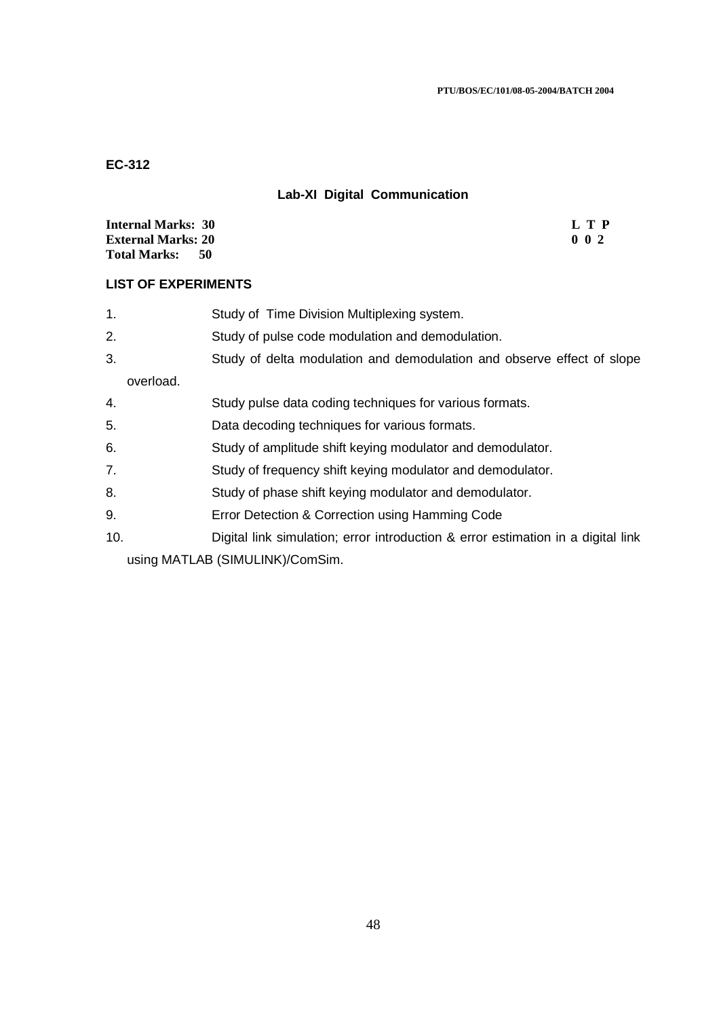# **Lab-XI Digital Communication**

| <b>Internal Marks: 30</b>   | L T P            |
|-----------------------------|------------------|
| <b>External Marks: 20</b>   | 0 <sub>0</sub> 2 |
| <b>Total Marks:</b><br>- 50 |                  |

## **LIST OF EXPERIMENTS**

| 1.  |           | Study of Time Division Multiplexing system.                                      |
|-----|-----------|----------------------------------------------------------------------------------|
| 2.  |           | Study of pulse code modulation and demodulation.                                 |
| 3.  |           | Study of delta modulation and demodulation and observe effect of slope           |
|     | overload. |                                                                                  |
| 4.  |           | Study pulse data coding techniques for various formats.                          |
| 5.  |           | Data decoding techniques for various formats.                                    |
| 6.  |           | Study of amplitude shift keying modulator and demodulator.                       |
| 7.  |           | Study of frequency shift keying modulator and demodulator.                       |
| 8.  |           | Study of phase shift keying modulator and demodulator.                           |
| 9.  |           | Error Detection & Correction using Hamming Code                                  |
| 10. |           | Digital link simulation; error introduction & error estimation in a digital link |
|     |           | using MATLAB (SIMULINK)/ComSim.                                                  |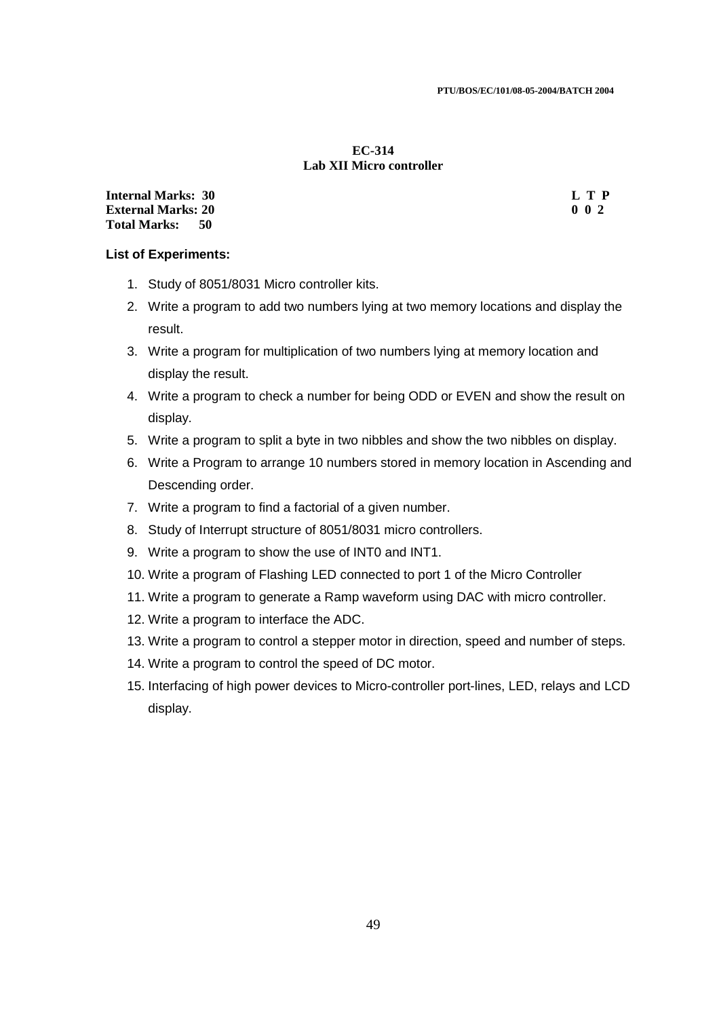### **EC-314 Lab XII Micro controller**

**Internal Marks: 30 L T P I External Marks: 20 0 0 2 Total Marks: 50**

### **List of Experiments:**

- 1. Study of 8051/8031 Micro controller kits.
- 2. Write a program to add two numbers lying at two memory locations and display the result.
- 3. Write a program for multiplication of two numbers lying at memory location and display the result.
- 4. Write a program to check a number for being ODD or EVEN and show the result on display.
- 5. Write a program to split a byte in two nibbles and show the two nibbles on display.
- 6. Write a Program to arrange 10 numbers stored in memory location in Ascending and Descending order.
- 7. Write a program to find a factorial of a given number.
- 8. Study of Interrupt structure of 8051/8031 micro controllers.
- 9. Write a program to show the use of INT0 and INT1.
- 10. Write a program of Flashing LED connected to port 1 of the Micro Controller
- 11. Write a program to generate a Ramp waveform using DAC with micro controller.
- 12. Write a program to interface the ADC.
- 13. Write a program to control a stepper motor in direction, speed and number of steps.
- 14. Write a program to control the speed of DC motor.
- 15. Interfacing of high power devices to Micro-controller port-lines, LED, relays and LCD display.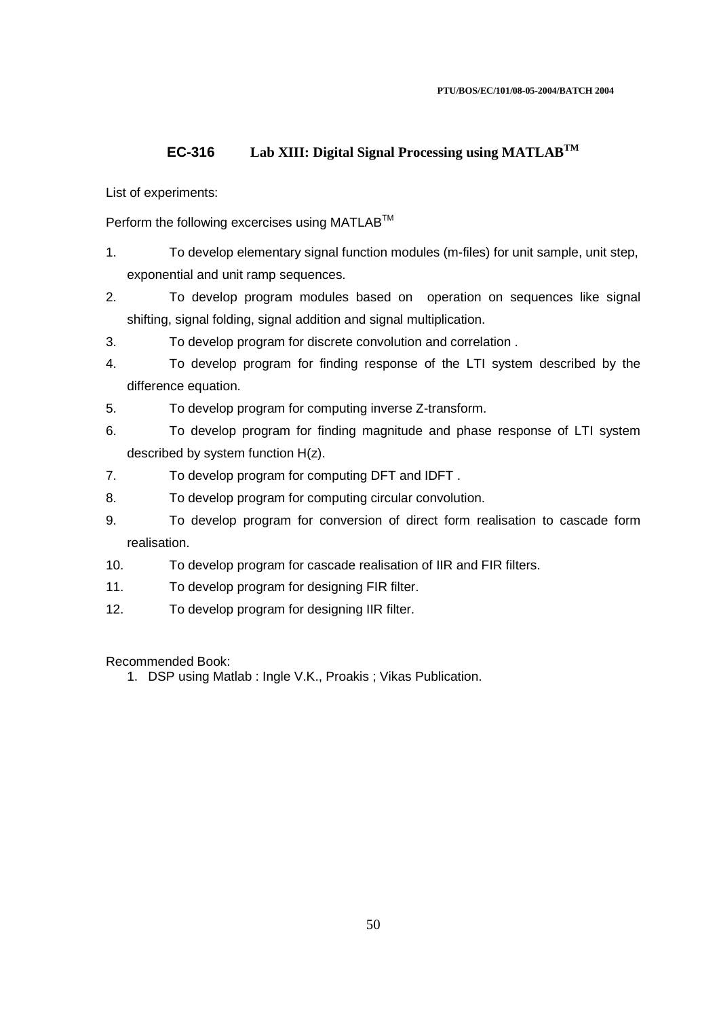## **EC-316 Lab XIII: Digital Signal Processing using MATLABTM**

### List of experiments:

Perform the following excercises using MATLAB<sup>™</sup>

- 1. To develop elementary signal function modules (m-files) for unit sample, unit step, exponential and unit ramp sequences.
- 2. To develop program modules based on operation on sequences like signal shifting, signal folding, signal addition and signal multiplication.
- 3. To develop program for discrete convolution and correlation .
- 4. To develop program for finding response of the LTI system described by the difference equation.
- 5. To develop program for computing inverse Z-transform.
- 6. To develop program for finding magnitude and phase response of LTI system described by system function H(z).
- 7. To develop program for computing DFT and IDFT .
- 8. To develop program for computing circular convolution.
- 9. To develop program for conversion of direct form realisation to cascade form realisation.
- 10. To develop program for cascade realisation of IIR and FIR filters.
- 11. To develop program for designing FIR filter.
- 12. To develop program for designing IIR filter.

Recommended Book:

1. DSP using Matlab : Ingle V.K., Proakis ; Vikas Publication.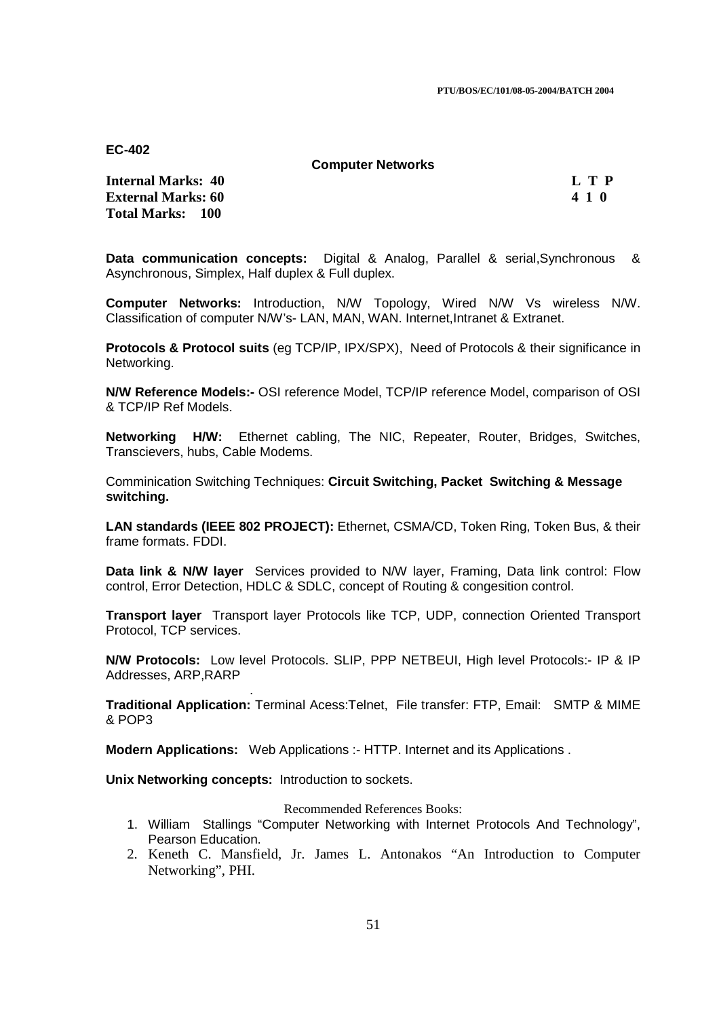**PTU/BOS/EC/101/08-05-2004/BATCH 2004** 

**EC-402** 

**Computer Networks** 

**Internal Marks: 40 L T P I** L T P **External Marks: 60 4 1 0**  $\phantom{0}4$  **1 0**  $\phantom{0}4$  **1 0**  $\phantom{0}4$  **4 1 0**  $\phantom{0}4$  **4 1 0**  $\phantom{0}4$  **4 1 0**  $\phantom{0}4$  **4 1 0**  $\phantom{0}4$  **5**  $\phantom{0}4$  **5**  $\phantom{0}4$  **5**  $\phantom{0}4$  **5**  $\phantom{0}4$  **5**  $\phantom{0}4$  **5**  $\phantom{0}4$  **5**  $\phantom{0}4$  **5 \phantom{0}4 Total Marks: 100**

**Data communication concepts:** Digital & Analog, Parallel & serial,Synchronous & Asynchronous, Simplex, Half duplex & Full duplex.

**Computer Networks:** Introduction, N/W Topology, Wired N/W Vs wireless N/W. Classification of computer N/W's- LAN, MAN, WAN. Internet,Intranet & Extranet.

**Protocols & Protocol suits** (eg TCP/IP, IPX/SPX), Need of Protocols & their significance in Networking.

**N/W Reference Models:-** OSI reference Model, TCP/IP reference Model, comparison of OSI & TCP/IP Ref Models.

**Networking H/W:** Ethernet cabling, The NIC, Repeater, Router, Bridges, Switches, Transcievers, hubs, Cable Modems.

Comminication Switching Techniques: **Circuit Switching, Packet Switching & Message switching.** 

**LAN standards (IEEE 802 PROJECT):** Ethernet, CSMA/CD, Token Ring, Token Bus, & their frame formats. FDDI.

**Data link & N/W layer** Services provided to N/W layer, Framing, Data link control: Flow control, Error Detection, HDLC & SDLC, concept of Routing & congesition control.

**Transport layer** Transport layer Protocols like TCP, UDP, connection Oriented Transport Protocol, TCP services.

**N/W Protocols:** Low level Protocols. SLIP, PPP NETBEUI, High level Protocols:- IP & IP Addresses, ARP,RARP

**Traditional Application:** Terminal Acess:Telnet, File transfer: FTP, Email: SMTP & MIME & POP3

**Modern Applications:** Web Applications :- HTTP. Internet and its Applications .

**Unix Networking concepts:** Introduction to sockets.

.

Recommended References Books:

- 1. William Stallings "Computer Networking with Internet Protocols And Technology", Pearson Education.
- 2. Keneth C. Mansfield, Jr. James L. Antonakos "An Introduction to Computer Networking", PHI.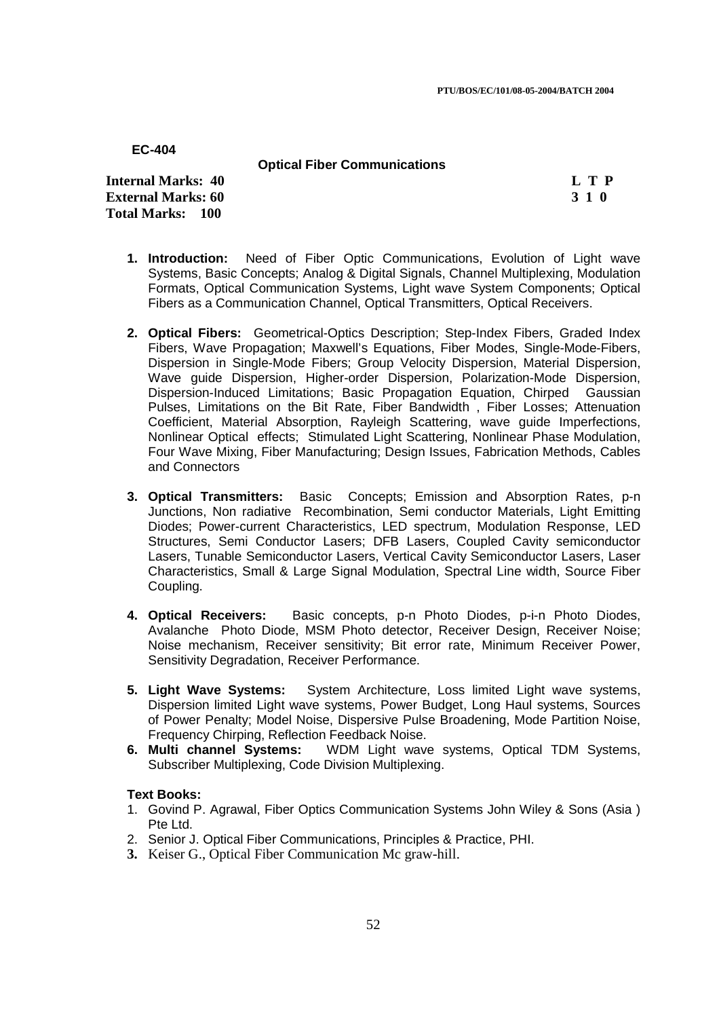## **Optical Fiber Communications**

**Internal Marks: 40 L T P I** L T P **External Marks: 60 3 1 0 Total Marks: 100**

- **1. Introduction:** Need of Fiber Optic Communications, Evolution of Light wave Systems, Basic Concepts; Analog & Digital Signals, Channel Multiplexing, Modulation Formats, Optical Communication Systems, Light wave System Components; Optical Fibers as a Communication Channel, Optical Transmitters, Optical Receivers.
- **2. Optical Fibers:** Geometrical-Optics Description; Step-Index Fibers, Graded Index Fibers, Wave Propagation; Maxwell's Equations, Fiber Modes, Single-Mode-Fibers, Dispersion in Single-Mode Fibers; Group Velocity Dispersion, Material Dispersion, Wave guide Dispersion, Higher-order Dispersion, Polarization-Mode Dispersion, Dispersion-Induced Limitations; Basic Propagation Equation, Chirped Gaussian Pulses, Limitations on the Bit Rate, Fiber Bandwidth , Fiber Losses; Attenuation Coefficient, Material Absorption, Rayleigh Scattering, wave guide Imperfections, Nonlinear Optical effects; Stimulated Light Scattering, Nonlinear Phase Modulation, Four Wave Mixing, Fiber Manufacturing; Design Issues, Fabrication Methods, Cables and Connectors
- **3. Optical Transmitters:** Basic Concepts; Emission and Absorption Rates, p-n Junctions, Non radiative Recombination, Semi conductor Materials, Light Emitting Diodes; Power-current Characteristics, LED spectrum, Modulation Response, LED Structures, Semi Conductor Lasers; DFB Lasers, Coupled Cavity semiconductor Lasers, Tunable Semiconductor Lasers, Vertical Cavity Semiconductor Lasers, Laser Characteristics, Small & Large Signal Modulation, Spectral Line width, Source Fiber Coupling.
- **4. Optical Receivers:** Basic concepts, p-n Photo Diodes, p-i-n Photo Diodes, Avalanche Photo Diode, MSM Photo detector, Receiver Design, Receiver Noise; Noise mechanism, Receiver sensitivity; Bit error rate, Minimum Receiver Power, Sensitivity Degradation, Receiver Performance.
- **5. Light Wave Systems:** System Architecture, Loss limited Light wave systems, Dispersion limited Light wave systems, Power Budget, Long Haul systems, Sources of Power Penalty; Model Noise, Dispersive Pulse Broadening, Mode Partition Noise, Frequency Chirping, Reflection Feedback Noise.
- **6. Multi channel Systems:** WDM Light wave systems, Optical TDM Systems, Subscriber Multiplexing, Code Division Multiplexing.

### **Text Books:**

- 1. Govind P. Agrawal, Fiber Optics Communication Systems John Wiley & Sons (Asia ) Pte Ltd.
- 2. Senior J. Optical Fiber Communications, Principles & Practice, PHI.
- **3.** Keiser G., Optical Fiber Communication Mc graw-hill.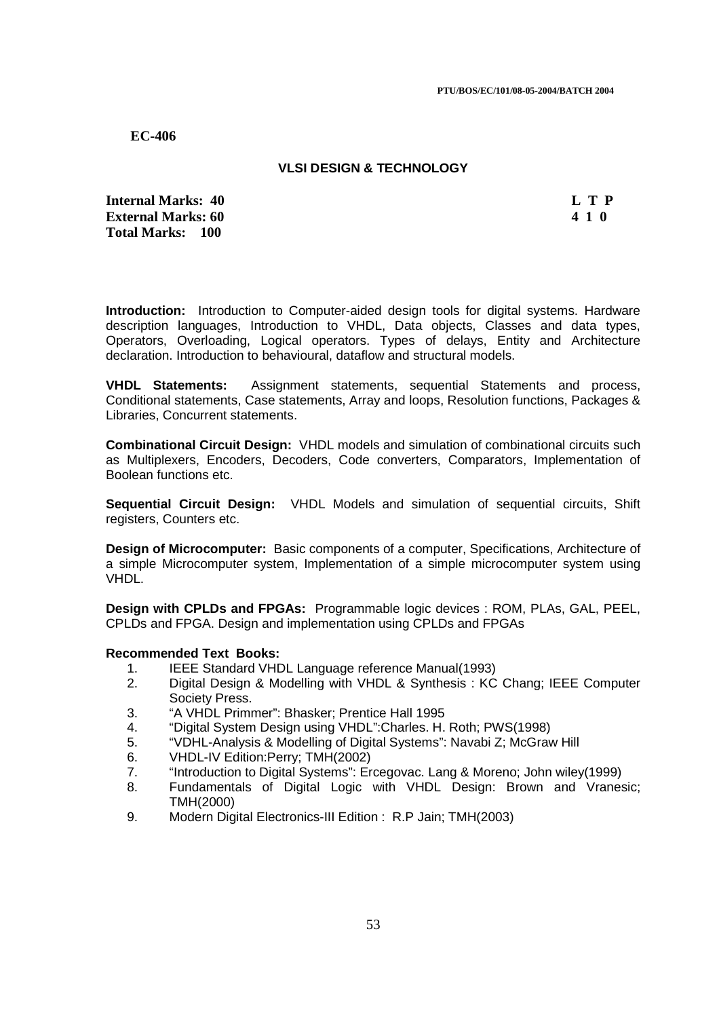## **VLSI DESIGN & TECHNOLOGY**

**Internal Marks: 40 L T P L T P External Marks: 60 4 1 0 Total Marks: 100**

**Introduction:** Introduction to Computer-aided design tools for digital systems. Hardware description languages, Introduction to VHDL, Data objects, Classes and data types, Operators, Overloading, Logical operators. Types of delays, Entity and Architecture declaration. Introduction to behavioural, dataflow and structural models.

**VHDL Statements:** Assignment statements, sequential Statements and process, Conditional statements, Case statements, Array and loops, Resolution functions, Packages & Libraries, Concurrent statements.

**Combinational Circuit Design:** VHDL models and simulation of combinational circuits such as Multiplexers, Encoders, Decoders, Code converters, Comparators, Implementation of Boolean functions etc.

**Sequential Circuit Design:** VHDL Models and simulation of sequential circuits, Shift registers, Counters etc.

**Design of Microcomputer:** Basic components of a computer, Specifications, Architecture of a simple Microcomputer system, Implementation of a simple microcomputer system using VHDL.

**Design with CPLDs and FPGAs:** Programmable logic devices : ROM, PLAs, GAL, PEEL, CPLDs and FPGA. Design and implementation using CPLDs and FPGAs

- 1. IEEE Standard VHDL Language reference Manual(1993)
- 2. Digital Design & Modelling with VHDL & Synthesis : KC Chang; IEEE Computer Society Press.
- 3. "A VHDL Primmer": Bhasker; Prentice Hall 1995
- 4. "Digital System Design using VHDL":Charles. H. Roth; PWS(1998)
- 5. "VDHL-Analysis & Modelling of Digital Systems": Navabi Z; McGraw Hill
- 6. VHDL-IV Edition:Perry; TMH(2002)
- 7. "Introduction to Digital Systems": Ercegovac. Lang & Moreno; John wiley(1999)
- 8. Fundamentals of Digital Logic with VHDL Design: Brown and Vranesic; TMH(2000)
- 9. Modern Digital Electronics-III Edition : R.P Jain; TMH(2003)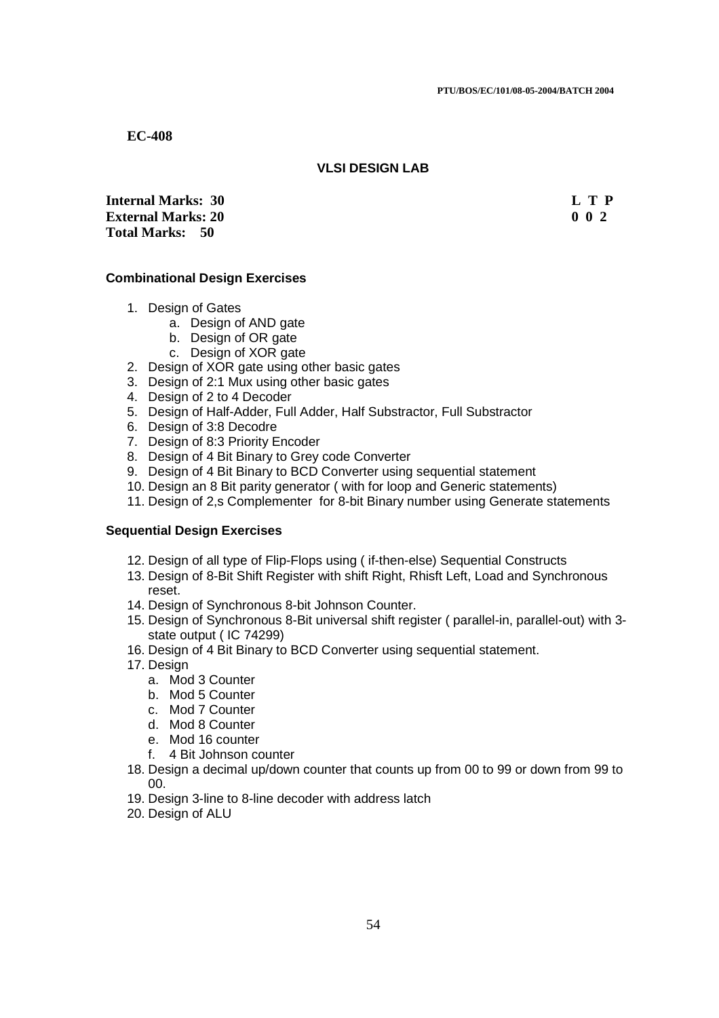## **VLSI DESIGN LAB**

**Internal Marks: 30 L T P L T P External Marks: 20 0 0 2 Total Marks: 50**

### **Combinational Design Exercises**

- 1. Design of Gates
	- a. Design of AND gate
	- b. Design of OR gate
	- c. Design of XOR gate
- 2. Design of XOR gate using other basic gates
- 3. Design of 2:1 Mux using other basic gates
- 4. Design of 2 to 4 Decoder
- 5. Design of Half-Adder, Full Adder, Half Substractor, Full Substractor
- 6. Design of 3:8 Decodre
- 7. Design of 8:3 Priority Encoder
- 8. Design of 4 Bit Binary to Grey code Converter
- 9. Design of 4 Bit Binary to BCD Converter using sequential statement
- 10. Design an 8 Bit parity generator ( with for loop and Generic statements)
- 11. Design of 2,s Complementer for 8-bit Binary number using Generate statements

### **Sequential Design Exercises**

- 12. Design of all type of Flip-Flops using ( if-then-else) Sequential Constructs
- 13. Design of 8-Bit Shift Register with shift Right, Rhisft Left, Load and Synchronous reset.
- 14. Design of Synchronous 8-bit Johnson Counter.
- 15. Design of Synchronous 8-Bit universal shift register ( parallel-in, parallel-out) with 3 state output ( IC 74299)
- 16. Design of 4 Bit Binary to BCD Converter using sequential statement.
- 17. Design
	- a. Mod 3 Counter
	- b. Mod 5 Counter
	- c. Mod 7 Counter
	- d. Mod 8 Counter
	- e. Mod 16 counter
	- f. 4 Bit Johnson counter
- 18. Design a decimal up/down counter that counts up from 00 to 99 or down from 99 to 00.
- 19. Design 3-line to 8-line decoder with address latch
- 20. Design of ALU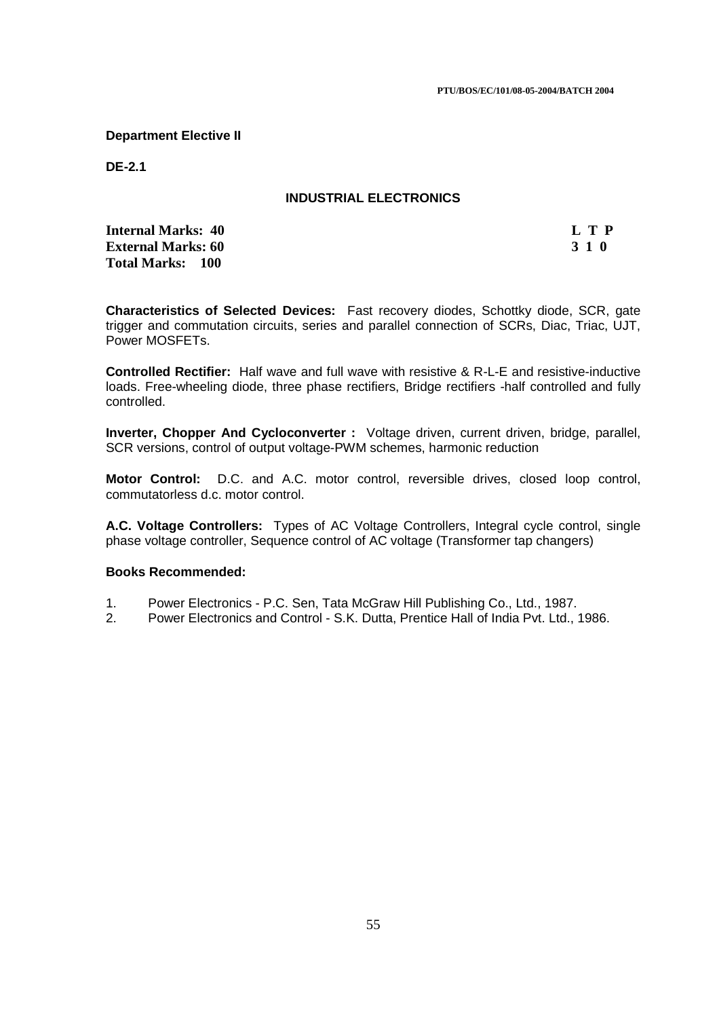## **Department Elective II**

**DE-2.1** 

## **INDUSTRIAL ELECTRONICS**

**Internal Marks: 40 L T P External Marks: 60 3 1 0 Total Marks: 100**

**Characteristics of Selected Devices:** Fast recovery diodes, Schottky diode, SCR, gate trigger and commutation circuits, series and parallel connection of SCRs, Diac, Triac, UJT, Power MOSFETs.

**Controlled Rectifier:** Half wave and full wave with resistive & R-L-E and resistive-inductive loads. Free-wheeling diode, three phase rectifiers, Bridge rectifiers -half controlled and fully controlled.

**Inverter, Chopper And Cycloconverter :** Voltage driven, current driven, bridge, parallel, SCR versions, control of output voltage-PWM schemes, harmonic reduction

**Motor Control:** D.C. and A.C. motor control, reversible drives, closed loop control, commutatorless d.c. motor control.

**A.C. Voltage Controllers:** Types of AC Voltage Controllers, Integral cycle control, single phase voltage controller, Sequence control of AC voltage (Transformer tap changers)

### **Books Recommended:**

- 1. Power Electronics P.C. Sen, Tata McGraw Hill Publishing Co., Ltd., 1987.
- 2. Power Electronics and Control S.K. Dutta, Prentice Hall of India Pvt. Ltd., 1986.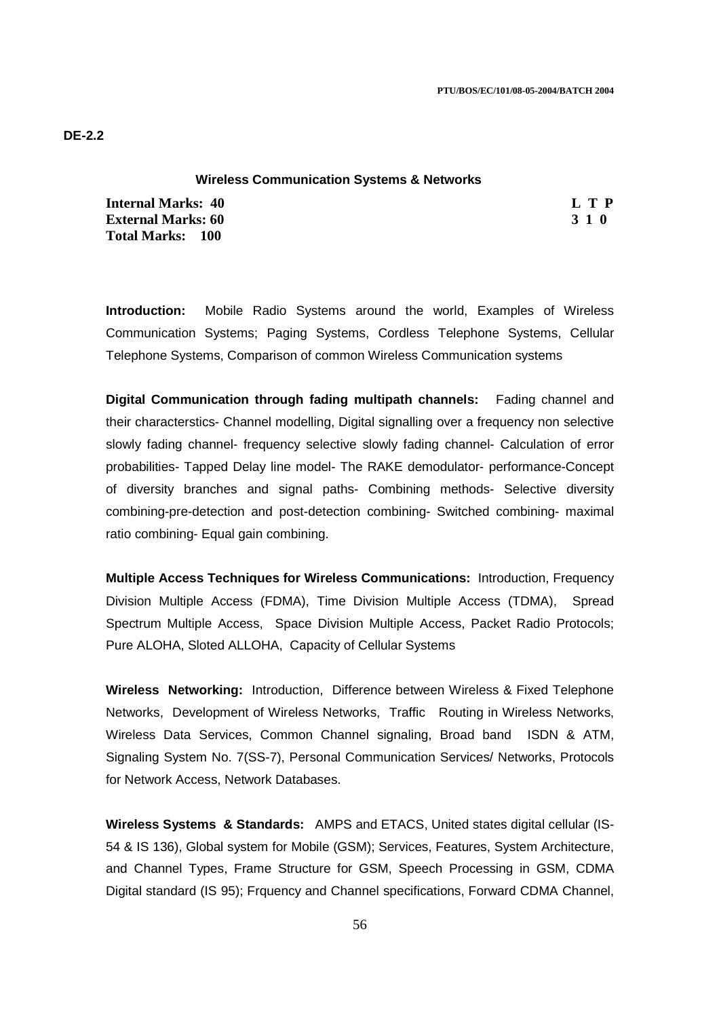### **Wireless Communication Systems & Networks**

**Internal Marks: 40 L T P I** L T P **External Marks: 60 3 1 0 Total Marks: 100**

**Introduction:** Mobile Radio Systems around the world, Examples of Wireless Communication Systems; Paging Systems, Cordless Telephone Systems, Cellular Telephone Systems, Comparison of common Wireless Communication systems

**Digital Communication through fading multipath channels:** Fading channel and their characterstics- Channel modelling, Digital signalling over a frequency non selective slowly fading channel- frequency selective slowly fading channel- Calculation of error probabilities- Tapped Delay line model- The RAKE demodulator- performance-Concept of diversity branches and signal paths- Combining methods- Selective diversity combining-pre-detection and post-detection combining- Switched combining- maximal ratio combining- Equal gain combining.

**Multiple Access Techniques for Wireless Communications:** Introduction, Frequency Division Multiple Access (FDMA), Time Division Multiple Access (TDMA), Spread Spectrum Multiple Access, Space Division Multiple Access, Packet Radio Protocols; Pure ALOHA, Sloted ALLOHA, Capacity of Cellular Systems

**Wireless Networking:** Introduction, Difference between Wireless & Fixed Telephone Networks, Development of Wireless Networks, Traffic Routing in Wireless Networks, Wireless Data Services, Common Channel signaling, Broad band ISDN & ATM, Signaling System No. 7(SS-7), Personal Communication Services/ Networks, Protocols for Network Access, Network Databases.

**Wireless Systems & Standards:** AMPS and ETACS, United states digital cellular (IS-54 & IS 136), Global system for Mobile (GSM); Services, Features, System Architecture, and Channel Types, Frame Structure for GSM, Speech Processing in GSM, CDMA Digital standard (IS 95); Frquency and Channel specifications, Forward CDMA Channel,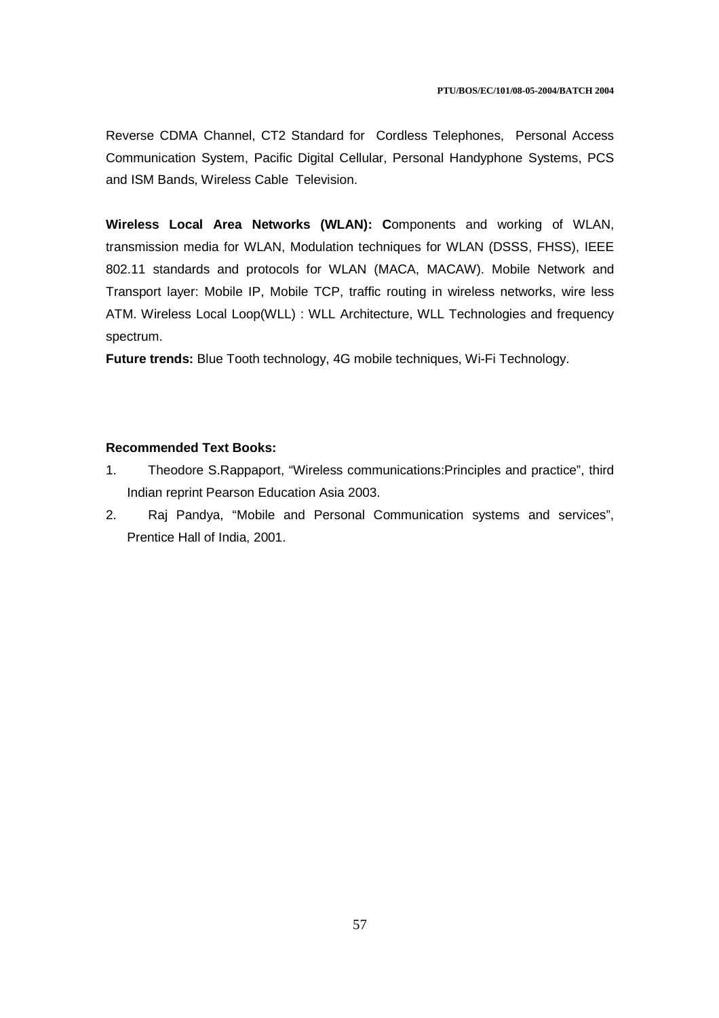Reverse CDMA Channel, CT2 Standard for Cordless Telephones, Personal Access Communication System, Pacific Digital Cellular, Personal Handyphone Systems, PCS and ISM Bands, Wireless Cable Television.

**Wireless Local Area Networks (WLAN): C**omponents and working of WLAN, transmission media for WLAN, Modulation techniques for WLAN (DSSS, FHSS), IEEE 802.11 standards and protocols for WLAN (MACA, MACAW). Mobile Network and Transport layer: Mobile IP, Mobile TCP, traffic routing in wireless networks, wire less ATM. Wireless Local Loop(WLL) : WLL Architecture, WLL Technologies and frequency spectrum.

**Future trends:** Blue Tooth technology, 4G mobile techniques, Wi-Fi Technology.

- 1. Theodore S.Rappaport, "Wireless communications:Principles and practice", third Indian reprint Pearson Education Asia 2003.
- 2. Raj Pandya, "Mobile and Personal Communication systems and services", Prentice Hall of India, 2001.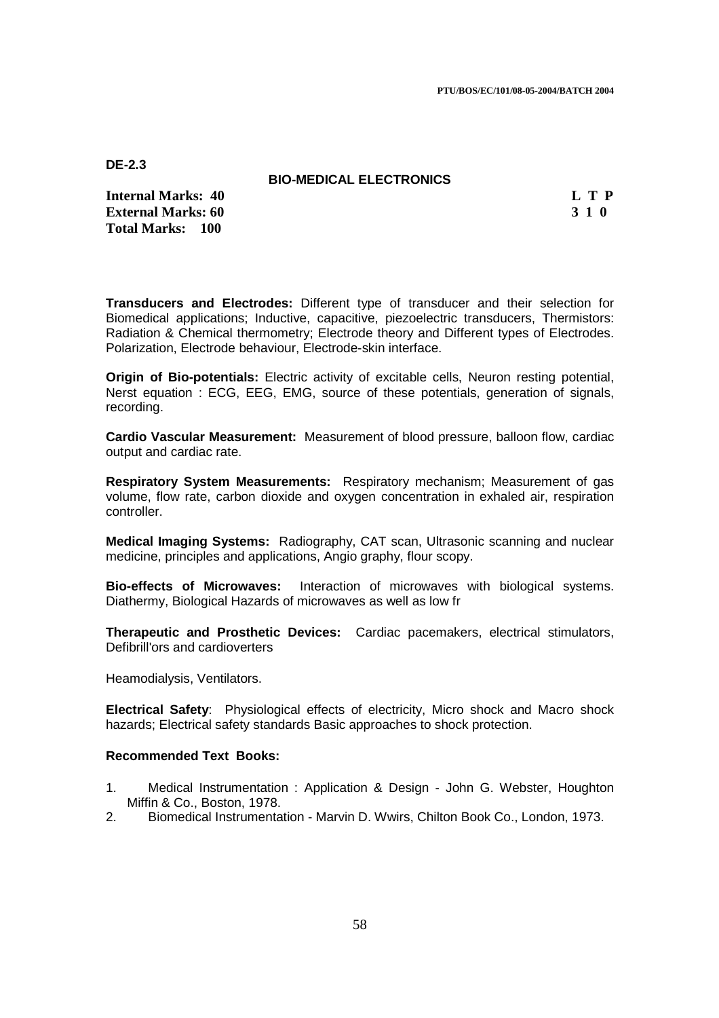**DE-2.3** 

### **BIO-MEDICAL ELECTRONICS**

**Internal Marks: 40 L T P External Marks: 60 3 1 0 Total Marks: 100**

**Transducers and Electrodes:** Different type of transducer and their selection for Biomedical applications; Inductive, capacitive, piezoelectric transducers, Thermistors: Radiation & Chemical thermometry; Electrode theory and Different types of Electrodes. Polarization, Electrode behaviour, Electrode-skin interface.

**Origin of Bio-potentials:** Electric activity of excitable cells, Neuron resting potential, Nerst equation : ECG, EEG, EMG, source of these potentials, generation of signals, recording.

**Cardio Vascular Measurement:** Measurement of blood pressure, balloon flow, cardiac output and cardiac rate.

**Respiratory System Measurements:** Respiratory mechanism; Measurement of gas volume, flow rate, carbon dioxide and oxygen concentration in exhaled air, respiration controller.

**Medical Imaging Systems:** Radiography, CAT scan, Ultrasonic scanning and nuclear medicine, principles and applications, Angio graphy, flour scopy.

**Bio-effects of Microwaves:** Interaction of microwaves with biological systems. Diathermy, Biological Hazards of microwaves as well as low fr

**Therapeutic and Prosthetic Devices:** Cardiac pacemakers, electrical stimulators, Defibrill'ors and cardioverters

Heamodialysis, Ventilators.

**Electrical Safety**: Physiological effects of electricity, Micro shock and Macro shock hazards; Electrical safety standards Basic approaches to shock protection.

- 1. Medical Instrumentation : Application & Design John G. Webster, Houghton Miffin & Co., Boston, 1978.
- 2. Biomedical Instrumentation Marvin D. Wwirs, Chilton Book Co., London, 1973.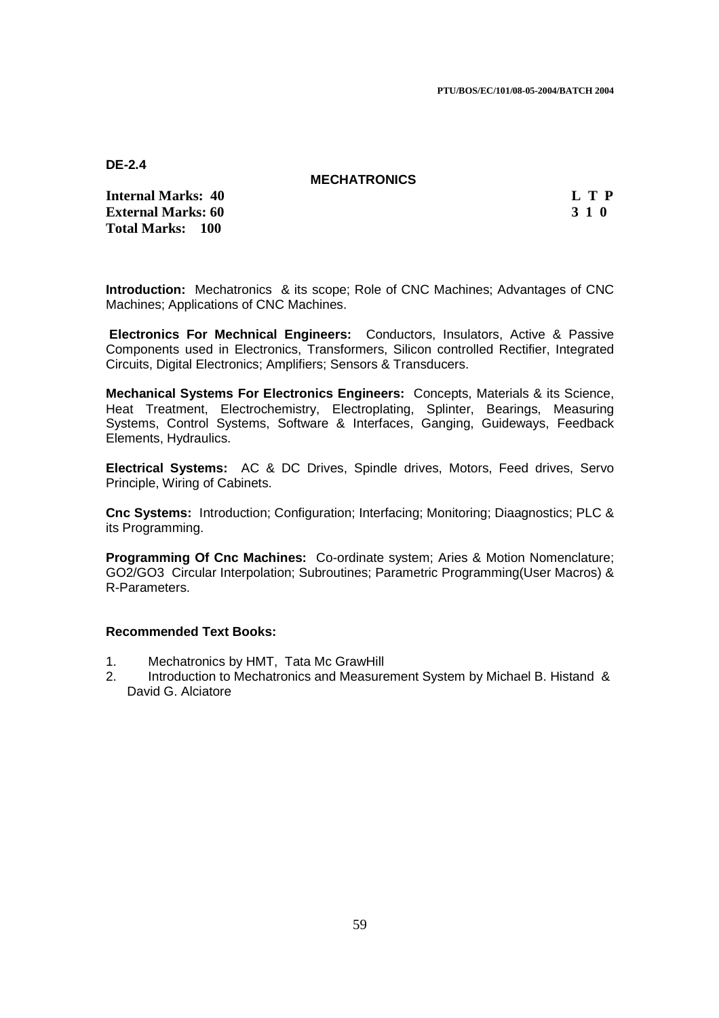**DE-2.4** 

### **MECHATRONICS**

**Internal Marks: 40 L T P External Marks: 60 3 1 0 Total Marks: 100**

**Introduction:** Mechatronics & its scope; Role of CNC Machines; Advantages of CNC Machines; Applications of CNC Machines.

 **Electronics For Mechnical Engineers:** Conductors, Insulators, Active & Passive Components used in Electronics, Transformers, Silicon controlled Rectifier, Integrated Circuits, Digital Electronics; Amplifiers; Sensors & Transducers.

**Mechanical Systems For Electronics Engineers:** Concepts, Materials & its Science, Heat Treatment, Electrochemistry, Electroplating, Splinter, Bearings, Measuring Systems, Control Systems, Software & Interfaces, Ganging, Guideways, Feedback Elements, Hydraulics.

**Electrical Systems:** AC & DC Drives, Spindle drives, Motors, Feed drives, Servo Principle, Wiring of Cabinets.

**Cnc Systems:** Introduction; Configuration; Interfacing; Monitoring; Diaagnostics; PLC & its Programming.

**Programming Of Cnc Machines:** Co-ordinate system; Aries & Motion Nomenclature; GO2/GO3 Circular Interpolation; Subroutines; Parametric Programming(User Macros) & R-Parameters.

- 1. Mechatronics by HMT, Tata Mc GrawHill
- 2. Introduction to Mechatronics and Measurement System by Michael B. Histand & David G. Alciatore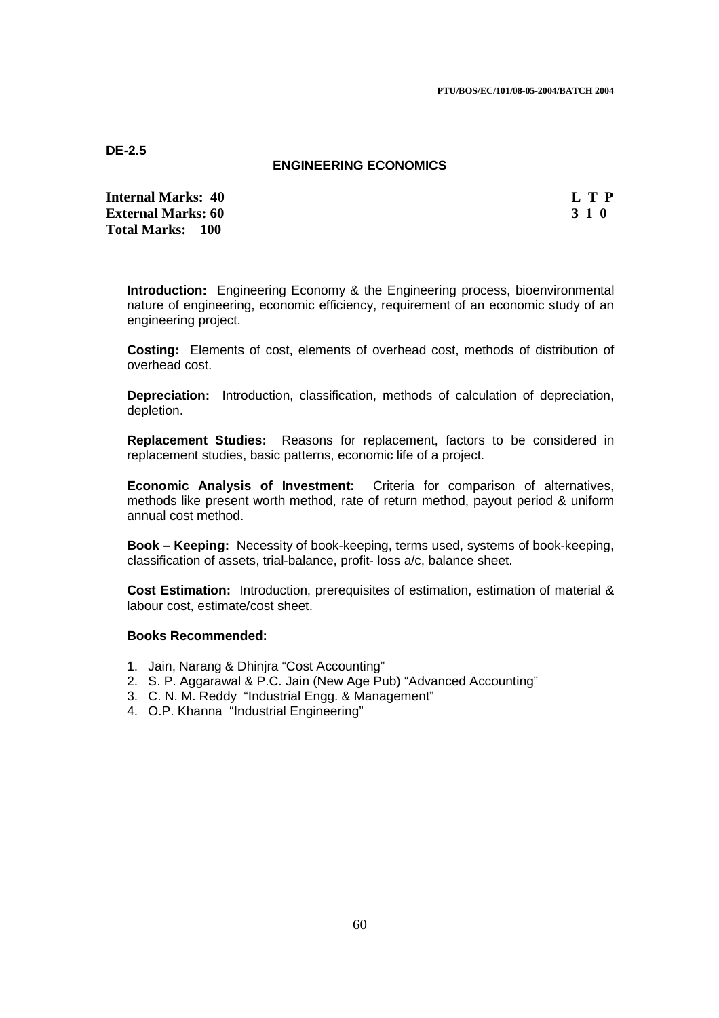**DE-2.5** 

### **ENGINEERING ECONOMICS**

**Internal Marks: 40 L T P I** L T P **External Marks: 60 3 1 0 3 2 3 3 4 6 3 4 5 4 4 4 4 4 5 4 5 4 5 4 5 4 5 4 5 6 7 6 7 7 8 4 5 6 7 7 8 7 7 8 7 7 8 7 7 8 7 7 8 7 7 8 7 7 8 7 7 8 7 7 8 7 7 8 7 7 8 7 7 8 7 7 8 7 7 8 7 7 8 7 7 8 7 7 8 7 7 8 7 7 8 7 7 8 7 7 8 7 Total Marks: 100**

**Introduction:** Engineering Economy & the Engineering process, bioenvironmental nature of engineering, economic efficiency, requirement of an economic study of an engineering project.

**Costing:** Elements of cost, elements of overhead cost, methods of distribution of overhead cost.

**Depreciation:** Introduction, classification, methods of calculation of depreciation, depletion.

**Replacement Studies:** Reasons for replacement, factors to be considered in replacement studies, basic patterns, economic life of a project.

**Economic Analysis of Investment:** Criteria for comparison of alternatives, methods like present worth method, rate of return method, payout period & uniform annual cost method.

**Book – Keeping:** Necessity of book-keeping, terms used, systems of book-keeping, classification of assets, trial-balance, profit- loss a/c, balance sheet.

**Cost Estimation:** Introduction, prerequisites of estimation, estimation of material & labour cost, estimate/cost sheet.

### **Books Recommended:**

- 1. Jain, Narang & Dhinjra "Cost Accounting"
- 2. S. P. Aggarawal & P.C. Jain (New Age Pub) "Advanced Accounting"
- 3. C. N. M. Reddy "Industrial Engg. & Management"
- 4. O.P. Khanna "Industrial Engineering"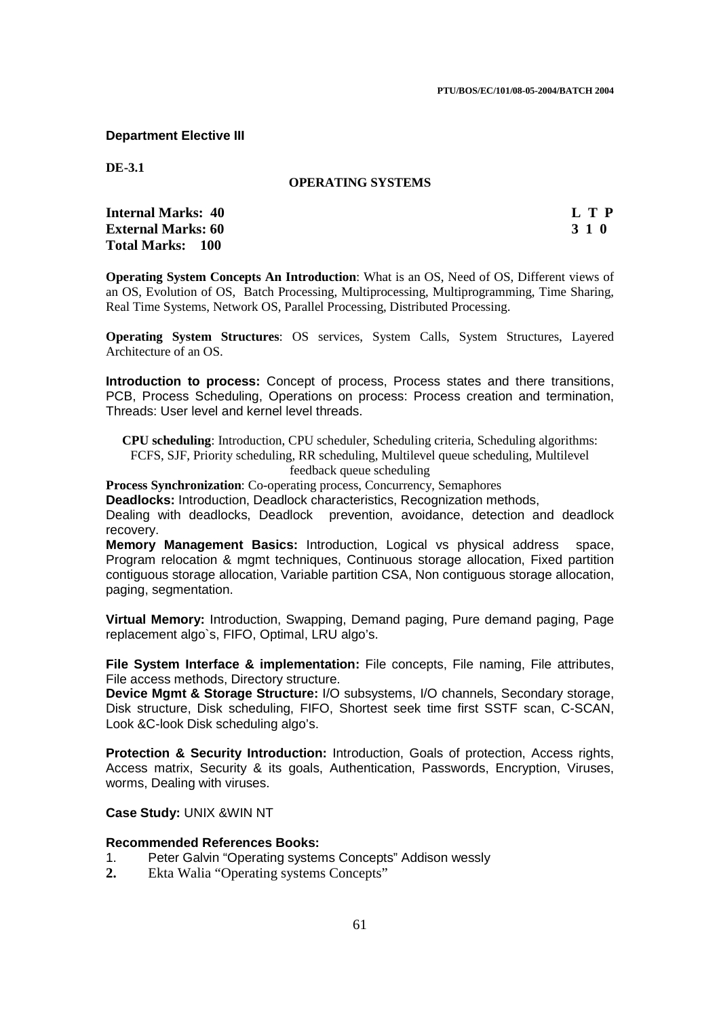**Department Elective III** 

**DE-3.1** 

## **OPERATING SYSTEMS**

| <b>Internal Marks: 40</b> | L T P |
|---------------------------|-------|
| <b>External Marks: 60</b> | 3 1 0 |
| <b>Total Marks: 100</b>   |       |

**Operating System Concepts An Introduction**: What is an OS, Need of OS, Different views of an OS, Evolution of OS, Batch Processing, Multiprocessing, Multiprogramming, Time Sharing, Real Time Systems, Network OS, Parallel Processing, Distributed Processing.

**Operating System Structures**: OS services, System Calls, System Structures, Layered Architecture of an OS.

**Introduction to process:** Concept of process, Process states and there transitions, PCB, Process Scheduling, Operations on process: Process creation and termination, Threads: User level and kernel level threads.

**CPU scheduling**: Introduction, CPU scheduler, Scheduling criteria, Scheduling algorithms: FCFS, SJF, Priority scheduling, RR scheduling, Multilevel queue scheduling, Multilevel feedback queue scheduling

**Process Synchronization**: Co-operating process, Concurrency, Semaphores

**Deadlocks:** Introduction, Deadlock characteristics, Recognization methods,

Dealing with deadlocks, Deadlock prevention, avoidance, detection and deadlock recovery.

**Memory Management Basics:** Introduction, Logical vs physical address space, Program relocation & mgmt techniques, Continuous storage allocation, Fixed partition contiguous storage allocation, Variable partition CSA, Non contiguous storage allocation, paging, segmentation.

**Virtual Memory:** Introduction, Swapping, Demand paging, Pure demand paging, Page replacement algo`s, FIFO, Optimal, LRU algo's.

**File System Interface & implementation:** File concepts, File naming, File attributes, File access methods, Directory structure.

**Device Mgmt & Storage Structure:** I/O subsystems, I/O channels, Secondary storage, Disk structure, Disk scheduling, FIFO, Shortest seek time first SSTF scan, C-SCAN, Look &C-look Disk scheduling algo's.

**Protection & Security Introduction:** Introduction, Goals of protection, Access rights, Access matrix, Security & its goals, Authentication, Passwords, Encryption, Viruses, worms, Dealing with viruses.

**Case Study:** UNIX &WIN NT

### **Recommended References Books:**

- 1. Peter Galvin "Operating systems Concepts" Addison wessly
- **2.** Ekta Walia "Operating systems Concepts"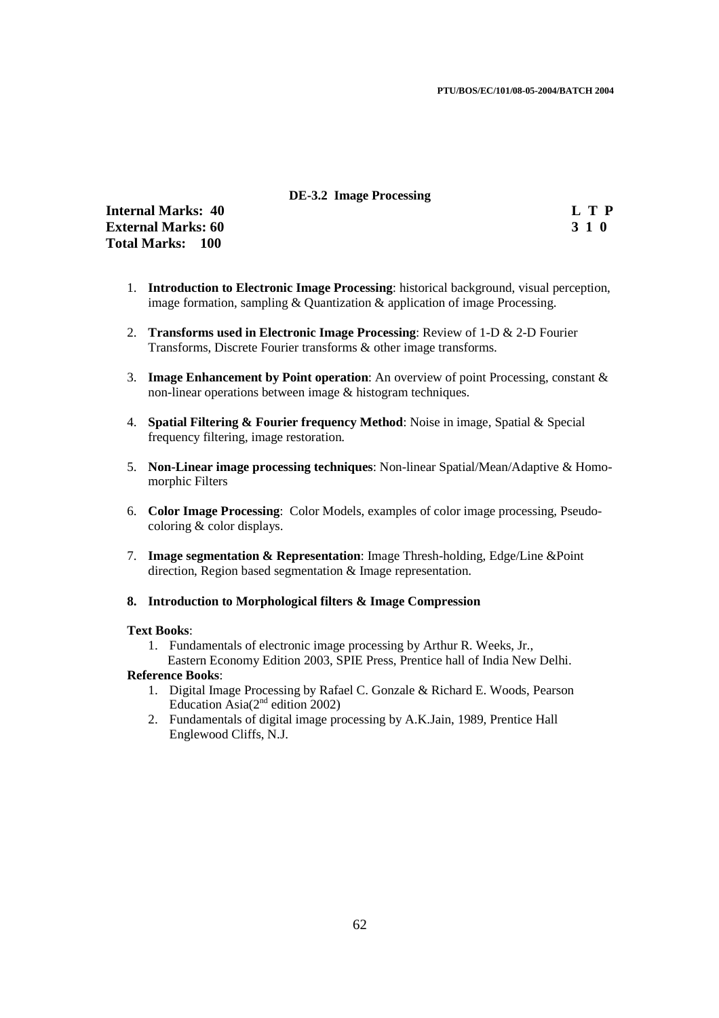#### **DE-3.2 Image Processing**

**Internal Marks: 40 L T P**<br> **External Marks: 60** 3 1 0 **External Marks: 60 Total Marks: 100**

- 1. **Introduction to Electronic Image Processing**: historical background, visual perception, image formation, sampling & Quantization & application of image Processing.
- 2. **Transforms used in Electronic Image Processing**: Review of 1-D & 2-D Fourier Transforms, Discrete Fourier transforms & other image transforms.
- 3. **Image Enhancement by Point operation**: An overview of point Processing, constant & non-linear operations between image & histogram techniques.
- 4. **Spatial Filtering & Fourier frequency Method**: Noise in image, Spatial & Special frequency filtering, image restoration.
- 5. **Non-Linear image processing techniques**: Non-linear Spatial/Mean/Adaptive & Homomorphic Filters
- 6. **Color Image Processing**: Color Models, examples of color image processing, Pseudocoloring & color displays.
- 7. **Image segmentation & Representation**: Image Thresh-holding, Edge/Line &Point direction, Region based segmentation & Image representation.
- **8. Introduction to Morphological filters & Image Compression**

#### **Text Books**:

1. Fundamentals of electronic image processing by Arthur R. Weeks, Jr., Eastern Economy Edition 2003, SPIE Press, Prentice hall of India New Delhi.

#### **Reference Books**:

- 1. Digital Image Processing by Rafael C. Gonzale & Richard E. Woods, Pearson Education Asia $(2<sup>nd</sup>$  edition 2002)
- 2. Fundamentals of digital image processing by A.K.Jain, 1989, Prentice Hall Englewood Cliffs, N.J.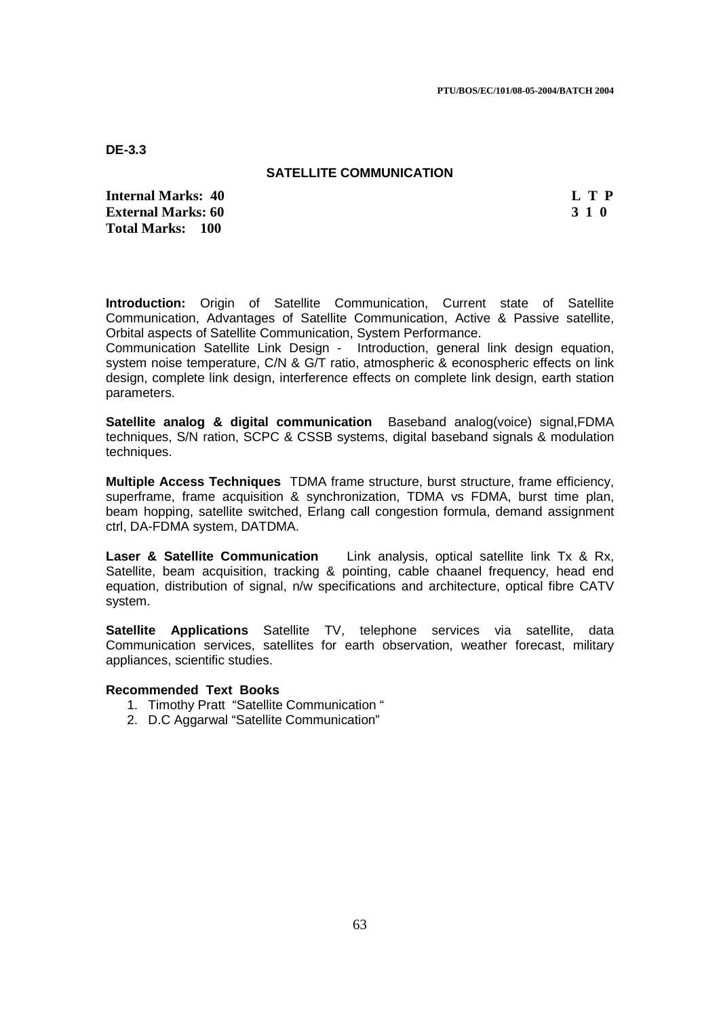**DE-3.3** 

### **SATELLITE COMMUNICATION**

**Internal Marks: 40 L T P External Marks: 60 3 1 0 Total Marks: 100**

**Introduction:** Origin of Satellite Communication, Current state of Satellite Communication, Advantages of Satellite Communication, Active & Passive satellite, Orbital aspects of Satellite Communication, System Performance.

Communication Satellite Link Design - Introduction, general link design equation, system noise temperature, C/N & G/T ratio, atmospheric & econospheric effects on link design, complete link design, interference effects on complete link design, earth station parameters.

**Satellite analog & digital communication** Baseband analog(voice) signal,FDMA techniques, S/N ration, SCPC & CSSB systems, digital baseband signals & modulation techniques.

**Multiple Access Techniques** TDMA frame structure, burst structure, frame efficiency, superframe, frame acquisition & synchronization, TDMA vs FDMA, burst time plan, beam hopping, satellite switched, Erlang call congestion formula, demand assignment ctrl, DA-FDMA system, DATDMA.

**Laser & Satellite Communication** Link analysis, optical satellite link Tx & Rx, Satellite, beam acquisition, tracking & pointing, cable chaanel frequency, head end equation, distribution of signal, n/w specifications and architecture, optical fibre CATV system.

**Satellite Applications** Satellite TV, telephone services via satellite, data Communication services, satellites for earth observation, weather forecast, military appliances, scientific studies.

- 1. Timothy Pratt "Satellite Communication "
- 2. D.C Aggarwal "Satellite Communication"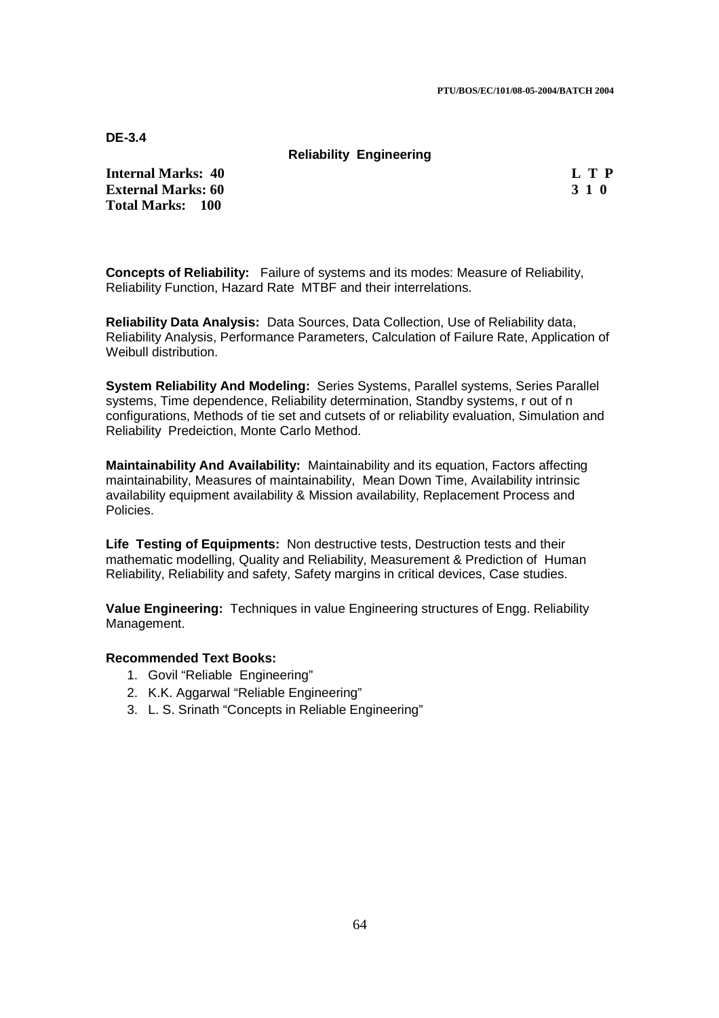**DE-3.4** 

#### **Reliability Engineering**

**Internal Marks: 40 L T P L T P External Marks: 60 3 1 0 3 2 3 3 4 6 3 3 4 6 3 4 6 3 4 6 3 4 6 3 4 6 3 4 6 7 7 8 7 7 8 7 7 8 7 7 8 7 7 8 7 7 8 7 7 8 7 7 8 7 7 8 7 7 8 7 7 8 7 7 8 7 7 8 7 7 8 7 7 8 7 7 8 7 7 8 7 7 8 7 7 8 7 7 8 7 7 8 7 7 8 7 7 8 7 7 8 7 Total Marks: 100**

**Concepts of Reliability:** Failure of systems and its modes: Measure of Reliability, Reliability Function, Hazard Rate MTBF and their interrelations.

**Reliability Data Analysis:** Data Sources, Data Collection, Use of Reliability data, Reliability Analysis, Performance Parameters, Calculation of Failure Rate, Application of Weibull distribution.

**System Reliability And Modeling:** Series Systems, Parallel systems, Series Parallel systems, Time dependence, Reliability determination, Standby systems, r out of n configurations, Methods of tie set and cutsets of or reliability evaluation, Simulation and Reliability Predeiction, Monte Carlo Method.

**Maintainability And Availability:** Maintainability and its equation, Factors affecting maintainability, Measures of maintainability, Mean Down Time, Availability intrinsic availability equipment availability & Mission availability, Replacement Process and Policies.

**Life Testing of Equipments:** Non destructive tests, Destruction tests and their mathematic modelling, Quality and Reliability, Measurement & Prediction of Human Reliability, Reliability and safety, Safety margins in critical devices, Case studies.

**Value Engineering:** Techniques in value Engineering structures of Engg. Reliability Management.

- 1. Govil "Reliable Engineering"
- 2. K.K. Aggarwal "Reliable Engineering"
- 3. L. S. Srinath "Concepts in Reliable Engineering"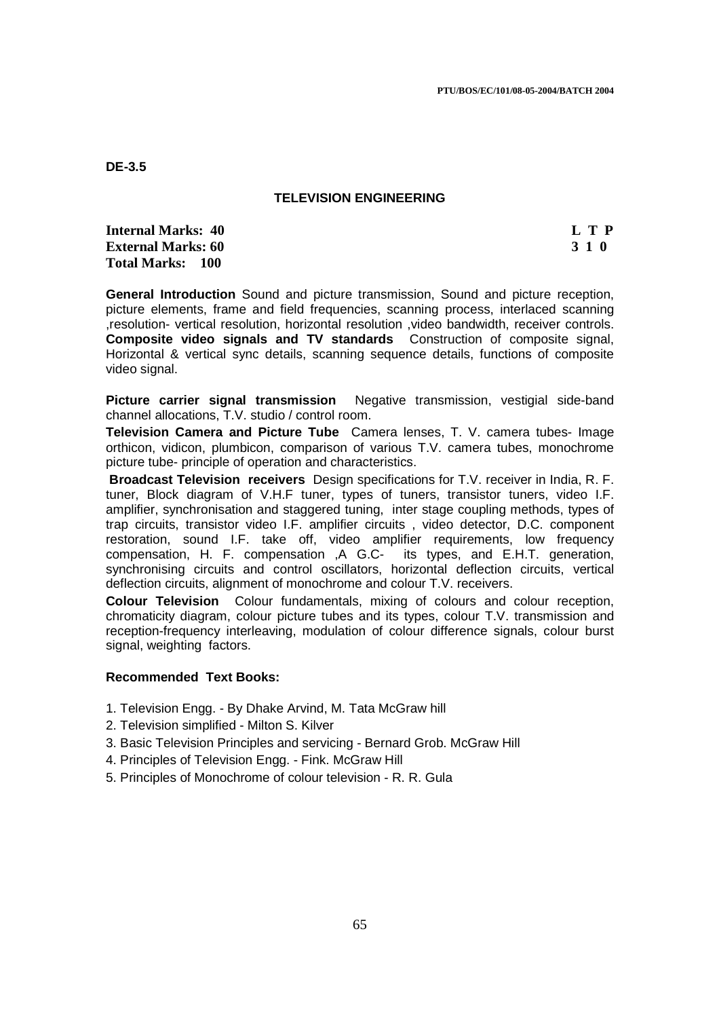**DE-3.5** 

### **TELEVISION ENGINEERING**

**Internal Marks: 40 L T P L T P External Marks: 60 3 1 0 Total Marks: 100** 

**General Introduction** Sound and picture transmission, Sound and picture reception, picture elements, frame and field frequencies, scanning process, interlaced scanning ,resolution- vertical resolution, horizontal resolution ,video bandwidth, receiver controls. **Composite video signals and TV standards** Construction of composite signal, Horizontal & vertical sync details, scanning sequence details, functions of composite video signal.

**Picture carrier signal transmission** Negative transmission, vestigial side-band channel allocations, T.V. studio / control room.

**Television Camera and Picture Tube** Camera lenses, T. V. camera tubes- Image orthicon, vidicon, plumbicon, comparison of various T.V. camera tubes, monochrome picture tube- principle of operation and characteristics.

**Broadcast Television receivers** Design specifications for T.V. receiver in India, R. F. tuner, Block diagram of V.H.F tuner, types of tuners, transistor tuners, video I.F. amplifier, synchronisation and staggered tuning, inter stage coupling methods, types of trap circuits, transistor video I.F. amplifier circuits , video detector, D.C. component restoration, sound I.F. take off, video amplifier requirements, low frequency compensation, H. F. compensation ,A G.C- its types, and E.H.T. generation, synchronising circuits and control oscillators, horizontal deflection circuits, vertical deflection circuits, alignment of monochrome and colour T.V. receivers.

**Colour Television** Colour fundamentals, mixing of colours and colour reception, chromaticity diagram, colour picture tubes and its types, colour T.V. transmission and reception-frequency interleaving, modulation of colour difference signals, colour burst signal, weighting factors.

- 1. Television Engg. By Dhake Arvind, M. Tata McGraw hill
- 2. Television simplified Milton S. Kilver
- 3. Basic Television Principles and servicing Bernard Grob. McGraw Hill
- 4. Principles of Television Engg. Fink. McGraw Hill
- 5. Principles of Monochrome of colour television R. R. Gula